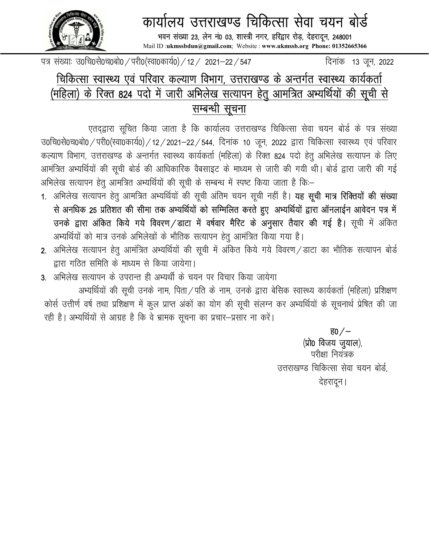

## कार्यालय उत्तराखण्ड चिकित्सा सेवा चयन बोर्ड

भवन संख्या 23, लेन नं0 03, शास्त्री नगर, हरिद्वार रोड़, देहरादून, 248001 Mail ID :ukmssbdun@gmail.com; Website : www.ukmssb.org Phone: 01352665366

पत्र संख्याः उ०चि०से०च०बो० / परी०(स्वा०कार्य०) / 12 / 2021–22 / 547 https://www.fa-trip=13 जन, 2022

## चिकित्सा स्वास्थ्य एवं परिवार कल्याण विभाग, उत्तराखण्ड के अन्तर्गत स्वास्थ्य कार्यकर्ता (महिला) के रिक्त 824 पदो में जा<u>री अभिलेख सत्यापन हेतु</u> आमंत्रित अभ्यर्थियों की सूची से सम्बन्धी सूचना

एतदद्वारा सूचित किया जाता है कि कार्यालय उत्तराखण्ड चिकित्सा सेवा चयन बोर्ड के पत्र संख्या उ0चि0से0च0बो0 / परी0(स्वा0कार्य0) / 12 / 2021–22 / 544, दिनांक 10 जून, 2022 द्वारा चिकित्सा स्वास्थ्य एवं परिवार कल्याण विभाग, उत्तराखण्ड के अन्तर्गत स्वास्थ्य कार्यकर्ता (महिला) के रिक्त 824 पदो हेतु अभिलेख सत्यापन के लिए आमंत्रित अभ्यर्थियों की सूची बोर्ड की आधिकारिक वैबसाइट के माध्यम से जारी की गयी थी। बोर्ड द्वारा जारी की गई अभिलेख सत्यापन हेतु आमत्रित अभ्यर्थियों की सूची के सम्बन्ध में स्पष्ट किया जाता है कि:-

- 1. अभिलेख सत्यापन हेत् आमत्रित अभ्यर्थियों की सूची अंतिम चयन सूची नहीं है। **यह सूची मात्र रिक्तियों की संख्या** से अनधिक 25 प्रतिशत की सीमा तक अभ्यर्थियों को सम्मिलित करते हुए अभ्यर्थियों द्वारा ऑनलाईन आवेदन पत्र में उनके द्वारा अंकित किये गये विवरण/डाटा में वर्षवार मैरिट के अनुसार तैयार की गई है। सूची में अंकित अभ्यर्थियों को मात्र उनके अभिलेखों के भौतिक सत्यापन हेतू आमंत्रित किया गया है।
- 2. अभिलेख सत्यापन हेतु आमंत्रित अभ्यर्थियों की सूची में अंकित किये गये विवरण / डाटा का भौतिक सत्यापन बोर्ड हारा गठित समिति के माध्यम से किया जायेगा।
- 3. अभिलेख सत्यापन के उपरान्त ही अभ्यर्थी के चयन पर विचार किया जायेगा

अभ्यर्थियों की सूची उनके नाम, पिता / पति के नाम, उनके द्वारा बेसिक स्वास्थ्य कार्यकर्ता (महिला) प्रशिक्षण कोर्स उत्तीर्ण वर्ष तथा प्रशिक्षण में कुल प्राप्त अंकों का योग की सूची संलग्न कर अभ्यर्थियों के सूचनार्थ प्रेषित की जा रही है। अभ्यर्थियों से आग्रह है कि वे भ्रामक सूचना का प्रचार-प्रसार ना करें।

> $\overline{g}0/ (x)$ io विजय जुयाल), परीक्षा नियंत्रक उत्तराखण्ड चिकित्सा सेवा चयन बोर्ड, देहरादून।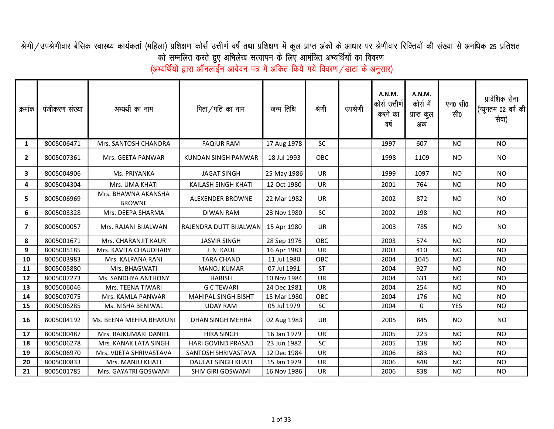श्रेणी/उपश्रेणीवार बेसिक स्वास्थ्य कार्यकर्ता (महिला) प्रशिक्षण कोर्स उर्चा जाए प्रियत प्रकों के आधार पर श्रेणीवार रिक्तियों की संख्या से अनधिक 25 प्रतिशत को सम्मलित करते हुए अभिलेख सत्यापन के लिए आमंत्रित अभ्यर्थियों का विवरण

(अभ्यर्थियों द्वारा ऑनलाईन आवेदन पत्र में अंकित किये गये विवरण/डाटा के अनुसार)

| क्रमांक        | पंजीकरण संख्या | अभ्यर्थी का नाम                      | पिता/पति का नाम            | जन्म तिथि   | श्रेणी    | उपश्रेणी | A.N.M.<br>कोर्स उत्तीर्ण<br>करने का<br>वर्ष | A.N.M.<br>कोर्स में<br>प्राप्त कुल<br>अंक | एन0 सी0<br>सी0 | प्रादेशिक सेना<br>(न्यूनतम 02 वर्ष की<br>सेवा) |
|----------------|----------------|--------------------------------------|----------------------------|-------------|-----------|----------|---------------------------------------------|-------------------------------------------|----------------|------------------------------------------------|
| 1              | 8005006471     | Mrs. SANTOSH CHANDRA                 | <b>FAQIUR RAM</b>          | 17 Aug 1978 | SC        |          | 1997                                        | 607                                       | <b>NO</b>      | <b>NO</b>                                      |
| $\overline{2}$ | 8005007361     | Mrs. GEETA PANWAR                    | KUNDAN SINGH PANWAR        | 18 Jul 1993 | OBC       |          | 1998                                        | 1109                                      | <b>NO</b>      | <b>NO</b>                                      |
| 3              | 8005004906     | Ms. PRIYANKA                         | <b>JAGAT SINGH</b>         | 25 May 1986 | <b>UR</b> |          | 1999                                        | 1097                                      | <b>NO</b>      | <b>NO</b>                                      |
| 4              | 8005004304     | Mrs. UMA KHATI                       | KAILASH SINGH KHATI        | 12 Oct 1980 | UR        |          | 2001                                        | 764                                       | <b>NO</b>      | <b>NO</b>                                      |
| 5              | 8005006969     | Mrs. BHAWNA AKANSHA<br><b>BROWNE</b> | <b>ALEXENDER BROWNE</b>    | 22 Mar 1982 | <b>UR</b> |          | 2002                                        | 872                                       | <b>NO</b>      | <b>NO</b>                                      |
| 6              | 8005003328     | Mrs. DEEPA SHARMA                    | <b>DIWAN RAM</b>           | 23 Nov 1980 | SC        |          | 2002                                        | 198                                       | <b>NO</b>      | <b>NO</b>                                      |
| $\overline{ }$ | 8005000057     | Mrs. RAJANI BIJALWAN                 | RAJENDRA DUTT BIJALWAN     | 15 Apr 1980 | UR        |          | 2003                                        | 785                                       | <b>NO</b>      | <b>NO</b>                                      |
| 8              | 8005001671     | Mrs. CHARANJIT KAUR                  | <b>JASVIR SINGH</b>        | 28 Sep 1976 | OBC       |          | 2003                                        | 574                                       | <b>NO</b>      | <b>NO</b>                                      |
| 9              | 8005005185     | Mrs. KAVITA CHAUDHARY                | J N KAUL                   | 16 Apr 1983 | <b>UR</b> |          | 2003                                        | 410                                       | <b>NO</b>      | <b>NO</b>                                      |
| 10             | 8005003983     | Mrs. KALPANA RANI                    | <b>TARA CHAND</b>          | 11 Jul 1980 | OBC       |          | 2004                                        | 1045                                      | <b>NO</b>      | <b>NO</b>                                      |
| 11             | 8005005880     | Mrs. BHAGWATI                        | <b>MANOJ KUMAR</b>         | 07 Jul 1991 | <b>ST</b> |          | 2004                                        | 927                                       | <b>NO</b>      | <b>NO</b>                                      |
| 12             | 8005007273     | Ms. SANDHYA ANTHONY                  | <b>HARISH</b>              | 10 Nov 1984 | <b>UR</b> |          | 2004                                        | 631                                       | <b>NO</b>      | <b>NO</b>                                      |
| 13             | 8005006046     | Mrs. TEENA TIWARI                    | <b>GCTEWARI</b>            | 24 Dec 1981 | <b>UR</b> |          | 2004                                        | 254                                       | <b>NO</b>      | <b>NO</b>                                      |
| 14             | 8005007075     | Mrs. KAMLA PANWAR                    | <b>MAHIPAL SINGH BISHT</b> | 15 Mar 1980 | OBC       |          | 2004                                        | 176                                       | <b>NO</b>      | <b>NO</b>                                      |
| 15             | 8005006285     | Ms. NISHA BENIWAL                    | <b>UDAY RAM</b>            | 05 Jul 1979 | SC        |          | 2004                                        | 0                                         | <b>YES</b>     | <b>NO</b>                                      |
| 16             | 8005004192     | Ms. BEENA MEHRA BHAKUNI              | <b>DHAN SINGH MEHRA</b>    | 02 Aug 1983 | <b>UR</b> |          | 2005                                        | 845                                       | <b>NO</b>      | <b>NO</b>                                      |
| 17             | 8005000487     | Mrs. RAJKUMARI DANIEL                | <b>HIRA SINGH</b>          | 16 Jan 1979 | <b>UR</b> |          | 2005                                        | 223                                       | <b>NO</b>      | <b>NO</b>                                      |
| 18             | 8005006278     | Mrs. KANAK LATA SINGH                | <b>HARI GOVIND PRASAD</b>  | 23 Jun 1982 | SC        |          | 2005                                        | 138                                       | NO.            | <b>NO</b>                                      |
| 19             | 8005006970     | Mrs. VIJETA SHRIVASTAVA              | SANTOSH SHRIVASTAVA        | 12 Dec 1984 | <b>UR</b> |          | 2006                                        | 883                                       | <b>NO</b>      | <b>NO</b>                                      |
| 20             | 8005000833     | Mrs. MANJU KHATI                     | DAULAT SINGH KHATI         | 15 Jan 1979 | UR        |          | 2006                                        | 848                                       | <b>NO</b>      | <b>NO</b>                                      |
| 21             | 8005001785     | Mrs. GAYATRI GOSWAMI                 | <b>SHIV GIRI GOSWAMI</b>   | 16 Nov 1986 | UR        |          | 2006                                        | 838                                       | <b>NO</b>      | <b>NO</b>                                      |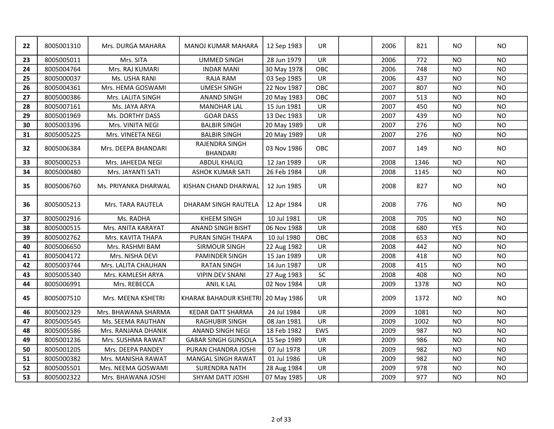| 22 | 8005001310 | Mrs. DURGA MAHARA    | <b>MANOJ KUMAR MAHARA</b>          | 12 Sep 1983 | <b>UR</b> | 2006 | 821  | NO.            | NO.       |
|----|------------|----------------------|------------------------------------|-------------|-----------|------|------|----------------|-----------|
| 23 | 8005005011 | Mrs. SITA            | <b>UMMED SINGH</b>                 | 28 Jun 1979 | <b>UR</b> | 2006 | 772  | N <sub>O</sub> | <b>NO</b> |
| 24 | 8005004764 | Mrs. RAJ KUMARI      | <b>INDAR MANI</b>                  | 30 May 1978 | OBC       | 2006 | 748  | <b>NO</b>      | <b>NO</b> |
| 25 | 8005000037 | Ms. USHA RANI        | RAJA RAM                           | 03 Sep 1985 | UR        | 2006 | 437  | <b>NO</b>      | <b>NO</b> |
| 26 | 8005004361 | Mrs. HEMA GOSWAMI    | <b>UMESH SINGH</b>                 | 22 Nov 1987 | OBC       | 2007 | 807  | <b>NO</b>      | <b>NO</b> |
| 27 | 8005000386 | Mrs. LALITA SINGH    | <b>ANAND SINGH</b>                 | 20 May 1983 | OBC       | 2007 | 513  | <b>NO</b>      | <b>NO</b> |
| 28 | 8005007161 | Ms. JAYA ARYA        | <b>MANOHAR LAL</b>                 | 15 Jun 1981 | UR        | 2007 | 450  | <b>NO</b>      | <b>NO</b> |
| 29 | 8005001969 | Ms. DORTHY DASS      | <b>GOAR DASS</b>                   | 13 Dec 1983 | UR        | 2007 | 439  | <b>NO</b>      | <b>NO</b> |
| 30 | 8005003396 | Mrs. VINITA NEGI     | <b>BALBIR SINGH</b>                | 20 May 1989 | UR        | 2007 | 276  | <b>NO</b>      | <b>NO</b> |
| 31 | 8005005225 | Mrs. VINEETA NEGI    | <b>BALBIR SINGH</b>                | 20 May 1989 | UR        | 2007 | 276  | <b>NO</b>      | <b>NO</b> |
| 32 | 8005006384 | Mrs. DEEPA BHANDARI  | RAJENDRA SINGH<br><b>BHANDARI</b>  | 03 Nov 1986 | OBC       | 2007 | 149  | <b>NO</b>      | <b>NO</b> |
| 33 | 8005000253 | Mrs. JAHEEDA NEGI    | <b>ABDUL KHALIQ</b>                | 12 Jan 1989 | UR        | 2008 | 1346 | <b>NO</b>      | <b>NO</b> |
| 34 | 8005000480 | Mrs. JAYANTI SATI    | <b>ASHOK KUMAR SATI</b>            | 26 Feb 1984 | UR        | 2008 | 1145 | NO.            | <b>NO</b> |
| 35 | 8005006760 | Ms. PRIYANKA DHARWAL | KISHAN CHAND DHARWAL               | 12 Jun 1985 | <b>UR</b> | 2008 | 827  | <b>NO</b>      | <b>NO</b> |
| 36 | 8005005213 | Mrs. TARA RAUTELA    | DHARAM SINGH RAUTELA               | 12 Apr 1984 | <b>UR</b> | 2008 | 776  | NO.            | <b>NO</b> |
| 37 | 8005002916 | Ms. RADHA            | <b>KHEEM SINGH</b>                 | 10 Jul 1981 | <b>UR</b> | 2008 | 705  | <b>NO</b>      | <b>NO</b> |
| 38 | 8005000515 | Mrs. ANITA KARAYAT   | <b>ANAND SINGH BISHT</b>           | 06 Nov 1988 | <b>UR</b> | 2008 | 680  | <b>YES</b>     | <b>NO</b> |
| 39 | 8005002762 | Mrs. KAVITA THAPA    | PURAN SINGH THAPA                  | 10 Jul 1980 | OBC       | 2008 | 653  | <b>NO</b>      | <b>NO</b> |
| 40 | 8005006650 | Mrs. RASHMI BAM      | <b>SIRMOUR SINGH</b>               | 22 Aug 1982 | <b>UR</b> | 2008 | 442  | <b>NO</b>      | <b>NO</b> |
| 41 | 8005004172 | Mrs. NISHA DEVI      | PAMINDER SINGH                     | 15 Jan 1989 | <b>UR</b> | 2008 | 418  | <b>NO</b>      | <b>NO</b> |
| 42 | 8005003744 | Mrs. LALITA CHAUHAN  | <b>RATAN SINGH</b>                 | 14 Jun 1987 | <b>UR</b> | 2008 | 415  | <b>NO</b>      | <b>NO</b> |
| 43 | 8005005340 | Mrs. KAMLESH ARYA    | <b>VIPIN DEV SNANI</b>             | 27 Aug 1983 | $\sf SC$  | 2008 | 408  | <b>NO</b>      | <b>NO</b> |
| 44 | 8005006991 | Mrs. REBECCA         | <b>ANIL K LAL</b>                  | 02 Nov 1984 | UR        | 2009 | 1378 | <b>NO</b>      | <b>NO</b> |
| 45 | 8005007510 | Mrs. MEENA KSHETRI   | KHARAK BAHADUR KSHETRI 20 May 1986 |             | UR        | 2009 | 1372 | <b>NO</b>      | <b>NO</b> |
| 46 | 8005002329 | Mrs. BHAWANA SHARMA  | <b>KEDAR DATT SHARMA</b>           | 24 Jul 1984 | <b>UR</b> | 2009 | 1081 | <b>NO</b>      | <b>NO</b> |
| 47 | 8005005545 | Ms. SEEMA RAUTHAN    | <b>RAGHUBIR SINGH</b>              | 08 Jan 1981 | <b>UR</b> | 2009 | 1002 | <b>NO</b>      | <b>NO</b> |
| 48 | 8005005586 | Mrs. RANJANA DHANIK  | ANAND SINGH NEGI                   | 18 Feb 1982 | EWS       | 2009 | 987  | <b>NO</b>      | <b>NO</b> |
| 49 | 8005001236 | Mrs. SUSHMA RAWAT    | <b>GABAR SINGH GUNSOLA</b>         | 15 Sep 1989 | <b>UR</b> | 2009 | 986  | <b>NO</b>      | <b>NO</b> |
| 50 | 8005001205 | Mrs. DEEPA PANDEY    | PURAN CHANDRA JOSHI                | 07 Jul 1978 | <b>UR</b> | 2009 | 982  | <b>NO</b>      | <b>NO</b> |
| 51 | 8005000382 | Mrs. MANISHA RAWAT   | MANGAL SINGH RAWAT                 | 01 Jul 1986 | <b>UR</b> | 2009 | 982  | <b>NO</b>      | <b>NO</b> |
| 52 | 8005005501 | Mrs. NEEMA GOSWAMI   | <b>SURENDRA NATH</b>               | 28 Aug 1984 | <b>UR</b> | 2009 | 978  | <b>NO</b>      | <b>NO</b> |
| 53 | 8005002322 | Mrs. BHAWANA JOSHI   | SHYAM DATT JOSHI                   | 07 May 1985 | <b>UR</b> | 2009 | 977  | <b>NO</b>      | <b>NO</b> |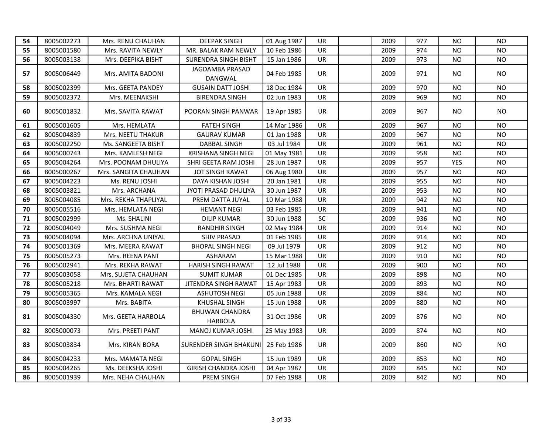| 54 | 8005002273 | Mrs. RENU CHAUHAN    | <b>DEEPAK SINGH</b>                     | 01 Aug 1987 | UR.       | 2009 | 977 | NO.            | <b>NO</b> |
|----|------------|----------------------|-----------------------------------------|-------------|-----------|------|-----|----------------|-----------|
| 55 | 8005001580 | Mrs. RAVITA NEWLY    | MR. BALAK RAM NEWLY                     | 10 Feb 1986 | <b>UR</b> | 2009 | 974 | NO.            | <b>NO</b> |
| 56 | 8005003138 | Mrs. DEEPIKA BISHT   | <b>SURENDRA SINGH BISHT</b>             | 15 Jan 1986 | UR        | 2009 | 973 | <b>NO</b>      | <b>NO</b> |
| 57 | 8005006449 | Mrs. AMITA BADONI    | JAGDAMBA PRASAD<br>DANGWAL              | 04 Feb 1985 | UR        | 2009 | 971 | N <sub>O</sub> | <b>NO</b> |
| 58 | 8005002399 | Mrs. GEETA PANDEY    | <b>GUSAIN DATT JOSHI</b>                | 18 Dec 1984 | <b>UR</b> | 2009 | 970 | NO             | <b>NO</b> |
| 59 | 8005002372 | Mrs. MEENAKSHI       | <b>BIRENDRA SINGH</b>                   | 02 Jun 1983 | <b>UR</b> | 2009 | 969 | <b>NO</b>      | NO.       |
| 60 | 8005001832 | Mrs. SAVITA RAWAT    | POORAN SINGH PANWAR                     | 19 Apr 1985 | UR        | 2009 | 967 | NO.            | <b>NO</b> |
| 61 | 8005001605 | Mrs. HEMLATA         | <b>FATEH SINGH</b>                      | 14 Mar 1986 | UR        | 2009 | 967 | <b>NO</b>      | <b>NO</b> |
| 62 | 8005004839 | Mrs. NEETU THAKUR    | <b>GAURAV KUMAR</b>                     | 01 Jan 1988 | <b>UR</b> | 2009 | 967 | NO.            | <b>NO</b> |
| 63 | 8005002250 | Ms. SANGEETA BISHT   | DABBAL SINGH                            | 03 Jul 1984 | <b>UR</b> | 2009 | 961 | <b>NO</b>      | NO        |
| 64 | 8005000743 | Mrs. KAMLESH NEGI    | <b>KRISHANA SINGH NEGI</b>              | 01 May 1981 | <b>UR</b> | 2009 | 958 | <b>NO</b>      | <b>NO</b> |
| 65 | 8005004264 | Mrs. POONAM DHULIYA  | SHRI GEETA RAM JOSHI                    | 28 Jun 1987 | UR.       | 2009 | 957 | <b>YES</b>     | <b>NO</b> |
| 66 | 8005000267 | Mrs. SANGITA CHAUHAN | JOT SINGH RAWAT                         | 06 Aug 1980 | <b>UR</b> | 2009 | 957 | NO.            | NO.       |
| 67 | 8005004223 | Ms. RENU JOSHI       | DAYA KISHAN JOSHI                       | 20 Jan 1981 | <b>UR</b> | 2009 | 955 | NO             | <b>NO</b> |
| 68 | 8005003821 | Mrs. ARCHANA         | JYOTI PRASAD DHULIYA                    | 30 Jun 1987 | <b>UR</b> | 2009 | 953 | <b>NO</b>      | NO        |
| 69 | 8005004085 | Mrs. REKHA THAPLIYAL | PREM DATTA JUYAL                        | 10 Mar 1988 | <b>UR</b> | 2009 | 942 | <b>NO</b>      | <b>NO</b> |
| 70 | 8005005516 | Mrs. HEMLATA NEGI    | <b>HEMANT NEGI</b>                      | 03 Feb 1985 | <b>UR</b> | 2009 | 941 | <b>NO</b>      | <b>NO</b> |
| 71 | 8005002999 | Ms. SHALINI          | <b>DILIP KUMAR</b>                      | 30 Jun 1988 | <b>SC</b> | 2009 | 936 | <b>NO</b>      | NO        |
| 72 | 8005004049 | Mrs. SUSHMA NEGI     | RANDHIR SINGH                           | 02 May 1984 | <b>UR</b> | 2009 | 914 | <b>NO</b>      | <b>NO</b> |
| 73 | 8005004094 | Mrs. ARCHNA UNIYAL   | <b>SHIV PRASAD</b>                      | 01 Feb 1985 | <b>UR</b> | 2009 | 914 | NO             | <b>NO</b> |
| 74 | 8005001369 | Mrs. MEERA RAWAT     | <b>BHOPAL SINGH NEGI</b>                | 09 Jul 1979 | UR        | 2009 | 912 | <b>NO</b>      | <b>NO</b> |
| 75 | 8005005273 | Mrs. REENA PANT      | ASHARAM                                 | 15 Mar 1988 | <b>UR</b> | 2009 | 910 | <b>NO</b>      | <b>NO</b> |
| 76 | 8005002941 | Mrs. REKHA RAWAT     | <b>HARISH SINGH RAWAT</b>               | 12 Jul 1988 | <b>UR</b> | 2009 | 900 | NO.            | <b>NO</b> |
| 77 | 8005003058 | Mrs. SUJETA CHAUHAN  | <b>SUMIT KUMAR</b>                      | 01 Dec 1985 | <b>UR</b> | 2009 | 898 | NO.            | <b>NO</b> |
| 78 | 8005005218 | Mrs. BHARTI RAWAT    | JITENDRA SINGH RAWAT                    | 15 Apr 1983 | UR        | 2009 | 893 | <b>NO</b>      | <b>NO</b> |
| 79 | 8005005365 | Mrs. KAMALA NEGI     | <b>ASHUTOSH NEGI</b>                    | 05 Jun 1988 | UR        | 2009 | 884 | NO.            | <b>NO</b> |
| 80 | 8005003997 | Mrs. BABITA          | <b>KHUSHAL SINGH</b>                    | 15 Jun 1988 | <b>UR</b> | 2009 | 880 | NO.            | <b>NO</b> |
| 81 | 8005004330 | Mrs. GEETA HARBOLA   | <b>BHUWAN CHANDRA</b><br><b>HARBOLA</b> | 31 Oct 1986 | <b>UR</b> | 2009 | 876 | NO.            | NO.       |
| 82 | 8005000073 | Mrs. PREETI PANT     | MANOJ KUMAR JOSHI                       | 25 May 1983 | <b>UR</b> | 2009 | 874 | NO.            | <b>NO</b> |
| 83 | 8005003834 | Mrs. KIRAN BORA      | <b>SURENDER SINGH BHAKUNI</b>           | 25 Feb 1986 | <b>UR</b> | 2009 | 860 | NO.            | NO.       |
| 84 | 8005004233 | Mrs. MAMATA NEGI     | <b>GOPAL SINGH</b>                      | 15 Jun 1989 | <b>UR</b> | 2009 | 853 | <b>NO</b>      | <b>NO</b> |
| 85 | 8005004265 | Ms. DEEKSHA JOSHI    | <b>GIRISH CHANDRA JOSHI</b>             | 04 Apr 1987 | UR        | 2009 | 845 | <b>NO</b>      | <b>NO</b> |
| 86 | 8005001939 | Mrs. NEHA CHAUHAN    | PREM SINGH                              | 07 Feb 1988 | UR        | 2009 | 842 | <b>NO</b>      | <b>NO</b> |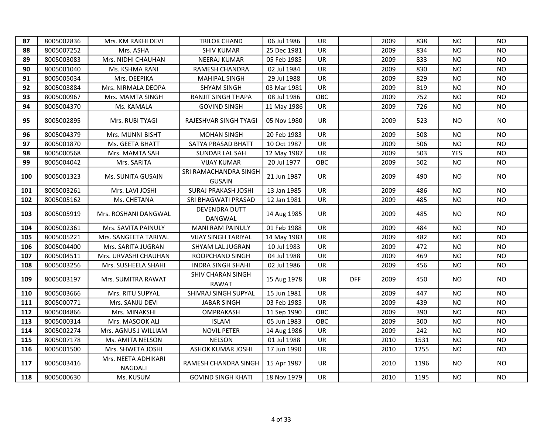| 87  | 8005002836 | Mrs. KM RAKHI DEVI                    | <b>TRILOK CHAND</b>                    | 06 Jul 1986 | <b>UR</b> |            | 2009 | 838  | NO.        | N <sub>O</sub> |
|-----|------------|---------------------------------------|----------------------------------------|-------------|-----------|------------|------|------|------------|----------------|
| 88  | 8005007252 | Mrs. ASHA                             | <b>SHIV KUMAR</b>                      | 25 Dec 1981 | UR        |            | 2009 | 834  | <b>NO</b>  | <b>NO</b>      |
| 89  | 8005003083 | Mrs. NIDHI CHAUHAN                    | NEERAJ KUMAR                           | 05 Feb 1985 | UR        |            | 2009 | 833  | <b>NO</b>  | <b>NO</b>      |
| 90  | 8005001040 | Ms. KSHMA RANI                        | RAMESH CHANDRA                         | 02 Jul 1984 | UR        |            | 2009 | 830  | <b>NO</b>  | <b>NO</b>      |
| 91  | 8005005034 | Mrs. DEEPIKA                          | <b>MAHIPAL SINGH</b>                   | 29 Jul 1988 | <b>UR</b> |            | 2009 | 829  | NO.        | <b>NO</b>      |
| 92  | 8005003884 | Mrs. NIRMALA DEOPA                    | <b>SHYAM SINGH</b>                     | 03 Mar 1981 | UR        |            | 2009 | 819  | NO         | <b>NO</b>      |
| 93  | 8005000967 | Mrs. MAMTA SINGH                      | RANJIT SINGH THAPA                     | 08 Jul 1986 | OBC       |            | 2009 | 752  | NO         | <b>NO</b>      |
| 94  | 8005004370 | Ms. KAMALA                            | <b>GOVIND SINGH</b>                    | 11 May 1986 | UR        |            | 2009 | 726  | NO         | <b>NO</b>      |
| 95  | 8005002895 | Mrs. RUBI TYAGI                       | RAJESHVAR SINGH TYAGI                  | 05 Nov 1980 | <b>UR</b> |            | 2009 | 523  | NO.        | <b>NO</b>      |
| 96  | 8005004379 | Mrs. MUNNI BISHT                      | <b>MOHAN SINGH</b>                     | 20 Feb 1983 | <b>UR</b> |            | 2009 | 508  | <b>NO</b>  | <b>NO</b>      |
| 97  | 8005001870 | Ms. GEETA BHATT                       | SATYA PRASAD BHATT                     | 10 Oct 1987 | <b>UR</b> |            | 2009 | 506  | NO.        | <b>NO</b>      |
| 98  | 8005000568 | Mrs. MAMTA SAH                        | SUNDAR LAL SAH                         | 12 May 1987 | <b>UR</b> |            | 2009 | 503  | <b>YES</b> | NO.            |
| 99  | 8005004042 | Mrs. SARITA                           | <b>VIJAY KUMAR</b>                     | 20 Jul 1977 | OBC       |            | 2009 | 502  | NO         | <b>NO</b>      |
| 100 | 8005001323 | Ms. SUNITA GUSAIN                     | SRI RAMACHANDRA SINGH<br><b>GUSAIN</b> | 21 Jun 1987 | <b>UR</b> |            | 2009 | 490  | NO.        | <b>NO</b>      |
| 101 | 8005003261 | Mrs. LAVI JOSHI                       | <b>SURAJ PRAKASH JOSHI</b>             | 13 Jan 1985 | <b>UR</b> |            | 2009 | 486  | NO         | <b>NO</b>      |
| 102 | 8005005162 | Ms. CHETANA                           | SRI BHAGWATI PRASAD                    | 12 Jan 1981 | <b>UR</b> |            | 2009 | 485  | NO         | <b>NO</b>      |
| 103 | 8005005919 | Mrs. ROSHANI DANGWAL                  | DEVENDRA DUTT<br>DANGWAL               | 14 Aug 1985 | UR        |            | 2009 | 485  | NO.        | <b>NO</b>      |
| 104 | 8005002361 | Mrs. SAVITA PAINULY                   | <b>MANI RAM PAINULY</b>                | 01 Feb 1988 | UR        |            | 2009 | 484  | NO         | <b>NO</b>      |
| 105 | 8005005221 | Mrs. SANGEETA TARIYAL                 | <b>VIJAY SINGH TARIYAL</b>             | 14 May 1983 | UR        |            | 2009 | 482  | <b>NO</b>  | <b>NO</b>      |
| 106 | 8005004400 | Mrs. SARITA JUGRAN                    | SHYAM LAL JUGRAN                       | 10 Jul 1983 | UR        |            | 2009 | 472  | NO         | <b>NO</b>      |
| 107 | 8005004511 | Mrs. URVASHI CHAUHAN                  | ROOPCHAND SINGH                        | 04 Jul 1988 | UR        |            | 2009 | 469  | NO         | <b>NO</b>      |
| 108 | 8005003256 | Mrs. SUSHEELA SHAHI                   | <b>INDRA SINGH SHAHI</b>               | 02 Jul 1986 | UR        |            | 2009 | 456  | <b>NO</b>  | <b>NO</b>      |
| 109 | 8005003197 | Mrs. SUMITRA RAWAT                    | SHIV CHARAN SINGH<br>RAWAT             | 15 Aug 1978 | UR        | <b>DFF</b> | 2009 | 450  | NO.        | NO.            |
| 110 | 8005003666 | Mrs. RITU SUPYAL                      | SHIVRAJ SINGH SUPYAL                   | 15 Jun 1981 | UR        |            | 2009 | 447  | <b>NO</b>  | <b>NO</b>      |
| 111 | 8005000771 | Mrs. SANJU DEVI                       | <b>JABAR SINGH</b>                     | 03 Feb 1985 | <b>UR</b> |            | 2009 | 439  | <b>NO</b>  | <b>NO</b>      |
| 112 | 8005004866 | Mrs. MINAKSHI                         | OMPRAKASH                              | 11 Sep 1990 | OBC       |            | 2009 | 390  | <b>NO</b>  | <b>NO</b>      |
| 113 | 8005000314 | Mrs. MASOOK ALI                       | <b>ISLAM</b>                           | 05 Jun 1983 | OBC       |            | 2009 | 300  | <b>NO</b>  | <b>NO</b>      |
| 114 | 8005002274 | Mrs. AGNUS J WILLIAM                  | <b>NOVIL PETER</b>                     | 14 Aug 1986 | UR        |            | 2009 | 242  | <b>NO</b>  | <b>NO</b>      |
| 115 | 8005007178 | Ms. AMITA NELSON                      | <b>NELSON</b>                          | 01 Jul 1988 | UR        |            | 2010 | 1531 | <b>NO</b>  | <b>NO</b>      |
| 116 | 8005001500 | Mrs. SHWETA JOSHI                     | ASHOK KUMAR JOSHI                      | 17 Jun 1990 | UR        |            | 2010 | 1255 | <b>NO</b>  | <b>NO</b>      |
| 117 | 8005003416 | Mrs. NEETA ADHIKARI<br><b>NAGDALI</b> | RAMESH CHANDRA SINGH                   | 15 Apr 1987 | UR        |            | 2010 | 1196 | NO.        | <b>NO</b>      |
| 118 | 8005000630 | Ms. KUSUM                             | <b>GOVIND SINGH KHATI</b>              | 18 Nov 1979 | <b>UR</b> |            | 2010 | 1195 | NO.        | <b>NO</b>      |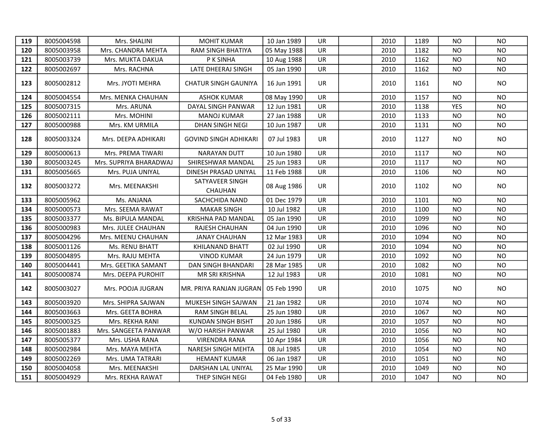| 119 | 8005004598 | Mrs. SHALINI           | <b>MOHIT KUMAR</b>                | 10 Jan 1989 | UR        | 2010 | 1189 | <b>NO</b>  | NO.            |
|-----|------------|------------------------|-----------------------------------|-------------|-----------|------|------|------------|----------------|
| 120 | 8005003958 | Mrs. CHANDRA MEHTA     | RAM SINGH BHATIYA                 | 05 May 1988 | UR        | 2010 | 1182 | NO.        | <b>NO</b>      |
| 121 | 8005003739 | Mrs. MUKTA DAKUA       | P K SINHA                         | 10 Aug 1988 | UR        | 2010 | 1162 | NO.        | <b>NO</b>      |
| 122 | 8005002697 | Mrs. RACHNA            | LATE DHEERAJ SINGH                | 05 Jan 1990 | UR        | 2010 | 1162 | NO.        | NO.            |
| 123 | 8005002812 | Mrs. JYOTI MEHRA       | <b>CHATUR SINGH GAUNIYA</b>       | 16 Jun 1991 | UR        | 2010 | 1161 | NO.        | <b>NO</b>      |
| 124 | 8005004554 | Mrs. MENKA CHAUHAN     | <b>ASHOK KUMAR</b>                | 08 May 1990 | <b>UR</b> | 2010 | 1157 | <b>NO</b>  | N <sub>O</sub> |
| 125 | 8005007315 | Mrs. ARUNA             | DAYAL SINGH PANWAR                | 12 Jun 1981 | <b>UR</b> | 2010 | 1138 | <b>YES</b> | N <sub>O</sub> |
| 126 | 8005002111 | Mrs. MOHINI            | <b>MANOJ KUMAR</b>                | 27 Jan 1988 | UR        | 2010 | 1133 | <b>NO</b>  | <b>NO</b>      |
| 127 | 8005000988 | Mrs. KM URMILA         | DHAN SINGH NEGI                   | 10 Jun 1987 | UR        | 2010 | 1131 | <b>NO</b>  | <b>NO</b>      |
| 128 | 8005003324 | Mrs. DEEPA ADHIKARI    | <b>GOVIND SINGH ADHIKARI</b>      | 07 Jul 1983 | <b>UR</b> | 2010 | 1127 | NO.        | <b>NO</b>      |
| 129 | 8005000613 | Mrs. PREMA TIWARI      | NARAYAN DUTT                      | 10 Jun 1980 | <b>UR</b> | 2010 | 1117 | <b>NO</b>  | N <sub>O</sub> |
| 130 | 8005003245 | Mrs. SUPRIYA BHARADWAJ | SHIRESHWAR MANDAL                 | 25 Jun 1983 | UR        | 2010 | 1117 | <b>NO</b>  | <b>NO</b>      |
| 131 | 8005005665 | Mrs. PUJA UNIYAL       | DINESH PRASAD UNIYAL              | 11 Feb 1988 | UR        | 2010 | 1106 | <b>NO</b>  | <b>NO</b>      |
| 132 | 8005003272 | Mrs. MEENAKSHI         | SATYAVEER SINGH<br><b>CHAUHAN</b> | 08 Aug 1986 | UR        | 2010 | 1102 | NO.        | <b>NO</b>      |
| 133 | 8005005962 | Ms. ANJANA             | SACHCHIDA NAND                    | 01 Dec 1979 | <b>UR</b> | 2010 | 1101 | NO.        | <b>NO</b>      |
| 134 | 8005000573 | Mrs. SEEMA RAWAT       | <b>MAKAR SINGH</b>                | 10 Jul 1982 | UR        | 2010 | 1100 | <b>NO</b>  | <b>NO</b>      |
| 135 | 8005003377 | Ms. BIPULA MANDAL      | <b>KRISHNA PAD MANDAL</b>         | 05 Jan 1990 | UR        | 2010 | 1099 | <b>NO</b>  | <b>NO</b>      |
| 136 | 8005000983 | Mrs. JULEE CHAUHAN     | RAJESH CHAUHAN                    | 04 Jun 1990 | UR        | 2010 | 1096 | <b>NO</b>  | <b>NO</b>      |
| 137 | 8005004296 | Mrs. MEENU CHAUHAN     | <b>JANAY CHAUHAN</b>              | 12 Mar 1983 | UR        | 2010 | 1094 | <b>NO</b>  | <b>NO</b>      |
| 138 | 8005001126 | Ms. RENU BHATT         | <b>KHILANAND BHATT</b>            | 02 Jul 1990 | UR        | 2010 | 1094 | <b>NO</b>  | <b>NO</b>      |
| 139 | 8005004895 | Mrs. RAJU MEHTA        | <b>VINOD KUMAR</b>                | 24 Jun 1979 | <b>UR</b> | 2010 | 1092 | <b>NO</b>  | <b>NO</b>      |
| 140 | 8005004441 | Mrs. GEETIKA SAMANT    | <b>DAN SINGH BHANDARI</b>         | 28 Mar 1985 | UR        | 2010 | 1082 | NO.        | <b>NO</b>      |
| 141 | 8005000874 | Mrs. DEEPA PUROHIT     | MR SRI KRISHNA                    | 12 Jul 1983 | UR        | 2010 | 1081 | <b>NO</b>  | <b>NO</b>      |
| 142 | 8005003027 | Mrs. POOJA JUGRAN      | MR. PRIYA RANJAN JUGRAN           | 05 Feb 1990 | <b>UR</b> | 2010 | 1075 | NO.        | <b>NO</b>      |
| 143 | 8005003920 | Mrs. SHIPRA SAJWAN     | MUKESH SINGH SAJWAN               | 21 Jan 1982 | <b>UR</b> | 2010 | 1074 | <b>NO</b>  | <b>NO</b>      |
| 144 | 8005003663 | Mrs. GEETA BOHRA       | RAM SINGH BELAL                   | 25 Jun 1980 | UR        | 2010 | 1067 | <b>NO</b>  | <b>NO</b>      |
| 145 | 8005000325 | Mrs. REKHA RANI        | <b>KUNDAN SINGH BISHT</b>         | 20 Jun 1986 | UR        | 2010 | 1057 | <b>NO</b>  | <b>NO</b>      |
| 146 | 8005001883 | Mrs. SANGEETA PANWAR   | W/O HARISH PANWAR                 | 25 Jul 1980 | UR        | 2010 | 1056 | <b>NO</b>  | <b>NO</b>      |
| 147 | 8005005377 | Mrs. USHA RANA         | <b>VIRENDRA RANA</b>              | 10 Apr 1984 | UR        | 2010 | 1056 | <b>NO</b>  | <b>NO</b>      |
| 148 | 8005002984 | Mrs. MAYA MEHTA        | NARESH SINGH MEHTA                | 08 Jul 1985 | UR        | 2010 | 1054 | <b>NO</b>  | <b>NO</b>      |
| 149 | 8005002269 | Mrs. UMA TATRARI       | <b>HEMANT KUMAR</b>               | 06 Jan 1987 | UR        | 2010 | 1051 | <b>NO</b>  | <b>NO</b>      |
| 150 | 8005004058 | Mrs. MEENAKSHI         | DARSHAN LAL UNIYAL                | 25 Mar 1990 | UR        | 2010 | 1049 | <b>NO</b>  | <b>NO</b>      |
| 151 | 8005004929 | Mrs. REKHA RAWAT       | THEP SINGH NEGI                   | 04 Feb 1980 | <b>UR</b> | 2010 | 1047 | <b>NO</b>  | <b>NO</b>      |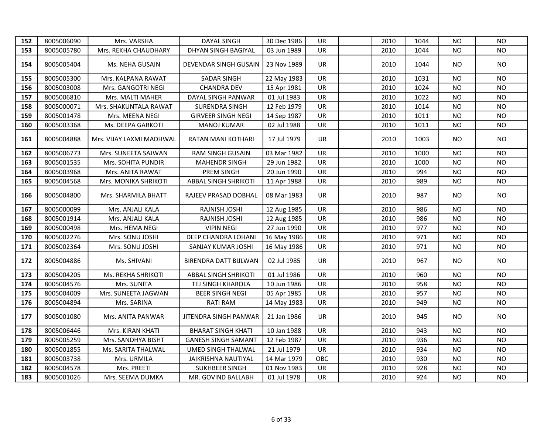| 152 | 8005006090 | Mrs. VARSHA              | <b>DAYAL SINGH</b>          | 30 Dec 1986 | UR        | 2010 | 1044 | <b>NO</b> | <b>NO</b>      |
|-----|------------|--------------------------|-----------------------------|-------------|-----------|------|------|-----------|----------------|
| 153 | 8005005780 | Mrs. REKHA CHAUDHARY     | <b>DHYAN SINGH BAGIYAL</b>  | 03 Jun 1989 | UR        | 2010 | 1044 | NO        | <b>NO</b>      |
| 154 | 8005005404 | Ms. NEHA GUSAIN          | DEVENDAR SINGH GUSAIN       | 23 Nov 1989 | <b>UR</b> | 2010 | 1044 | NO.       | <b>NO</b>      |
| 155 | 8005005300 | Mrs. KALPANA RAWAT       | <b>SADAR SINGH</b>          | 22 May 1983 | UR.       | 2010 | 1031 | NO.       | N <sub>O</sub> |
| 156 | 8005003008 | Mrs. GANGOTRI NEGI       | <b>CHANDRA DEV</b>          | 15 Apr 1981 | UR        | 2010 | 1024 | NO        | <b>NO</b>      |
| 157 | 8005006810 | Mrs. MALTI MAHER         | DAYAL SINGH PANWAR          | 01 Jul 1983 | UR        | 2010 | 1022 | NO        | <b>NO</b>      |
| 158 | 8005000071 | Mrs. SHAKUNTALA RAWAT    | SURENDRA SINGH              | 12 Feb 1979 | <b>UR</b> | 2010 | 1014 | NO.       | N <sub>O</sub> |
| 159 | 8005001478 | Mrs. MEENA NEGI          | <b>GIRVEER SINGH NEGI</b>   | 14 Sep 1987 | UR        | 2010 | 1011 | NO        | <b>NO</b>      |
| 160 | 8005003368 | Ms. DEEPA GARKOTI        | <b>MANOJ KUMAR</b>          | 02 Jul 1988 | UR        | 2010 | 1011 | <b>NO</b> | <b>NO</b>      |
| 161 | 8005004888 | Mrs. VIJAY LAXMI MADHWAL | RATAN MANI KOTHARI          | 17 Jul 1979 | UR.       | 2010 | 1003 | <b>NO</b> | <b>NO</b>      |
| 162 | 8005006773 | Mrs. SUNEETA SAJWAN      | <b>RAM SINGH GUSAIN</b>     | 03 Mar 1982 | UR        | 2010 | 1000 | NO        | NO.            |
| 163 | 8005001535 | Mrs. SOHITA PUNDIR       | <b>MAHENDR SINGH</b>        | 29 Jun 1982 | UR        | 2010 | 1000 | <b>NO</b> | <b>NO</b>      |
| 164 | 8005003968 | Mrs. ANITA RAWAT         | PREM SINGH                  | 20 Jun 1990 | UR        | 2010 | 994  | <b>NO</b> | NO.            |
| 165 | 8005004568 | Mrs. MONIKA SHRIKOTI     | <b>ABBAL SINGH SHRIKOTI</b> | 11 Apr 1988 | UR        | 2010 | 989  | <b>NO</b> | <b>NO</b>      |
| 166 | 8005004800 | Mrs. SHARMILA BHATT      | RAJEEV PRASAD DOBHAL        | 08 Mar 1983 | UR        | 2010 | 987  | NO.       | <b>NO</b>      |
| 167 | 8005000099 | Mrs. ANJALI KALA         | RAJNISH JOSHI               | 12 Aug 1985 | UR        | 2010 | 986  | NO        | <b>NO</b>      |
| 168 | 8005001914 | Mrs. ANJALI KALA         | RAJNISH JOSHI               | 12 Aug 1985 | <b>UR</b> | 2010 | 986  | <b>NO</b> | NO.            |
| 169 | 8005000498 | Mrs. HEMA NEGI           | <b>VIPIN NEGI</b>           | 27 Jun 1990 | UR        | 2010 | 977  | NO        | <b>NO</b>      |
| 170 | 8005002276 | Mrs. SONU JOSHI          | DEEP CHANDRA LOHANI         | 16 May 1986 | UR        | 2010 | 971  | <b>NO</b> | <b>NO</b>      |
| 171 | 8005002364 | Mrs. SONU JOSHI          | SANJAY KUMAR JOSHI          | 16 May 1986 | UR        | 2010 | 971  | <b>NO</b> | <b>NO</b>      |
| 172 | 8005004886 | Ms. SHIVANI              | BIRENDRA DATT BIJLWAN       | 02 Jul 1985 | UR        | 2010 | 967  | NO.       | NO.            |
| 173 | 8005004205 | Ms. REKHA SHRIKOTI       | <b>ABBAL SINGH SHRIKOTI</b> | 01 Jul 1986 | <b>UR</b> | 2010 | 960  | <b>NO</b> | <b>NO</b>      |
| 174 | 8005004576 | Mrs. SUNITA              | TEJ SINGH KHAROLA           | 10 Jun 1986 | <b>UR</b> | 2010 | 958  | <b>NO</b> | <b>NO</b>      |
| 175 | 8005004009 | Mrs. SUNEETA JAGWAN      | <b>BEER SINGH NEGI</b>      | 05 Apr 1985 | UR        | 2010 | 957  | NO        | <b>NO</b>      |
| 176 | 8005004894 | Mrs. SARINA              | <b>RATI RAM</b>             | 14 May 1983 | UR        | 2010 | 949  | <b>NO</b> | <b>NO</b>      |
| 177 | 8005001080 | Mrs. ANITA PANWAR        | JITENDRA SINGH PANWAR       | 21 Jan 1986 | UR        | 2010 | 945  | NO.       | <b>NO</b>      |
| 178 | 8005006446 | Mrs. KIRAN KHATI         | <b>BHARAT SINGH KHATI</b>   | 10 Jan 1988 | <b>UR</b> | 2010 | 943  | <b>NO</b> | <b>NO</b>      |
| 179 | 8005005259 | Mrs. SANDHYA BISHT       | <b>GANESH SINGH SAMANT</b>  | 12 Feb 1987 | UR        | 2010 | 936  | <b>NO</b> | <b>NO</b>      |
| 180 | 8005001855 | Ms. SARITA THALWAL       | UMED SINGH THALWAL          | 21 Jul 1979 | <b>UR</b> | 2010 | 934  | <b>NO</b> | <b>NO</b>      |
| 181 | 8005003738 | Mrs. URMILA              | JAIKRISHNA NAUTIYAL         | 14 Mar 1979 | OBC       | 2010 | 930  | <b>NO</b> | <b>NO</b>      |
| 182 | 8005004578 | Mrs. PREETI              | SUKHBEER SINGH              | 01 Nov 1983 | <b>UR</b> | 2010 | 928  | <b>NO</b> | <b>NO</b>      |
| 183 | 8005001026 | Mrs. SEEMA DUMKA         | MR. GOVIND BALLABH          | 01 Jul 1978 | UR        | 2010 | 924  | <b>NO</b> | <b>NO</b>      |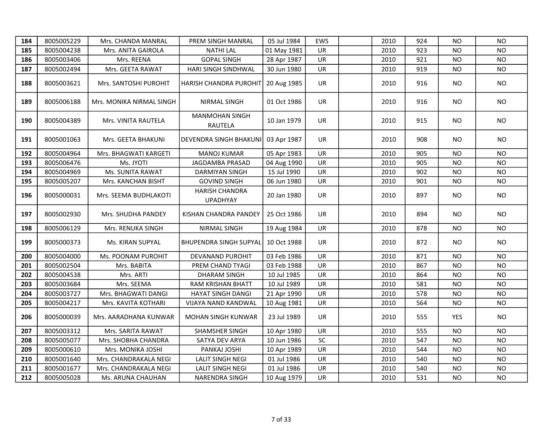| 184 | 8005005229 | Mrs. CHANDA MANRAL       | PREM SINGH MANRAL                        | 05 Jul 1984 | <b>EWS</b> | 2010 | 924 | <b>NO</b>  | <b>NO</b> |
|-----|------------|--------------------------|------------------------------------------|-------------|------------|------|-----|------------|-----------|
| 185 | 8005004238 | Mrs. ANITA GAIROLA       | <b>NATHI LAL</b>                         | 01 May 1981 | UR         | 2010 | 923 | <b>NO</b>  | <b>NO</b> |
| 186 | 8005003406 | Mrs. REENA               | <b>GOPAL SINGH</b>                       | 28 Apr 1987 | UR         | 2010 | 921 | <b>NO</b>  | <b>NO</b> |
| 187 | 8005002494 | Mrs. GEETA RAWAT         | HARI SINGH SINDHWAL                      | 30 Jun 1980 | UR         | 2010 | 919 | NO.        | <b>NO</b> |
| 188 | 8005003621 | Mrs. SANTOSHI PUROHIT    | HARISH CHANDRA PUROHIT                   | 20 Aug 1985 | <b>UR</b>  | 2010 | 916 | NO.        | <b>NO</b> |
| 189 | 8005006188 | Mrs. MONIKA NIRMAL SINGH | NIRMAL SINGH                             | 01 Oct 1986 | UR         | 2010 | 916 | NO.        | NO        |
| 190 | 8005004389 | Mrs. VINITA RAUTELA      | <b>MANMOHAN SINGH</b><br>RAUTELA         | 10 Jan 1979 | UR         | 2010 | 915 | NO.        | NO.       |
| 191 | 8005001063 | Mrs. GEETA BHAKUNI       | DEVENDRA SINGH BHAKUNI                   | 03 Apr 1987 | UR.        | 2010 | 908 | NO.        | NO.       |
| 192 | 8005004964 | Mrs. BHAGWATI KARGETI    | <b>MANOJ KUMAR</b>                       | 05 Apr 1983 | UR         | 2010 | 905 | <b>NO</b>  | <b>NO</b> |
| 193 | 8005006476 | Ms. JYOTI                | JAGDAMBA PRASAD                          | 04 Aug 1990 | UR         | 2010 | 905 | <b>NO</b>  | <b>NO</b> |
| 194 | 8005004969 | Ms. SUNITA RAWAT         | <b>DARMIYAN SINGH</b>                    | 15 Jul 1990 | UR         | 2010 | 902 | <b>NO</b>  | <b>NO</b> |
| 195 | 8005005207 | Mrs. KANCHAN BISHT       | <b>GOVIND SINGH</b>                      | 06 Jun 1980 | UR         | 2010 | 901 | <b>NO</b>  | <b>NO</b> |
| 196 | 8005000031 | Mrs. SEEMA BUDHLAKOTI    | <b>HARISH CHANDRA</b><br><b>UPADHYAY</b> | 20 Jan 1980 | UR         | 2010 | 897 | NO.        | <b>NO</b> |
| 197 | 8005002930 | Mrs. SHUDHA PANDEY       | KISHAN CHANDRA PANDEY                    | 25 Oct 1986 | UR         | 2010 | 894 | NO.        | NO.       |
| 198 | 8005006129 | Mrs. RENUKA SINGH        | NIRMAL SINGH                             | 19 Aug 1984 | UR         | 2010 | 878 | <b>NO</b>  | NO.       |
| 199 | 8005000373 | Ms. KIRAN SUPYAL         | <b>BHUPENDRA SINGH SUPYAL</b>            | 10 Oct 1988 | UR         | 2010 | 872 | NO.        | NO.       |
| 200 | 8005004000 | Ms. POONAM PUROHIT       | DEVANAND PUROHIT                         | 03 Feb 1986 | UR         | 2010 | 871 | <b>NO</b>  | <b>NO</b> |
| 201 | 8005002504 | Mrs. BABITA              | PREM CHAND TYAGI                         | 03 Feb 1988 | <b>UR</b>  | 2010 | 867 | <b>NO</b>  | <b>NO</b> |
| 202 | 8005004538 | Mrs. ARTI                | <b>DHARAM SINGH</b>                      | 10 Jul 1985 | UR         | 2010 | 864 | <b>NO</b>  | <b>NO</b> |
| 203 | 8005003684 | Mrs. SEEMA               | <b>RAM KRISHAN BHATT</b>                 | 10 Jul 1989 | <b>UR</b>  | 2010 | 581 | <b>NO</b>  | <b>NO</b> |
| 204 | 8005003727 | Mrs. BHAGWATI DANGI      | HAYAT SINGH DANGI                        | 21 Apr 1990 | UR         | 2010 | 578 | <b>NO</b>  | <b>NO</b> |
| 205 | 8005004217 | Mrs. KAVITA KOTHARI      | VIJAYA NAND KANDWAL                      | 10 Aug 1981 | UR         | 2010 | 564 | <b>NO</b>  | <b>NO</b> |
| 206 | 8005000039 | Mrs. AARADHANA KUNWAR    | MOHAN SINGH KUNWAR                       | 23 Jul 1989 | <b>UR</b>  | 2010 | 555 | <b>YES</b> | <b>NO</b> |
| 207 | 8005003312 | Mrs. SARITA RAWAT        | SHAMSHER SINGH                           | 10 Apr 1980 | UR         | 2010 | 555 | <b>NO</b>  | <b>NO</b> |
| 208 | 8005005077 | Mrs. SHOBHA CHANDRA      | SATYA DEV ARYA                           | 10 Jun 1986 | SC         | 2010 | 547 | <b>NO</b>  | <b>NO</b> |
| 209 | 8005000610 | Mrs. MONIKA JOSHI        | PANKAJ JOSHI                             | 10 Apr 1989 | UR         | 2010 | 544 | <b>NO</b>  | <b>NO</b> |
| 210 | 8005001640 | Mrs. CHANDRAKALA NEGI    | <b>LALIT SINGH NEGI</b>                  | 01 Jul 1986 | UR         | 2010 | 540 | <b>NO</b>  | <b>NO</b> |
| 211 | 8005001677 | Mrs. CHANDRAKALA NEGI    | <b>LALIT SINGH NEGI</b>                  | 01 Jul 1986 | UR         | 2010 | 540 | <b>NO</b>  | <b>NO</b> |
| 212 | 8005005028 | Ms. ARUNA CHAUHAN        | NARENDRA SINGH                           | 10 Aug 1979 | UR         | 2010 | 531 | <b>NO</b>  | <b>NO</b> |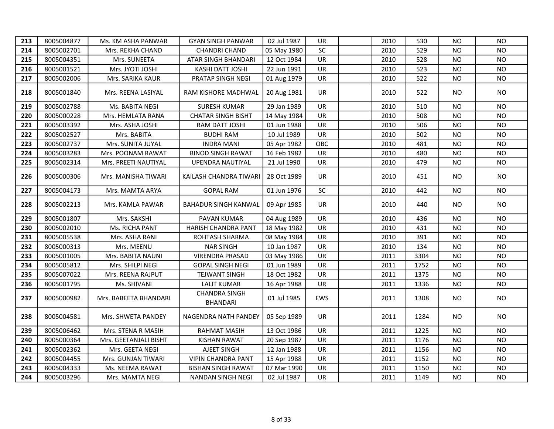| 213 | 8005004877 | Ms. KM ASHA PANWAR    | <b>GYAN SINGH PANWAR</b>                | 02 Jul 1987 | UR.       | 2010 | 530  | NO.       | NO.       |
|-----|------------|-----------------------|-----------------------------------------|-------------|-----------|------|------|-----------|-----------|
| 214 | 8005002701 | Mrs. REKHA CHAND      | <b>CHANDRI CHAND</b>                    | 05 May 1980 | SC        | 2010 | 529  | NO.       | <b>NO</b> |
| 215 | 8005004351 | Mrs. SUNEETA          | ATAR SINGH BHANDARI                     | 12 Oct 1984 | UR        | 2010 | 528  | <b>NO</b> | <b>NO</b> |
| 216 | 8005001521 | Mrs. JYOTI JOSHI      | KASHI DATT JOSHI                        | 22 Jun 1991 | UR        | 2010 | 523  | NO.       | <b>NO</b> |
| 217 | 8005002006 | Mrs. SARIKA KAUR      | PRATAP SINGH NEGI                       | 01 Aug 1979 | UR        | 2010 | 522  | NO.       | <b>NO</b> |
| 218 | 8005001840 | Mrs. REENA LASIYAL    | RAM KISHORE MADHWAL                     | 20 Aug 1981 | <b>UR</b> | 2010 | 522  | NO.       | <b>NO</b> |
| 219 | 8005002788 | Ms. BABITA NEGI       | <b>SURESH KUMAR</b>                     | 29 Jan 1989 | UR.       | 2010 | 510  | NO.       | <b>NO</b> |
| 220 | 8005000228 | Mrs. HEMLATA RANA     | <b>CHATAR SINGH BISHT</b>               | 14 May 1984 | UR        | 2010 | 508  | NO.       | NO.       |
| 221 | 8005003392 | Mrs. ASHA JOSHI       | RAM DATT JOSHI                          | 01 Jun 1988 | UR        | 2010 | 506  | NO.       | <b>NO</b> |
| 222 | 8005002527 | Mrs. BABITA           | <b>BUDHI RAM</b>                        | 10 Jul 1989 | UR        | 2010 | 502  | NO.       | <b>NO</b> |
| 223 | 8005002737 | Mrs. SUNITA JUYAL     | <b>INDRA MANI</b>                       | 05 Apr 1982 | OBC       | 2010 | 481  | NO.       | <b>NO</b> |
| 224 | 8005003283 | Mrs. POONAM RAWAT     | <b>BINOD SINGH RAWAT</b>                | 16 Feb 1982 | UR        | 2010 | 480  | NO.       | <b>NO</b> |
| 225 | 8005002314 | Mrs. PREETI NAUTIYAL  | UPENDRA NAUTIYAL                        | 21 Jul 1990 | UR        | 2010 | 479  | <b>NO</b> | <b>NO</b> |
| 226 | 8005000306 | Mrs. MANISHA TIWARI   | KAILASH CHANDRA TIWARI                  | 28 Oct 1989 | UR.       | 2010 | 451  | NO.       | NO.       |
| 227 | 8005004173 | Mrs. MAMTA ARYA       | <b>GOPAL RAM</b>                        | 01 Jun 1976 | SC        | 2010 | 442  | NO.       | NO.       |
| 228 | 8005002213 | Mrs. KAMLA PAWAR      | BAHADUR SINGH KANWAL                    | 09 Apr 1985 | UR        | 2010 | 440  | NO.       | <b>NO</b> |
| 229 | 8005001807 | Mrs. SAKSHI           | PAVAN KUMAR                             | 04 Aug 1989 | <b>UR</b> | 2010 | 436  | NO.       | <b>NO</b> |
| 230 | 8005002010 | Ms. RICHA PANT        | <b>HARISH CHANDRA PANT</b>              | 18 May 1982 | <b>UR</b> | 2010 | 431  | <b>NO</b> | <b>NO</b> |
| 231 | 8005005538 | Mrs. ASHA RANI        | ROHTASH SHARMA                          | 08 May 1984 | UR        | 2010 | 391  | <b>NO</b> | <b>NO</b> |
| 232 | 8005000313 | Mrs. MEENU            | <b>NAR SINGH</b>                        | 10 Jan 1987 | <b>UR</b> | 2010 | 134  | NO.       | <b>NO</b> |
| 233 | 8005001005 | Mrs. BABITA NAUNI     | <b>VIRENDRA PRASAD</b>                  | 03 May 1986 | <b>UR</b> | 2011 | 3304 | <b>NO</b> | <b>NO</b> |
| 234 | 8005005812 | Mrs. SHILPI NEGI      | <b>GOPAL SINGH NEGI</b>                 | 01 Jun 1989 | <b>UR</b> | 2011 | 1752 | NO.       | <b>NO</b> |
| 235 | 8005007022 | Mrs. REENA RAJPUT     | <b>TEJWANT SINGH</b>                    | 18 Oct 1982 | <b>UR</b> | 2011 | 1375 | NO.       | <b>NO</b> |
| 236 | 8005001795 | Ms. SHIVANI           | <b>LALIT KUMAR</b>                      | 16 Apr 1988 | UR        | 2011 | 1336 | <b>NO</b> | <b>NO</b> |
| 237 | 8005000982 | Mrs. BABEETA BHANDARI | <b>CHANDRA SINGH</b><br><b>BHANDARI</b> | 01 Jul 1985 | EWS       | 2011 | 1308 | NO.       | <b>NO</b> |
| 238 | 8005004581 | Mrs. SHWETA PANDEY    | NAGENDRA NATH PANDEY                    | 05 Sep 1989 | <b>UR</b> | 2011 | 1284 | NO.       | NO.       |
| 239 | 8005006462 | Mrs. STENA R MASIH    | <b>RAHMAT MASIH</b>                     | 13 Oct 1986 | <b>UR</b> | 2011 | 1225 | <b>NO</b> | <b>NO</b> |
| 240 | 8005000364 | Mrs. GEETANJALI BISHT | <b>KISHAN RAWAT</b>                     | 20 Sep 1987 | UR        | 2011 | 1176 | NO.       | <b>NO</b> |
| 241 | 8005002362 | Mrs. GEETA NEGI       | AJEET SINGH                             | 12 Jan 1988 | UR        | 2011 | 1156 | <b>NO</b> | <b>NO</b> |
| 242 | 8005004455 | Mrs. GUNJAN TIWARI    | <b>VIPIN CHANDRA PANT</b>               | 15 Apr 1988 | UR        | 2011 | 1152 | <b>NO</b> | <b>NO</b> |
| 243 | 8005004333 | Ms. NEEMA RAWAT       | <b>BISHAN SINGH RAWAT</b>               | 07 Mar 1990 | UR        | 2011 | 1150 | <b>NO</b> | <b>NO</b> |
| 244 | 8005003296 | Mrs. MAMTA NEGI       | NANDAN SINGH NEGI                       | 02 Jul 1987 | <b>UR</b> | 2011 | 1149 | <b>NO</b> | <b>NO</b> |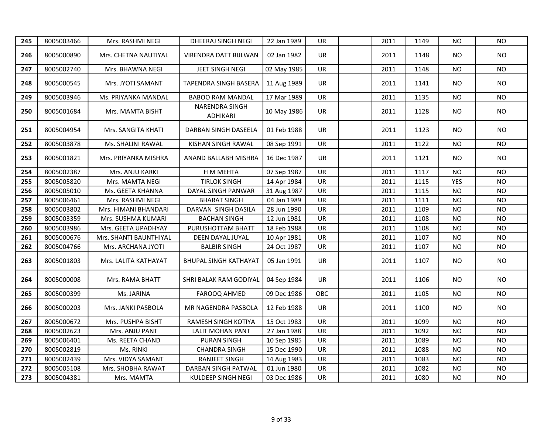| 245 | 8005003466 | Mrs. RASHMI NEGI       | DHEERAJ SINGH NEGI                | 22 Jan 1989 | <b>UR</b> | 2011 | 1149 | <b>NO</b>  | <b>NO</b> |
|-----|------------|------------------------|-----------------------------------|-------------|-----------|------|------|------------|-----------|
| 246 | 8005000890 | Mrs. CHETNA NAUTIYAL   | VIRENDRA DATT BIJLWAN             | 02 Jan 1982 | <b>UR</b> | 2011 | 1148 | NO.        | <b>NO</b> |
| 247 | 8005002740 | Mrs. BHAWNA NEGI       | JEET SINGH NEGI                   | 02 May 1985 | <b>UR</b> | 2011 | 1148 | NO.        | <b>NO</b> |
| 248 | 8005000545 | Mrs. JYOTI SAMANT      | TAPENDRA SINGH BASERA             | 11 Aug 1989 | <b>UR</b> | 2011 | 1141 | NO.        | <b>NO</b> |
| 249 | 8005003946 | Ms. PRIYANKA MANDAL    | <b>BABOO RAM MANDAL</b>           | 17 Mar 1989 | <b>UR</b> | 2011 | 1135 | NO.        | <b>NO</b> |
| 250 | 8005001684 | Mrs. MAMTA BISHT       | <b>NARENDRA SINGH</b><br>ADHIKARI | 10 May 1986 | <b>UR</b> | 2011 | 1128 | NO.        | <b>NO</b> |
| 251 | 8005004954 | Mrs. SANGITA KHATI     | DARBAN SINGH DASEELA              | 01 Feb 1988 | <b>UR</b> | 2011 | 1123 | NO.        | <b>NO</b> |
| 252 | 8005003878 | Ms. SHALINI RAWAL      | KISHAN SINGH RAWAL                | 08 Sep 1991 | UR        | 2011 | 1122 | NO.        | NO.       |
| 253 | 8005001821 | Mrs. PRIYANKA MISHRA   | <b>ANAND BALLABH MISHRA</b>       | 16 Dec 1987 | <b>UR</b> | 2011 | 1121 | NO.        | <b>NO</b> |
| 254 | 8005002387 | Mrs. ANJU KARKI        | H M MEHTA                         | 07 Sep 1987 | <b>UR</b> | 2011 | 1117 | <b>NO</b>  | <b>NO</b> |
| 255 | 8005005820 | Mrs. MAMTA NEGI        | <b>TIRLOK SINGH</b>               | 14 Apr 1984 | <b>UR</b> | 2011 | 1115 | <b>YES</b> | <b>NO</b> |
| 256 | 8005005010 | Ms. GEETA KHANNA       | DAYAL SINGH PANWAR                | 31 Aug 1987 | UR        | 2011 | 1115 | NO.        | <b>NO</b> |
| 257 | 8005006461 | Mrs. RASHMI NEGI       | <b>BHARAT SINGH</b>               | 04 Jan 1989 | <b>UR</b> | 2011 | 1111 | <b>NO</b>  | <b>NO</b> |
| 258 | 8005003802 | Mrs. HIMANI BHANDARI   | DARVAN SINGH DASILA               | 28 Jun 1990 | <b>UR</b> | 2011 | 1109 | NO.        | <b>NO</b> |
| 259 | 8005003359 | Mrs. SUSHMA KUMARI     | <b>BACHAN SINGH</b>               | 12 Jun 1981 | UR        | 2011 | 1108 | <b>NO</b>  | <b>NO</b> |
| 260 | 8005003986 | Mrs. GEETA UPADHYAY    | PURUSHOTTAM BHATT                 | 18 Feb 1988 | <b>UR</b> | 2011 | 1108 | <b>NO</b>  | <b>NO</b> |
| 261 | 8005000676 | Mrs. SHANTI BAUNTHIYAL | DEEN DAYAL JUYAL                  | 10 Apr 1981 | UR        | 2011 | 1107 | <b>NO</b>  | <b>NO</b> |
| 262 | 8005004766 | Mrs. ARCHANA JYOTI     | <b>BALBIR SINGH</b>               | 24 Oct 1987 | <b>UR</b> | 2011 | 1107 | <b>NO</b>  | <b>NO</b> |
| 263 | 8005001803 | Mrs. LALITA KATHAYAT   | <b>BHUPAL SINGH KATHAYAT</b>      | 05 Jan 1991 | UR        | 2011 | 1107 | NO.        | <b>NO</b> |
| 264 | 8005000008 | Mrs. RAMA BHATT        | SHRI BALAK RAM GODIYAL            | 04 Sep 1984 | UR        | 2011 | 1106 | NO.        | <b>NO</b> |
| 265 | 8005000399 | Ms. JARINA             | FAROOQ AHMED                      | 09 Dec 1986 | OBC       | 2011 | 1105 | <b>NO</b>  | <b>NO</b> |
| 266 | 8005000203 | Mrs. JANKI PASBOLA     | MR NAGENDRA PASBOLA               | 12 Feb 1988 | UR        | 2011 | 1100 | NO.        | <b>NO</b> |
| 267 | 8005000672 | Mrs. PUSHPA BISHT      | RAMESH SINGH KOTIYA               | 15 Oct 1983 | <b>UR</b> | 2011 | 1099 | <b>NO</b>  | <b>NO</b> |
| 268 | 8005002623 | Mrs. ANJU PANT         | <b>LALIT MOHAN PANT</b>           | 27 Jan 1988 | <b>UR</b> | 2011 | 1092 | <b>NO</b>  | <b>NO</b> |
| 269 | 8005006401 | Ms. REETA CHAND        | <b>PURAN SINGH</b>                | 10 Sep 1985 | UR        | 2011 | 1089 | <b>NO</b>  | <b>NO</b> |
| 270 | 8005002819 | Ms. RINKI              | <b>CHANDRA SINGH</b>              | 15 Dec 1990 | UR        | 2011 | 1088 | <b>NO</b>  | <b>NO</b> |
| 271 | 8005002439 | Mrs. VIDYA SAMANT      | <b>RANJEET SINGH</b>              | 14 Aug 1983 | <b>UR</b> | 2011 | 1083 | <b>NO</b>  | <b>NO</b> |
| 272 | 8005005108 | Mrs. SHOBHA RAWAT      | DARBAN SINGH PATWAL               | 01 Jun 1980 | UR        | 2011 | 1082 | <b>NO</b>  | <b>NO</b> |
| 273 | 8005004381 | Mrs. MAMTA             | KULDEEP SINGH NEGI                | 03 Dec 1986 | UR        | 2011 | 1080 | <b>NO</b>  | <b>NO</b> |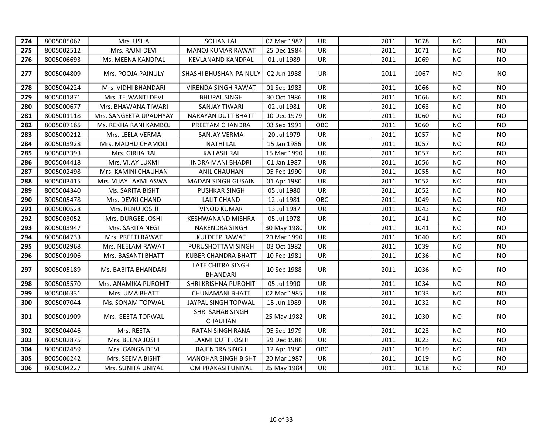| 274 | 8005005062 | Mrs. USHA              | <b>SOHAN LAL</b>                     | 02 Mar 1982 | UR.       | 2011 | 1078 | <b>NO</b> | N <sub>O</sub> |
|-----|------------|------------------------|--------------------------------------|-------------|-----------|------|------|-----------|----------------|
| 275 | 8005002512 | Mrs. RAJNI DEVI        | <b>MANOJ KUMAR RAWAT</b>             | 25 Dec 1984 | <b>UR</b> | 2011 | 1071 | NO.       | <b>NO</b>      |
| 276 | 8005006693 | Ms. MEENA KANDPAL      | <b>KEVLANAND KANDPAL</b>             | 01 Jul 1989 | UR        | 2011 | 1069 | NO.       | <b>NO</b>      |
| 277 | 8005004809 | Mrs. POOJA PAINULY     | SHASHI BHUSHAN PAINULY               | 02 Jun 1988 | UR.       | 2011 | 1067 | NO.       | NO.            |
| 278 | 8005004224 | Mrs. VIDHI BHANDARI    | <b>VIRENDA SINGH RAWAT</b>           | 01 Sep 1983 | UR        | 2011 | 1066 | <b>NO</b> | <b>NO</b>      |
| 279 | 8005001871 | Mrs. TEJWANTI DEVI     | <b>BHUPAL SINGH</b>                  | 30 Oct 1986 | UR        | 2011 | 1066 | NO        | <b>NO</b>      |
| 280 | 8005000677 | Mrs. BHAWANA TIWARI    | <b>SANJAY TIWARI</b>                 | 02 Jul 1981 | UR        | 2011 | 1063 | <b>NO</b> | <b>NO</b>      |
| 281 | 8005001118 | Mrs. SANGEETA UPADHYAY | NARAYAN DUTT BHATT                   | 10 Dec 1979 | <b>UR</b> | 2011 | 1060 | NO.       | <b>NO</b>      |
| 282 | 8005007165 | Ms. REKHA RANI KAMBOJ  | PREETAM CHANDRA                      | 03 Sep 1991 | OBC       | 2011 | 1060 | NO.       | <b>NO</b>      |
| 283 | 8005000212 | Mrs. LEELA VERMA       | SANJAY VERMA                         | 20 Jul 1979 | <b>UR</b> | 2011 | 1057 | NO.       | <b>NO</b>      |
| 284 | 8005003928 | Mrs. MADHU CHAMOLI     | <b>NATHI LAL</b>                     | 15 Jan 1986 | <b>UR</b> | 2011 | 1057 | <b>NO</b> | <b>NO</b>      |
| 285 | 8005003393 | Mrs. GIRIJA RAI        | <b>KAILASH RAI</b>                   | 15 Mar 1990 | UR        | 2011 | 1057 | <b>NO</b> | <b>NO</b>      |
| 286 | 8005004418 | Mrs. VIJAY LUXMI       | <b>INDRA MANI BHADRI</b>             | 01 Jan 1987 | UR        | 2011 | 1056 | ΝO        | <b>NO</b>      |
| 287 | 8005002498 | Mrs. KAMINI CHAUHAN    | ANIL CHAUHAN                         | 05 Feb 1990 | UR        | 2011 | 1055 | ΝO        | <b>NO</b>      |
| 288 | 8005003415 | Mrs. VIJAY LAXMI ASWAL | <b>MADAN SINGH GUSAIN</b>            | 01 Apr 1980 | <b>UR</b> | 2011 | 1052 | NO        | <b>NO</b>      |
| 289 | 8005004340 | Ms. SARITA BISHT       | <b>PUSHKAR SINGH</b>                 | 05 Jul 1980 | <b>UR</b> | 2011 | 1052 | <b>NO</b> | <b>NO</b>      |
| 290 | 8005005478 | Mrs. DEVKI CHAND       | <b>LALIT CHAND</b>                   | 12 Jul 1981 | OBC       | 2011 | 1049 | <b>NO</b> | <b>NO</b>      |
| 291 | 8005000528 | Mrs. RENU JOSHI        | <b>VINOD KUMAR</b>                   | 13 Jul 1987 | <b>UR</b> | 2011 | 1043 | ΝO        | <b>NO</b>      |
| 292 | 8005003052 | Mrs. DURGEE JOSHI      | KESHWANAND MISHRA                    | 05 Jul 1978 | <b>UR</b> | 2011 | 1041 | <b>NO</b> | <b>NO</b>      |
| 293 | 8005003947 | Mrs. SARITA NEGI       | NARENDRA SINGH                       | 30 May 1980 | UR        | 2011 | 1041 | <b>NO</b> | <b>NO</b>      |
| 294 | 8005004733 | Mrs. PREETI RAWAT      | <b>KULDEEP RAWAT</b>                 | 20 Mar 1990 | UR        | 2011 | 1040 | <b>NO</b> | <b>NO</b>      |
| 295 | 8005002968 | Mrs. NEELAM RAWAT      | PURUSHOTTAM SINGH                    | 03 Oct 1982 | UR        | 2011 | 1039 | <b>NO</b> | <b>NO</b>      |
| 296 | 8005001906 | Mrs. BASANTI BHATT     | <b>KUBER CHANDRA BHATT</b>           | 10 Feb 1981 | <b>UR</b> | 2011 | 1036 | <b>NO</b> | <b>NO</b>      |
| 297 | 8005005189 | Ms. BABITA BHANDARI    | LATE CHITRA SINGH<br><b>BHANDARI</b> | 10 Sep 1988 | UR        | 2011 | 1036 | NO.       | <b>NO</b>      |
| 298 | 8005005570 | Mrs. ANAMIKA PUROHIT   | SHRI KRISHNA PUROHIT                 | 05 Jul 1990 | <b>UR</b> | 2011 | 1034 | <b>NO</b> | <b>NO</b>      |
| 299 | 8005006331 | Mrs. UMA BHATT         | <b>CHUNAMANI BHATT</b>               | 02 Mar 1985 | UR        | 2011 | 1033 | <b>NO</b> | <b>NO</b>      |
| 300 | 8005007044 | Ms. SONAM TOPWAL       | JAYPAL SINGH TOPWAL                  | 15 Jun 1989 | UR        | 2011 | 1032 | <b>NO</b> | <b>NO</b>      |
| 301 | 8005001909 | Mrs. GEETA TOPWAL      | SHRI SAHAB SINGH<br>CHAUHAN          | 25 May 1982 | <b>UR</b> | 2011 | 1030 | NO.       | <b>NO</b>      |
| 302 | 8005004046 | Mrs. REETA             | <b>RATAN SINGH RANA</b>              | 05 Sep 1979 | UR        | 2011 | 1023 | NO.       | <b>NO</b>      |
| 303 | 8005002875 | Mrs. BEENA JOSHI       | LAXMI DUTT JOSHI                     | 29 Dec 1988 | <b>UR</b> | 2011 | 1023 | ΝO        | <b>NO</b>      |
| 304 | 8005002459 | Mrs. GANGA DEVI        | RAJENDRA SINGH                       | 12 Apr 1980 | OBC       | 2011 | 1019 | <b>NO</b> | <b>NO</b>      |
| 305 | 8005006242 | Mrs. SEEMA BISHT       | <b>MANOHAR SINGH BISHT</b>           | 20 Mar 1987 | <b>UR</b> | 2011 | 1019 | <b>NO</b> | <b>NO</b>      |
| 306 | 8005004227 | Mrs. SUNITA UNIYAL     | OM PRAKASH UNIYAL                    | 25 May 1984 | UR        | 2011 | 1018 | <b>NO</b> | <b>NO</b>      |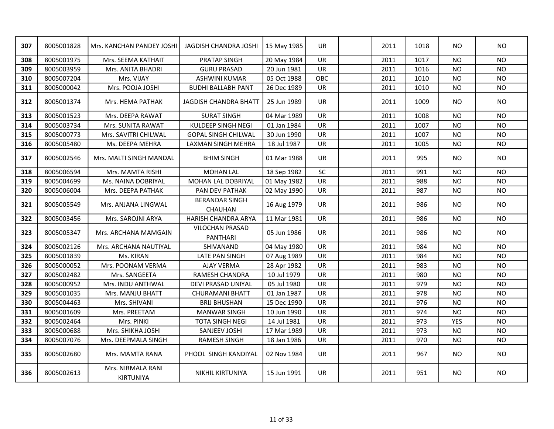| 307 | 8005001828 | Mrs. KANCHAN PANDEY JOSHI             | JAGDISH CHANDRA JOSHI                   | 15 May 1985 | <b>UR</b> | 2011 | 1018 | NO.            | <b>NO</b>      |
|-----|------------|---------------------------------------|-----------------------------------------|-------------|-----------|------|------|----------------|----------------|
| 308 | 8005001975 | Mrs. SEEMA KATHAIT                    | <b>PRATAP SINGH</b>                     | 20 May 1984 | UR        | 2011 | 1017 | <b>NO</b>      | <b>NO</b>      |
| 309 | 8005003959 | Mrs. ANITA BHADRI                     | <b>GURU PRASAD</b>                      | 20 Jun 1981 | <b>UR</b> | 2011 | 1016 | <b>NO</b>      | <b>NO</b>      |
| 310 | 8005007204 | Mrs. VIJAY                            | ASHWINI KUMAR                           | 05 Oct 1988 | OBC       | 2011 | 1010 | <b>NO</b>      | <b>NO</b>      |
| 311 | 8005000042 | Mrs. POOJA JOSHI                      | <b>BUDHI BALLABH PANT</b>               | 26 Dec 1989 | <b>UR</b> | 2011 | 1010 | <b>NO</b>      | <b>NO</b>      |
| 312 | 8005001374 | Mrs. HEMA PATHAK                      | <b>JAGDISH CHANDRA BHATT</b>            | 25 Jun 1989 | <b>UR</b> | 2011 | 1009 | NO.            | <b>NO</b>      |
| 313 | 8005001523 | Mrs. DEEPA RAWAT                      | <b>SURAT SINGH</b>                      | 04 Mar 1989 | UR        | 2011 | 1008 | <b>NO</b>      | <b>NO</b>      |
| 314 | 8005003734 | Mrs. SUNITA RAWAT                     | KULDEEP SINGH NEGI                      | 01 Jan 1984 | <b>UR</b> | 2011 | 1007 | <b>NO</b>      | <b>NO</b>      |
| 315 | 8005000773 | Mrs. SAVITRI CHILWAL                  | <b>GOPAL SINGH CHILWAL</b>              | 30 Jun 1990 | <b>UR</b> | 2011 | 1007 | <b>NO</b>      | <b>NO</b>      |
| 316 | 8005005480 | Ms. DEEPA MEHRA                       | LAXMAN SINGH MEHRA                      | 18 Jul 1987 | UR        | 2011 | 1005 | NO.            | <b>NO</b>      |
| 317 | 8005002546 | Mrs. MALTI SINGH MANDAL               | <b>BHIM SINGH</b>                       | 01 Mar 1988 | <b>UR</b> | 2011 | 995  | NO.            | <b>NO</b>      |
| 318 | 8005006594 | Mrs. MAMTA RISHI                      | <b>MOHAN LAL</b>                        | 18 Sep 1982 | <b>SC</b> | 2011 | 991  | NO.            | N <sub>O</sub> |
| 319 | 8005004699 | Ms. NAINA DOBRIYAL                    | MOHAN LAL DOBRIYAL                      | 01 May 1982 | <b>UR</b> | 2011 | 988  | <b>NO</b>      | <b>NO</b>      |
| 320 | 8005006004 | Mrs. DEEPA PATHAK                     | PAN DEV PATHAK                          | 02 May 1990 | UR        | 2011 | 987  | <b>NO</b>      | <b>NO</b>      |
| 321 | 8005005549 | Mrs. ANJANA LINGWAL                   | <b>BERANDAR SINGH</b><br><b>CHAUHAN</b> | 16 Aug 1979 | <b>UR</b> | 2011 | 986  | NO.            | <b>NO</b>      |
| 322 | 8005003456 | Mrs. SAROJNI ARYA                     | HARISH CHANDRA ARYA                     | 11 Mar 1981 | <b>UR</b> | 2011 | 986  | <b>NO</b>      | <b>NO</b>      |
| 323 | 8005005347 | Mrs. ARCHANA MAMGAIN                  | <b>VILOCHAN PRASAD</b><br>PANTHARI      | 05 Jun 1986 | <b>UR</b> | 2011 | 986  | NO.            | <b>NO</b>      |
| 324 | 8005002126 | Mrs. ARCHANA NAUTIYAL                 | SHIVANAND                               | 04 May 1980 | UR        | 2011 | 984  | <b>NO</b>      | <b>NO</b>      |
| 325 | 8005001839 | Ms. KIRAN                             | LATE PAN SINGH                          | 07 Aug 1989 | <b>UR</b> | 2011 | 984  | <b>NO</b>      | <b>NO</b>      |
| 326 | 8005000052 | Mrs. POONAM VERMA                     | <b>AJAY VERMA</b>                       | 28 Apr 1982 | <b>UR</b> | 2011 | 983  | <b>NO</b>      | <b>NO</b>      |
| 327 | 8005002482 | Mrs. SANGEETA                         | RAMESH CHANDRA                          | 10 Jul 1979 | UR        | 2011 | 980  | <b>NO</b>      | <b>NO</b>      |
| 328 | 8005000952 | Mrs. INDU ANTHWAL                     | DEVI PRASAD UNIYAL                      | 05 Jul 1980 | <b>UR</b> | 2011 | 979  | <b>NO</b>      | <b>NO</b>      |
| 329 | 8005001035 | Mrs. MANJU BHATT                      | <b>CHURAMANI BHATT</b>                  | 01 Jan 1987 | <b>UR</b> | 2011 | 978  | <b>NO</b>      | <b>NO</b>      |
| 330 | 8005004463 | Mrs. SHIVANI                          | <b>BRIJ BHUSHAN</b>                     | 15 Dec 1990 | <b>UR</b> | 2011 | 976  | <b>NO</b>      | <b>NO</b>      |
| 331 | 8005001609 | Mrs. PREETAM                          | <b>MANWAR SINGH</b>                     | 10 Jun 1990 | <b>UR</b> | 2011 | 974  | <b>NO</b>      | <b>NO</b>      |
| 332 | 8005002464 | Mrs. PINKI                            | <b>TOTA SINGH NEGI</b>                  | 14 Jul 1981 | <b>UR</b> | 2011 | 973  | <b>YES</b>     | <b>NO</b>      |
| 333 | 8005000688 | Mrs. SHIKHA JOSHI                     | SANJEEV JOSHI                           | 17 Mar 1989 | <b>UR</b> | 2011 | 973  | <b>NO</b>      | <b>NO</b>      |
| 334 | 8005007076 | Mrs. DEEPMALA SINGH                   | <b>RAMESH SINGH</b>                     | 18 Jan 1986 | UR        | 2011 | 970  | N <sub>O</sub> | <b>NO</b>      |
| 335 | 8005002680 | Mrs. MAMTA RANA                       | PHOOL SINGH KANDIYAL                    | 02 Nov 1984 | <b>UR</b> | 2011 | 967  | NO.            | <b>NO</b>      |
| 336 | 8005002613 | Mrs. NIRMALA RANI<br><b>KIRTUNIYA</b> | <b>NIKHIL KIRTUNIYA</b>                 | 15 Jun 1991 | <b>UR</b> | 2011 | 951  | NO.            | <b>NO</b>      |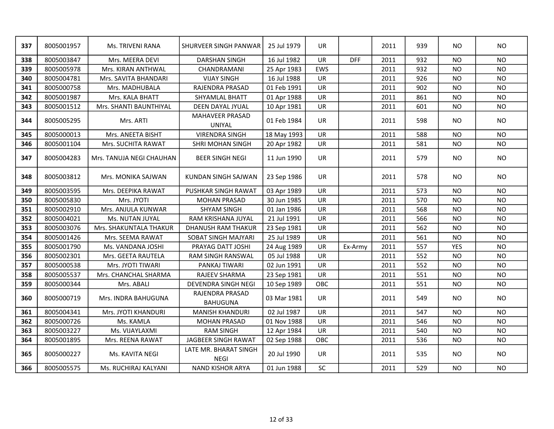| 337 | 8005001957 | Ms. TRIVENI RANA         | SHURVEER SINGH PANWAR                | 25 Jul 1979 | <b>UR</b> |            | 2011 | 939 | <b>NO</b>  | <b>NO</b>      |
|-----|------------|--------------------------|--------------------------------------|-------------|-----------|------------|------|-----|------------|----------------|
| 338 | 8005003847 | Mrs. MEERA DEVI          | <b>DARSHAN SINGH</b>                 | 16 Jul 1982 | <b>UR</b> | <b>DFF</b> | 2011 | 932 | NO.        | <b>NO</b>      |
| 339 | 8005005978 | Mrs. KIRAN ANTHWAL       | CHANDRAMANI                          | 25 Apr 1983 | EWS       |            | 2011 | 932 | <b>NO</b>  | <b>NO</b>      |
| 340 | 8005004781 | Mrs. SAVITA BHANDARI     | <b>VIJAY SINGH</b>                   | 16 Jul 1988 | <b>UR</b> |            | 2011 | 926 | NO.        | <b>NO</b>      |
| 341 | 8005000758 | Mrs. MADHUBALA           | RAJENDRA PRASAD                      | 01 Feb 1991 | <b>UR</b> |            | 2011 | 902 | <b>NO</b>  | <b>NO</b>      |
| 342 | 8005001987 | Mrs. KALA BHATT          | SHYAMLAL BHATT                       | 01 Apr 1988 | UR        |            | 2011 | 861 | <b>NO</b>  | <b>NO</b>      |
| 343 | 8005001512 | Mrs. SHANTI BAUNTHIYAL   | DEEN DAYAL JYUAL                     | 10 Apr 1981 | UR        |            | 2011 | 601 | <b>NO</b>  | <b>NO</b>      |
| 344 | 8005005295 | Mrs. ARTI                | <b>MAHAVEER PRASAD</b><br>UNIYAL     | 01 Feb 1984 | <b>UR</b> |            | 2011 | 598 | <b>NO</b>  | <b>NO</b>      |
| 345 | 8005000013 | Mrs. ANEETA BISHT        | <b>VIRENDRA SINGH</b>                | 18 May 1993 | UR        |            | 2011 | 588 | NO.        | <b>NO</b>      |
| 346 | 8005001104 | Mrs. SUCHITA RAWAT       | <b>SHRI MOHAN SINGH</b>              | 20 Apr 1982 | <b>UR</b> |            | 2011 | 581 | <b>NO</b>  | <b>NO</b>      |
| 347 | 8005004283 | Mrs. TANUJA NEGI CHAUHAN | <b>BEER SINGH NEGI</b>               | 11 Jun 1990 | UR        |            | 2011 | 579 | <b>NO</b>  | <b>NO</b>      |
| 348 | 8005003812 | Mrs. MONIKA SAJWAN       | KUNDAN SINGH SAJWAN                  | 23 Sep 1986 | <b>UR</b> |            | 2011 | 578 | <b>NO</b>  | N <sub>O</sub> |
| 349 | 8005003595 | Mrs. DEEPIKA RAWAT       | PUSHKAR SINGH RAWAT                  | 03 Apr 1989 | <b>UR</b> |            | 2011 | 573 | <b>NO</b>  | <b>NO</b>      |
| 350 | 8005005830 | Mrs. JYOTI               | <b>MOHAN PRASAD</b>                  | 30 Jun 1985 | <b>UR</b> |            | 2011 | 570 | <b>NO</b>  | <b>NO</b>      |
| 351 | 8005002910 | Mrs. ANJULA KUNWAR       | <b>SHYAM SINGH</b>                   | 01 Jan 1986 | <b>UR</b> |            | 2011 | 568 | <b>NO</b>  | <b>NO</b>      |
| 352 | 8005004021 | Ms. NUTAN JUYAL          | RAM KRISHANA JUYAL                   | 21 Jul 1991 | <b>UR</b> |            | 2011 | 566 | <b>NO</b>  | <b>NO</b>      |
| 353 | 8005003076 | Mrs. SHAKUNTALA THAKUR   | <b>DHANUSH RAM THAKUR</b>            | 23 Sep 1981 | UR        |            | 2011 | 562 | <b>NO</b>  | <b>NO</b>      |
| 354 | 8005001426 | Mrs. SEEMA RAWAT         | SOBAT SINGH MAJYARI                  | 25 Jul 1989 | <b>UR</b> |            | 2011 | 561 | <b>NO</b>  | <b>NO</b>      |
| 355 | 8005001790 | Ms. VANDANA JOSHI        | PRAYAG DATT JOSHI                    | 24 Aug 1989 | <b>UR</b> | Ex-Army    | 2011 | 557 | <b>YES</b> | <b>NO</b>      |
| 356 | 8005002301 | Mrs. GEETA RAUTELA       | <b>RAM SINGH RANSWAL</b>             | 05 Jul 1988 | <b>UR</b> |            | 2011 | 552 | <b>NO</b>  | <b>NO</b>      |
| 357 | 8005000538 | Mrs. JYOTI TIWARI        | PANKAJ TIWARI                        | 02 Jun 1991 | <b>UR</b> |            | 2011 | 552 | NO.        | <b>NO</b>      |
| 358 | 8005005537 | Mrs. CHANCHAL SHARMA     | RAJEEV SHARMA                        | 23 Sep 1981 | <b>UR</b> |            | 2011 | 551 | <b>NO</b>  | <b>NO</b>      |
| 359 | 8005000344 | Mrs. ABALI               | DEVENDRA SINGH NEGI                  | 10 Sep 1989 | OBC       |            | 2011 | 551 | <b>NO</b>  | <b>NO</b>      |
| 360 | 8005000719 | Mrs. INDRA BAHUGUNA      | RAJENDRA PRASAD<br><b>BAHUGUNA</b>   | 03 Mar 1981 | <b>UR</b> |            | 2011 | 549 | NO.        | <b>NO</b>      |
| 361 | 8005004341 | Mrs. JYOTI KHANDURI      | <b>MANISH KHANDURI</b>               | 02 Jul 1987 | <b>UR</b> |            | 2011 | 547 | <b>NO</b>  | NO.            |
| 362 | 8005000726 | Ms. KAMLA                | <b>MOHAN PRASAD</b>                  | 01 Nov 1988 | <b>UR</b> |            | 2011 | 546 | <b>NO</b>  | <b>NO</b>      |
| 363 | 8005003227 | Ms. VIJAYLAXMI           | <b>RAM SINGH</b>                     | 12 Apr 1984 | UR        |            | 2011 | 540 | <b>NO</b>  | <b>NO</b>      |
| 364 | 8005001895 | Mrs. REENA RAWAT         | JAGBEER SINGH RAWAT                  | 02 Sep 1988 | OBC       |            | 2011 | 536 | <b>NO</b>  | <b>NO</b>      |
| 365 | 8005000227 | Ms. KAVITA NEGI          | LATE MR. BHARAT SINGH<br><b>NEGI</b> | 20 Jul 1990 | <b>UR</b> |            | 2011 | 535 | NO.        | <b>NO</b>      |
| 366 | 8005005575 | Ms. RUCHIRAJ KALYANI     | <b>NAND KISHOR ARYA</b>              | 01 Jun 1988 | SC        |            | 2011 | 529 | <b>NO</b>  | <b>NO</b>      |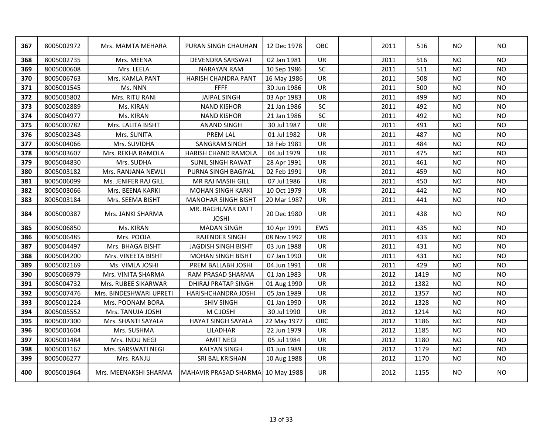| 367 | 8005002972 | Mrs. MAMTA MEHARA       | PURAN SINGH CHAUHAN               | 12 Dec 1978 | <b>OBC</b> | 2011 | 516  | NO.       | <b>NO</b> |
|-----|------------|-------------------------|-----------------------------------|-------------|------------|------|------|-----------|-----------|
| 368 | 8005002735 | Mrs. MEENA              | DEVENDRA SARSWAT                  | 02 Jan 1981 | UR         | 2011 | 516  | <b>NO</b> | <b>NO</b> |
| 369 | 8005000608 | Mrs. LEELA              | <b>NARAYAN RAM</b>                | 10 Sep 1986 | SC         | 2011 | 511  | <b>NO</b> | <b>NO</b> |
| 370 | 8005006763 | Mrs. KAMLA PANT         | <b>HARISH CHANDRA PANT</b>        | 16 May 1986 | <b>UR</b>  | 2011 | 508  | NO        | <b>NO</b> |
| 371 | 8005001545 | Ms. NNN                 | <b>FFFF</b>                       | 30 Jun 1986 | UR         | 2011 | 500  | <b>NO</b> | <b>NO</b> |
| 372 | 8005005802 | Mrs. RITU RANI          | <b>JAIPAL SINGH</b>               | 03 Apr 1983 | UR         | 2011 | 499  | <b>NO</b> | <b>NO</b> |
| 373 | 8005002889 | Ms. KIRAN               | <b>NAND KISHOR</b>                | 21 Jan 1986 | SC         | 2011 | 492  | <b>NO</b> | <b>NO</b> |
| 374 | 8005004977 | Ms. KIRAN               | <b>NAND KISHOR</b>                | 21 Jan 1986 | <b>SC</b>  | 2011 | 492  | NO        | <b>NO</b> |
| 375 | 8005000782 | Mrs. LALITA BISHT       | <b>ANAND SINGH</b>                | 30 Jul 1987 | UR         | 2011 | 491  | NO        | <b>NO</b> |
| 376 | 8005002348 | Mrs. SUNITA             | <b>PREM LAL</b>                   | 01 Jul 1982 | UR         | 2011 | 487  | <b>NO</b> | <b>NO</b> |
| 377 | 8005004066 | Mrs. SUVIDHA            | SANGRAM SINGH                     | 18 Feb 1981 | UR         | 2011 | 484  | <b>NO</b> | <b>NO</b> |
| 378 | 8005003607 | Mrs. REKHA RAMOLA       | HARISH CHAND RAMOLA               | 04 Jul 1979 | <b>UR</b>  | 2011 | 475  | <b>NO</b> | <b>NO</b> |
| 379 | 8005004830 | Mrs. SUDHA              | <b>SUNIL SINGH RAWAT</b>          | 28 Apr 1991 | UR         | 2011 | 461  | <b>NO</b> | <b>NO</b> |
| 380 | 8005003182 | Mrs. RANJANA NEWLI      | PURNA SINGH BAGIYAL               | 02 Feb 1991 | <b>UR</b>  | 2011 | 459  | <b>NO</b> | <b>NO</b> |
| 381 | 8005006099 | Ms. JENIFER RAJ GILL    | MR RAJ MASIH GILL                 | 07 Jul 1986 | <b>UR</b>  | 2011 | 450  | <b>NO</b> | <b>NO</b> |
| 382 | 8005003066 | Mrs. BEENA KARKI        | <b>MOHAN SINGH KARKI</b>          | 10 Oct 1979 | UR         | 2011 | 442  | <b>NO</b> | <b>NO</b> |
| 383 | 8005003184 | Mrs. SEEMA BISHT        | <b>MANOHAR SINGH BISHT</b>        | 20 Mar 1987 | <b>UR</b>  | 2011 | 441  | <b>NO</b> | <b>NO</b> |
| 384 | 8005000387 | Mrs. JANKI SHARMA       | MR. RAGHUVAR DATT<br><b>JOSHI</b> | 20 Dec 1980 | <b>UR</b>  | 2011 | 438  | NO.       | <b>NO</b> |
| 385 | 8005006850 | Ms. KIRAN               | <b>MADAN SINGH</b>                | 10 Apr 1991 | EWS        | 2011 | 435  | <b>NO</b> | <b>NO</b> |
| 386 | 8005006485 | Mrs. POOJA              | <b>RAJENDER SINGH</b>             | 08 Nov 1992 | <b>UR</b>  | 2011 | 433  | <b>NO</b> | <b>NO</b> |
| 387 | 8005004497 | Mrs. BHAGA BISHT        | JAGDISH SINGH BISHT               | 03 Jun 1988 | <b>UR</b>  | 2011 | 431  | <b>NO</b> | <b>NO</b> |
| 388 | 8005004200 | Mrs. VINEETA BISHT      | <b>MOHAN SINGH BISHT</b>          | 07 Jan 1990 | <b>UR</b>  | 2011 | 431  | <b>NO</b> | <b>NO</b> |
| 389 | 8005002169 | Ms. VIMLA JOSHI         | PREM BALLABH JOSHI                | 04 Jun 1991 | <b>UR</b>  | 2011 | 429  | <b>NO</b> | <b>NO</b> |
| 390 | 8005006979 | Mrs. VINITA SHARMA      | RAM PRASAD SHARMA                 | 01 Jan 1983 | <b>UR</b>  | 2012 | 1419 | <b>NO</b> | <b>NO</b> |
| 391 | 8005004732 | Mrs. RUBEE SIKARWAR     | <b>DHIRAJ PRATAP SINGH</b>        | 01 Aug 1990 | <b>UR</b>  | 2012 | 1382 | <b>NO</b> | <b>NO</b> |
| 392 | 8005007476 | Mrs. BINDESHWARI UPRETI | HARISHCHANDRA JOSHI               | 05 Jan 1989 | UR         | 2012 | 1357 | <b>NO</b> | <b>NO</b> |
| 393 | 8005001224 | Mrs. POONAM BORA        | <b>SHIV SINGH</b>                 | 01 Jan 1990 | <b>UR</b>  | 2012 | 1328 | <b>NO</b> | <b>NO</b> |
| 394 | 8005005552 | Mrs. TANUJA JOSHI       | M C JOSHI                         | 30 Jul 1990 | <b>UR</b>  | 2012 | 1214 | <b>NO</b> | <b>NO</b> |
| 395 | 8005007300 | Mrs. SHANTI SAYALA      | <b>HAYAT SINGH SAYALA</b>         | 22 May 1977 | OBC        | 2012 | 1186 | NO        | <b>NO</b> |
| 396 | 8005001604 | Mrs. SUSHMA             | LILADHAR                          | 22 Jun 1979 | UR         | 2012 | 1185 | <b>NO</b> | <b>NO</b> |
| 397 | 8005001484 | Mrs. INDU NEGI          | <b>AMIT NEGI</b>                  | 05 Jul 1984 | <b>UR</b>  | 2012 | 1180 | <b>NO</b> | <b>NO</b> |
| 398 | 8005001167 | Mrs. SARSWATI NEGI      | <b>KALYAN SINGH</b>               | 01 Jun 1989 | <b>UR</b>  | 2012 | 1179 | <b>NO</b> | <b>NO</b> |
| 399 | 8005006277 | Mrs. RANJU              | SRI BAL KRISHAN                   | 10 Aug 1988 | <b>UR</b>  | 2012 | 1170 | NO        | <b>NO</b> |
| 400 | 8005001964 | Mrs. MEENAKSHI SHARMA   | MAHAVIR PRASAD SHARMA 10 May 1988 |             | <b>UR</b>  | 2012 | 1155 | <b>NO</b> | <b>NO</b> |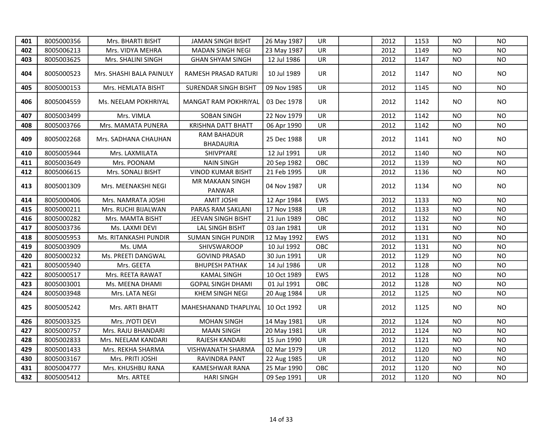| 401 | 8005000356 | Mrs. BHARTI BISHT        | <b>JAMAN SINGH BISHT</b>               | 26 May 1987 | UR        | 2012 | 1153 | <b>NO</b> | <b>NO</b> |
|-----|------------|--------------------------|----------------------------------------|-------------|-----------|------|------|-----------|-----------|
| 402 | 8005006213 | Mrs. VIDYA MEHRA         | <b>MADAN SINGH NEGI</b>                | 23 May 1987 | <b>UR</b> | 2012 | 1149 | NO.       | <b>NO</b> |
| 403 | 8005003625 | Mrs. SHALINI SINGH       | GHAN SHYAM SINGH                       | 12 Jul 1986 | UR        | 2012 | 1147 | NO.       | <b>NO</b> |
| 404 | 8005000523 | Mrs. SHASHI BALA PAINULY | RAMESH PRASAD RATURI                   | 10 Jul 1989 | UR.       | 2012 | 1147 | NO.       | NO.       |
| 405 | 8005000153 | Mrs. HEMLATA BISHT       | SURENDAR SINGH BISHT                   | 09 Nov 1985 | UR        | 2012 | 1145 | <b>NO</b> | <b>NO</b> |
| 406 | 8005004559 | Ms. NEELAM POKHRIYAL     | MANGAT RAM POKHRIYAL                   | 03 Dec 1978 | <b>UR</b> | 2012 | 1142 | NO.       | <b>NO</b> |
| 407 | 8005003499 | Mrs. VIMLA               | <b>SOBAN SINGH</b>                     | 22 Nov 1979 | <b>UR</b> | 2012 | 1142 | NO.       | <b>NO</b> |
| 408 | 8005003766 | Mrs. MAMATA PUNERA       | KRISHNA DATT BHATT                     | 06 Apr 1990 | <b>UR</b> | 2012 | 1142 | NO.       | <b>NO</b> |
| 409 | 8005002268 | Mrs. SADHANA CHAUHAN     | <b>RAM BAHADUR</b><br><b>BHADAURIA</b> | 25 Dec 1988 | <b>UR</b> | 2012 | 1141 | NO.       | <b>NO</b> |
| 410 | 8005005944 | Mrs. LAXMILATA           | SHIVPYARE                              | 12 Jul 1991 | <b>UR</b> | 2012 | 1140 | <b>NO</b> | <b>NO</b> |
| 411 | 8005003649 | Mrs. POONAM              | <b>NAIN SINGH</b>                      | 20 Sep 1982 | OBC       | 2012 | 1139 | NO.       | <b>NO</b> |
| 412 | 8005006615 | Mrs. SONALI BISHT        | <b>VINOD KUMAR BISHT</b>               | 21 Feb 1995 | UR        | 2012 | 1136 | <b>NO</b> | <b>NO</b> |
| 413 | 8005001309 | Mrs. MEENAKSHI NEGI      | MR MAKAAN SINGH<br>PANWAR              | 04 Nov 1987 | <b>UR</b> | 2012 | 1134 | NO.       | <b>NO</b> |
| 414 | 8005000406 | Mrs. NAMRATA JOSHI       | <b>AMIT JOSHI</b>                      | 12 Apr 1984 | EWS       | 2012 | 1133 | <b>NO</b> | <b>NO</b> |
| 415 | 8005000211 | Mrs. RUCHI BIJALWAN      | PARAS RAM SAKLANI                      | 17 Nov 1988 | <b>UR</b> | 2012 | 1133 | <b>NO</b> | <b>NO</b> |
| 416 | 8005000282 | Mrs. MAMTA BISHT         | JEEVAN SINGH BISHT                     | 21 Jun 1989 | OBC       | 2012 | 1132 | <b>NO</b> | <b>NO</b> |
| 417 | 8005003736 | Ms. LAXMI DEVI           | LAL SINGH BISHT                        | 03 Jan 1981 | UR        | 2012 | 1131 | <b>NO</b> | <b>NO</b> |
| 418 | 8005005953 | Ms. RITANKASHI PUNDIR    | <b>SUMAN SINGH PUNDIR</b>              | 12 May 1992 | EWS       | 2012 | 1131 | <b>NO</b> | <b>NO</b> |
| 419 | 8005003909 | Ms. UMA                  | <b>SHIVSWAROOP</b>                     | 10 Jul 1992 | OBC       | 2012 | 1131 | <b>NO</b> | <b>NO</b> |
| 420 | 8005000232 | Ms. PREETI DANGWAL       | <b>GOVIND PRASAD</b>                   | 30 Jun 1991 | <b>UR</b> | 2012 | 1129 | <b>NO</b> | <b>NO</b> |
| 421 | 8005005940 | Mrs. GEETA               | <b>BHUPESH PATHAK</b>                  | 14 Jul 1986 | UR        | 2012 | 1128 | <b>NO</b> | <b>NO</b> |
| 422 | 8005000517 | Mrs. REETA RAWAT         | <b>KAMAL SINGH</b>                     | 10 Oct 1989 | EWS       | 2012 | 1128 | <b>NO</b> | <b>NO</b> |
| 423 | 8005003001 | Ms. MEENA DHAMI          | <b>GOPAL SINGH DHAMI</b>               | 01 Jul 1991 | OBC       | 2012 | 1128 | <b>NO</b> | <b>NO</b> |
| 424 | 8005003948 | Mrs. LATA NEGI           | KHEM SINGH NEGI                        | 20 Aug 1984 | <b>UR</b> | 2012 | 1125 | <b>NO</b> | <b>NO</b> |
| 425 | 8005005242 | Mrs. ARTI BHATT          | MAHESHANAND THAPLIYAL                  | 10 Oct 1992 | UR        | 2012 | 1125 | NO.       | <b>NO</b> |
| 426 | 8005003325 | Mrs. JYOTI DEVI          | <b>MOHAN SINGH</b>                     | 14 May 1981 | <b>UR</b> | 2012 | 1124 | <b>NO</b> | <b>NO</b> |
| 427 | 8005000757 | Mrs. RAJU BHANDARI       | <b>MAAN SINGH</b>                      | 20 May 1981 | <b>UR</b> | 2012 | 1124 | <b>NO</b> | <b>NO</b> |
| 428 | 8005002833 | Mrs. NEELAM KANDARI      | RAJESH KANDARI                         | 15 Jun 1990 | UR        | 2012 | 1121 | <b>NO</b> | <b>NO</b> |
| 429 | 8005001433 | Mrs. REKHA SHARMA        | VISHWANATH SHARMA                      | 02 Mar 1979 | UR        | 2012 | 1120 | <b>NO</b> | <b>NO</b> |
| 430 | 8005003167 | Mrs. PRITI JOSHI         | RAVINDRA PANT                          | 22 Aug 1985 | UR        | 2012 | 1120 | <b>NO</b> | <b>NO</b> |
| 431 | 8005004777 | Mrs. KHUSHBU RANA        | KAMESHWAR RANA                         | 25 Mar 1990 | OBC       | 2012 | 1120 | <b>NO</b> | <b>NO</b> |
| 432 | 8005005412 | Mrs. ARTEE               | <b>HARI SINGH</b>                      | 09 Sep 1991 | UR        | 2012 | 1120 | <b>NO</b> | <b>NO</b> |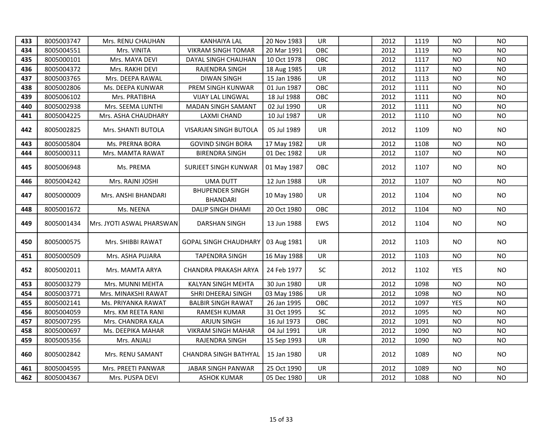| 433 | 8005003747 | Mrs. RENU CHAUHAN         | <b>KANHAIYA LAL</b>                       | 20 Nov 1983 | UR        | 2012 | 1119 | NO.        | NO.       |
|-----|------------|---------------------------|-------------------------------------------|-------------|-----------|------|------|------------|-----------|
| 434 | 8005004551 | Mrs. VINITA               | <b>VIKRAM SINGH TOMAR</b>                 | 20 Mar 1991 | OBC       | 2012 | 1119 | NO.        | <b>NO</b> |
| 435 | 8005000101 | Mrs. MAYA DEVI            | DAYAL SINGH CHAUHAN                       | 10 Oct 1978 | OBC       | 2012 | 1117 | NO.        | <b>NO</b> |
| 436 | 8005004372 | Mrs. RAKHI DEVI           | RAJENDRA SINGH                            | 18 Aug 1985 | <b>UR</b> | 2012 | 1117 | NO.        | <b>NO</b> |
| 437 | 8005003765 | Mrs. DEEPA RAWAL          | DIWAN SINGH                               | 15 Jan 1986 | <b>UR</b> | 2012 | 1113 | NO.        | <b>NO</b> |
| 438 | 8005002806 | Ms. DEEPA KUNWAR          | PREM SINGH KUNWAR                         | 01 Jun 1987 | OBC       | 2012 | 1111 | NO.        | NO.       |
| 439 | 8005006102 | Mrs. PRATIBHA             | <b>VIJAY LAL LINGWAL</b>                  | 18 Jul 1988 | OBC       | 2012 | 1111 | NO.        | <b>NO</b> |
| 440 | 8005002938 | Mrs. SEEMA LUNTHI         | <b>MADAN SINGH SAMANT</b>                 | 02 Jul 1990 | <b>UR</b> | 2012 | 1111 | NO.        | <b>NO</b> |
| 441 | 8005004225 | Mrs. ASHA CHAUDHARY       | LAXMI CHAND                               | 10 Jul 1987 | <b>UR</b> | 2012 | 1110 | NO.        | <b>NO</b> |
| 442 | 8005002825 | Mrs. SHANTI BUTOLA        | VISARJAN SINGH BUTOLA                     | 05 Jul 1989 | <b>UR</b> | 2012 | 1109 | NO.        | <b>NO</b> |
| 443 | 8005005804 | Ms. PRERNA BORA           | <b>GOVIND SINGH BORA</b>                  | 17 May 1982 | <b>UR</b> | 2012 | 1108 | NO.        | <b>NO</b> |
| 444 | 8005000311 | Mrs. MAMTA RAWAT          | <b>BIRENDRA SINGH</b>                     | 01 Dec 1982 | UR        | 2012 | 1107 | NO         | NO.       |
| 445 | 8005006948 | Ms. PREMA                 | SURJEET SINGH KUNWAR                      | 01 May 1987 | OBC       | 2012 | 1107 | NO.        | NO        |
| 446 | 8005004242 | Mrs. RAJNI JOSHI          | <b>UMA DUTT</b>                           | 12 Jun 1988 | <b>UR</b> | 2012 | 1107 | <b>NO</b>  | NO.       |
| 447 | 8005000009 | Mrs. ANSHI BHANDARI       | <b>BHUPENDER SINGH</b><br><b>BHANDARI</b> | 10 May 1980 | <b>UR</b> | 2012 | 1104 | NO.        | NO.       |
| 448 | 8005001672 | Ms. NEENA                 | <b>DALIP SINGH DHAMI</b>                  | 20 Oct 1980 | OBC       | 2012 | 1104 | <b>NO</b>  | <b>NO</b> |
| 449 | 8005001434 | Mrs. JYOTI ASWAL PHARSWAN | DARSHAN SINGH                             | 13 Jun 1988 | EWS       | 2012 | 1104 | NO.        | <b>NO</b> |
| 450 | 8005000575 | Mrs. SHIBBI RAWAT         | <b>GOPAL SINGH CHAUDHARY</b>              | 03 Aug 1981 | UR        | 2012 | 1103 | NO.        | NO.       |
| 451 | 8005000509 | Mrs. ASHA PUJARA          | <b>TAPENDRA SINGH</b>                     | 16 May 1988 | <b>UR</b> | 2012 | 1103 | <b>NO</b>  | NO.       |
| 452 | 8005002011 | Mrs. MAMTA ARYA           | CHANDRA PRAKASH ARYA                      | 24 Feb 1977 | SC        | 2012 | 1102 | <b>YES</b> | <b>NO</b> |
| 453 | 8005003279 | Mrs. MUNNI MEHTA          | <b>KALYAN SINGH MEHTA</b>                 | 30 Jun 1980 | <b>UR</b> | 2012 | 1098 | <b>NO</b>  | <b>NO</b> |
| 454 | 8005003771 | Mrs. MINAKSHI RAWAT       | SHRI DHEERAJ SINGH                        | 03 May 1986 | <b>UR</b> | 2012 | 1098 | NO.        | <b>NO</b> |
| 455 | 8005002141 | Ms. PRIYANKA RAWAT        | <b>BALBIR SINGH RAWAT</b>                 | 26 Jan 1995 | OBC       | 2012 | 1097 | <b>YES</b> | <b>NO</b> |
| 456 | 8005004059 | Mrs. KM REETA RANI        | <b>RAMESH KUMAR</b>                       | 31 Oct 1995 | <b>SC</b> | 2012 | 1095 | <b>NO</b>  | <b>NO</b> |
| 457 | 8005007295 | Mrs. CHANDRA KALA         | <b>ARJUN SINGH</b>                        | 16 Jul 1973 | OBC       | 2012 | 1091 | <b>NO</b>  | <b>NO</b> |
| 458 | 8005000697 | Ms. DEEPIKA MAHAR         | <b>VIKRAM SINGH MAHAR</b>                 | 04 Jul 1991 | UR        | 2012 | 1090 | <b>NO</b>  | <b>NO</b> |
| 459 | 8005005356 | Mrs. ANJALI               | RAJENDRA SINGH                            | 15 Sep 1993 | UR        | 2012 | 1090 | <b>NO</b>  | <b>NO</b> |
| 460 | 8005002842 | Mrs. RENU SAMANT          | CHANDRA SINGH BATHYAL                     | 15 Jan 1980 | UR        | 2012 | 1089 | NO.        | NO.       |
| 461 | 8005004595 | Mrs. PREETI PANWAR        | JABAR SINGH PANWAR                        | 25 Oct 1990 | <b>UR</b> | 2012 | 1089 | <b>NO</b>  | <b>NO</b> |
| 462 | 8005004367 | Mrs. PUSPA DEVI           | <b>ASHOK KUMAR</b>                        | 05 Dec 1980 | UR        | 2012 | 1088 | <b>NO</b>  | <b>NO</b> |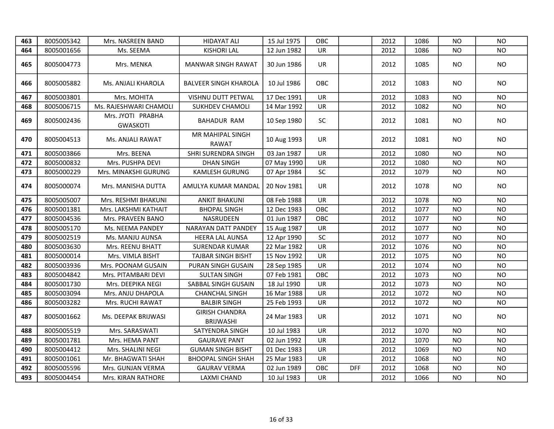| 463 | 8005005342 | Mrs. NASREEN BAND                    | <b>HIDAYAT ALI</b>                        | 15 Jul 1975 | <b>OBC</b> |            | 2012 | 1086 | NO.       | <b>NO</b>      |
|-----|------------|--------------------------------------|-------------------------------------------|-------------|------------|------------|------|------|-----------|----------------|
| 464 | 8005001656 | Ms. SEEMA                            | <b>KISHORI LAL</b>                        | 12 Jun 1982 | <b>UR</b>  |            | 2012 | 1086 | NO.       | <b>NO</b>      |
| 465 | 8005004773 | Mrs. MENKA                           | <b>MANWAR SINGH RAWAT</b>                 | 30 Jun 1986 | UR         |            | 2012 | 1085 | NO.       | <b>NO</b>      |
| 466 | 8005005882 | Ms. ANJALI KHAROLA                   | <b>BALVEER SINGH KHAROLA</b>              | 10 Jul 1986 | OBC        |            | 2012 | 1083 | NO.       | <b>NO</b>      |
| 467 | 8005003801 | Mrs. MOHITA                          | <b>VISHNU DUTT PETWAL</b>                 | 17 Dec 1991 | <b>UR</b>  |            | 2012 | 1083 | NO.       | <b>NO</b>      |
| 468 | 8005006715 | Ms. RAJESHWARI CHAMOLI               | <b>SUKHDEV CHAMOLI</b>                    | 14 Mar 1992 | UR         |            | 2012 | 1082 | NO.       | <b>NO</b>      |
| 469 | 8005002436 | Mrs. JYOTI PRABHA<br><b>GWASKOTI</b> | <b>BAHADUR RAM</b>                        | 10 Sep 1980 | SC         |            | 2012 | 1081 | NO.       | <b>NO</b>      |
| 470 | 8005004513 | Ms. ANJALI RAWAT                     | MR MAHIPAL SINGH<br>RAWAT                 | 10 Aug 1993 | <b>UR</b>  |            | 2012 | 1081 | NO.       | NO.            |
| 471 | 8005003866 | Mrs. BEENA                           | SHRI SURENDRA SINGH                       | 03 Jan 1987 | <b>UR</b>  |            | 2012 | 1080 | NO.       | <b>NO</b>      |
| 472 | 8005000832 | Mrs. PUSHPA DEVI                     | <b>DHAN SINGH</b>                         | 07 May 1990 | <b>UR</b>  |            | 2012 | 1080 | <b>NO</b> | <b>NO</b>      |
| 473 | 8005000229 | Mrs. MINAKSHI GURUNG                 | KAMLESH GURUNG                            | 07 Apr 1984 | SC         |            | 2012 | 1079 | <b>NO</b> | NO.            |
| 474 | 8005000074 | Mrs. MANISHA DUTTA                   | AMULYA KUMAR MANDAL                       | 20 Nov 1981 | UR         |            | 2012 | 1078 | <b>NO</b> | NO.            |
| 475 | 8005005007 | Mrs. RESHMI BHAKUNI                  | <b>ANKIT BHAKUNI</b>                      | 08 Feb 1988 | <b>UR</b>  |            | 2012 | 1078 | NO.       | <b>NO</b>      |
| 476 | 8005001381 | Mrs. LAKSHMI KATHAIT                 | <b>BHOPAL SINGH</b>                       | 12 Dec 1983 | OBC        |            | 2012 | 1077 | NO.       | <b>NO</b>      |
| 477 | 8005004536 | Mrs. PRAVEEN BANO                    | NASRUDEEN                                 | 01 Jun 1987 | OBC        |            | 2012 | 1077 | NO.       | <b>NO</b>      |
| 478 | 8005005170 | Ms. NEEMA PANDEY                     | NARAYAN DATT PANDEY                       | 15 Aug 1987 | UR         |            | 2012 | 1077 | NO.       | <b>NO</b>      |
| 479 | 8005002519 | Ms. MANJU AUNSA                      | <b>HEERA LAL AUNSA</b>                    | 12 Apr 1990 | SC         |            | 2012 | 1077 | <b>NO</b> | <b>NO</b>      |
| 480 | 8005003630 | Mrs. REENU BHATT                     | <b>SURENDAR KUMAR</b>                     | 22 Mar 1982 | <b>UR</b>  |            | 2012 | 1076 | <b>NO</b> | N <sub>O</sub> |
| 481 | 8005000014 | Mrs. VIMLA BISHT                     | <b>TAJBAR SINGH BISHT</b>                 | 15 Nov 1992 | <b>UR</b>  |            | 2012 | 1075 | <b>NO</b> | <b>NO</b>      |
| 482 | 8005003936 | Mrs. POONAM GUSAIN                   | PURAN SINGH GUSAIN                        | 28 Sep 1985 | <b>UR</b>  |            | 2012 | 1074 | <b>NO</b> | <b>NO</b>      |
| 483 | 8005004842 | Mrs. PITAMBARI DEVI                  | <b>SULTAN SINGH</b>                       | 07 Feb 1981 | OBC        |            | 2012 | 1073 | <b>NO</b> | <b>NO</b>      |
| 484 | 8005001730 | Mrs. DEEPIKA NEGI                    | SABBAL SINGH GUSAIN                       | 18 Jul 1990 | UR         |            | 2012 | 1073 | <b>NO</b> | <b>NO</b>      |
| 485 | 8005003094 | Mrs. ANJU DHAPOLA                    | <b>CHANCHAL SINGH</b>                     | 16 Mar 1988 | UR         |            | 2012 | 1072 | <b>NO</b> | <b>NO</b>      |
| 486 | 8005003282 | Mrs. RUCHI RAWAT                     | <b>BALBIR SINGH</b>                       | 25 Feb 1993 | <b>UR</b>  |            | 2012 | 1072 | <b>NO</b> | <b>NO</b>      |
| 487 | 8005001662 | Ms. DEEPAK BRIJWASI                  | <b>GIRISH CHANDRA</b><br><b>BRIJWASHI</b> | 24 Mar 1983 | UR.        |            | 2012 | 1071 | NO.       | NO.            |
| 488 | 8005005519 | Mrs. SARASWATI                       | SATYENDRA SINGH                           | 10 Jul 1983 | <b>UR</b>  |            | 2012 | 1070 | NO.       | <b>NO</b>      |
| 489 | 8005001781 | Mrs. HEMA PANT                       | <b>GAURAVE PANT</b>                       | 02 Jun 1992 | UR         |            | 2012 | 1070 | <b>NO</b> | <b>NO</b>      |
| 490 | 8005004412 | Mrs. SHALINI NEGI                    | <b>GUMAN SINGH BISHT</b>                  | 01 Dec 1983 | UR         |            | 2012 | 1069 | <b>NO</b> | <b>NO</b>      |
| 491 | 8005001061 | Mr. BHAGWATI SHAH                    | <b>BHOOPAL SINGH SHAH</b>                 | 25 Mar 1983 | UR         |            | 2012 | 1068 | <b>NO</b> | <b>NO</b>      |
| 492 | 8005005596 | Mrs. GUNJAN VERMA                    | <b>GAURAV VERMA</b>                       | 02 Jun 1989 | OBC        | <b>DFF</b> | 2012 | 1068 | <b>NO</b> | <b>NO</b>      |
| 493 | 8005004454 | Mrs. KIRAN RATHORE                   | <b>LAXMI CHAND</b>                        | 10 Jul 1983 | <b>UR</b>  |            | 2012 | 1066 | <b>NO</b> | <b>NO</b>      |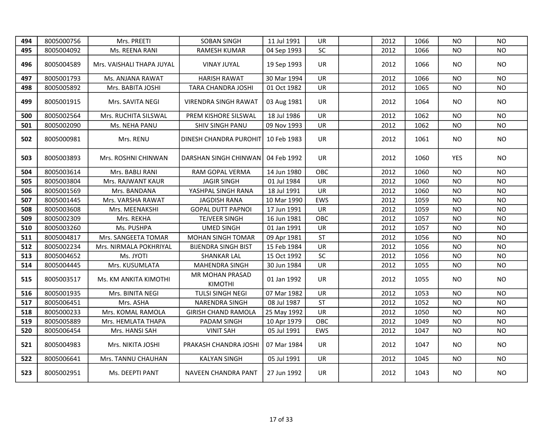| 494 | 8005000756 | Mrs. PREETI               | <b>SOBAN SINGH</b>         | 11 Jul 1991 | <b>UR</b> | 2012 | 1066 | NO.        | <b>NO</b> |
|-----|------------|---------------------------|----------------------------|-------------|-----------|------|------|------------|-----------|
| 495 | 8005004092 | Ms. REENA RANI            | RAMESH KUMAR               | 04 Sep 1993 | <b>SC</b> | 2012 | 1066 | NO.        | <b>NO</b> |
| 496 | 8005004589 | Mrs. VAISHALI THAPA JUYAL | VINAY JUYAL                | 19 Sep 1993 | UR        | 2012 | 1066 | NO.        | <b>NO</b> |
| 497 | 8005001793 | Ms. ANJANA RAWAT          | <b>HARISH RAWAT</b>        | 30 Mar 1994 | <b>UR</b> | 2012 | 1066 | NO         | <b>NO</b> |
| 498 | 8005005892 | Mrs. BABITA JOSHI         | TARA CHANDRA JOSHI         | 01 Oct 1982 | UR        | 2012 | 1065 | NO.        | NO.       |
| 499 | 8005001915 | Mrs. SAVITA NEGI          | VIRENDRA SINGH RAWAT       | 03 Aug 1981 | UR.       | 2012 | 1064 | NO.        | <b>NO</b> |
| 500 | 8005002564 | Mrs. RUCHITA SILSWAL      | PREM KISHORE SILSWAL       | 18 Jul 1986 | UR        | 2012 | 1062 | NO.        | <b>NO</b> |
| 501 | 8005002090 | Ms. NEHA PANU             | SHIV SINGH PANU            | 09 Nov 1993 | UR        | 2012 | 1062 | NO.        | <b>NO</b> |
| 502 | 8005000981 | Mrs. RENU                 | DINESH CHANDRA PUROHIT     | 10 Feb 1983 | <b>UR</b> | 2012 | 1061 | NO.        | <b>NO</b> |
| 503 | 8005003893 | Mrs. ROSHNI CHINWAN       | DARSHAN SINGH CHINWAN      | 04 Feb 1992 | UR        | 2012 | 1060 | <b>YES</b> | NO.       |
| 504 | 8005003614 | Mrs. BABLI RANI           | RAM GOPAL VERMA            | 14 Jun 1980 | OBC       | 2012 | 1060 | NO.        | NO.       |
| 505 | 8005003804 | Mrs. RAJWANT KAUR         | <b>JAGIR SINGH</b>         | 01 Jul 1984 | UR        | 2012 | 1060 | NO.        | <b>NO</b> |
| 506 | 8005001569 | Mrs. BANDANA              | YASHPAL SINGH RANA         | 18 Jul 1991 | UR        | 2012 | 1060 | NO.        | <b>NO</b> |
| 507 | 8005001445 | Mrs. VARSHA RAWAT         | <b>JAGDISH RANA</b>        | 10 Mar 1990 | EWS       | 2012 | 1059 | <b>NO</b>  | <b>NO</b> |
| 508 | 8005003608 | Mrs. MEENAKSHI            | <b>GOPAL DUTT PAPNOI</b>   | 17 Jun 1991 | UR        | 2012 | 1059 | NO         | <b>NO</b> |
| 509 | 8005002309 | Mrs. REKHA                | TEJVEER SINGH              | 16 Jun 1981 | OBC       | 2012 | 1057 | <b>NO</b>  | <b>NO</b> |
| 510 | 8005003260 | Ms. PUSHPA                | <b>UMED SINGH</b>          | 01 Jan 1991 | <b>UR</b> | 2012 | 1057 | <b>NO</b>  | <b>NO</b> |
| 511 | 8005004817 | Mrs. SANGEETA TOMAR       | <b>MOHAN SINGH TOMAR</b>   | 09 Apr 1981 | <b>ST</b> | 2012 | 1056 | NO.        | <b>NO</b> |
| 512 | 8005002234 | Mrs. NIRMALA POKHRIYAL    | <b>BIJENDRA SINGH BIST</b> | 15 Feb 1984 | UR        | 2012 | 1056 | <b>NO</b>  | <b>NO</b> |
| 513 | 8005004652 | Ms. JYOTI                 | <b>SHANKAR LAL</b>         | 15 Oct 1992 | SC        | 2012 | 1056 | <b>NO</b>  | <b>NO</b> |
| 514 | 8005004445 | Mrs. KUSUMLATA            | <b>MAHENDRA SINGH</b>      | 30 Jun 1984 | UR        | 2012 | 1055 | <b>NO</b>  | <b>NO</b> |
| 515 | 8005003517 | Ms. KM ANKITA KIMOTHI     | MR MOHAN PRASAD<br>KIMOTHI | 01 Jan 1992 | <b>UR</b> | 2012 | 1055 | NO.        | <b>NO</b> |
| 516 | 8005001935 | Mrs. BINITA NEGI          | TULSI SINGH NEGI           | 07 Mar 1982 | UR        | 2012 | 1053 | <b>NO</b>  | <b>NO</b> |
| 517 | 8005006451 | Mrs. ASHA                 | <b>NARENDRA SINGH</b>      | 08 Jul 1987 | <b>ST</b> | 2012 | 1052 | <b>NO</b>  | <b>NO</b> |
| 518 | 8005000233 | Mrs. KOMAL RAMOLA         | <b>GIRISH CHAND RAMOLA</b> | 25 May 1992 | UR        | 2012 | 1050 | NO         | <b>NO</b> |
| 519 | 8005005889 | Mrs. HEMLATA THAPA        | PADAM SINGH                | 10 Apr 1979 | OBC       | 2012 | 1049 | NO         | <b>NO</b> |
| 520 | 8005006454 | Mrs. HANSI SAH            | <b>VINIT SAH</b>           | 05 Jul 1991 | EWS       | 2012 | 1047 | <b>NO</b>  | <b>NO</b> |
| 521 | 8005004983 | Mrs. NIKITA JOSHI         | PRAKASH CHANDRA JOSHI      | 07 Mar 1984 | <b>UR</b> | 2012 | 1047 | NO.        | <b>NO</b> |
| 522 | 8005006641 | Mrs. TANNU CHAUHAN        | <b>KALYAN SINGH</b>        | 05 Jul 1991 | UR        | 2012 | 1045 | <b>NO</b>  | <b>NO</b> |
| 523 | 8005002951 | Ms. DEEPTI PANT           | NAVEEN CHANDRA PANT        | 27 Jun 1992 | <b>UR</b> | 2012 | 1043 | NO.        | <b>NO</b> |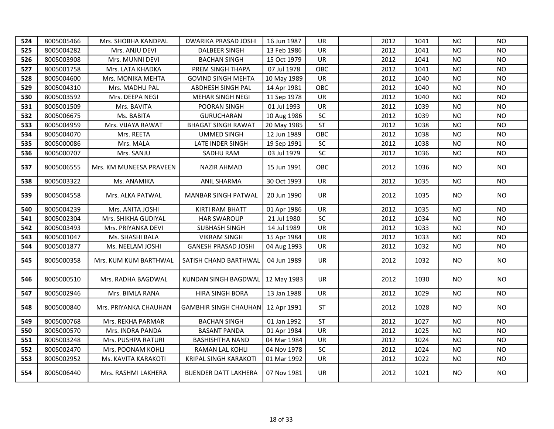| 524 | 8005005466 | Mrs. SHOBHA KANDPAL     | <b>DWARIKA PRASAD JOSHI</b>         | 16 Jun 1987 | UR.       | 2012 | 1041 | NO.       | NO.       |
|-----|------------|-------------------------|-------------------------------------|-------------|-----------|------|------|-----------|-----------|
| 525 | 8005004282 | Mrs. ANJU DEVI          | <b>DALBEER SINGH</b>                | 13 Feb 1986 | UR        | 2012 | 1041 | NO        | <b>NO</b> |
| 526 | 8005003908 | Mrs. MUNNI DEVI         | <b>BACHAN SINGH</b>                 | 15 Oct 1979 | UR        | 2012 | 1041 | <b>NO</b> | <b>NO</b> |
| 527 | 8005001758 | Mrs. LATA KHADKA        | PREM SINGH THAPA                    | 07 Jul 1978 | OBC       | 2012 | 1041 | ΝO        | <b>NO</b> |
| 528 | 8005004600 | Mrs. MONIKA MEHTA       | <b>GOVIND SINGH MEHTA</b>           | 10 May 1989 | UR        | 2012 | 1040 | NO        | <b>NO</b> |
| 529 | 8005004310 | Mrs. MADHU PAL          | ABDHESH SINGH PAL                   | 14 Apr 1981 | OBC       | 2012 | 1040 | NO        | <b>NO</b> |
| 530 | 8005003592 | Mrs. DEEPA NEGI         | <b>MEHAR SINGH NEGI</b>             | 11 Sep 1978 | UR        | 2012 | 1040 | NO        | <b>NO</b> |
| 531 | 8005001509 | Mrs. BAVITA             | POORAN SINGH                        | 01 Jul 1993 | UR        | 2012 | 1039 | ΝO        | <b>NO</b> |
| 532 | 8005006675 | Ms. BABITA              | <b>GURUCHARAN</b>                   | 10 Aug 1986 | SC        | 2012 | 1039 | NO        | <b>NO</b> |
| 533 | 8005004959 | Mrs. VIJAYA RAWAT       | <b>BHAGAT SINGH RAWAT</b>           | 20 May 1985 | <b>ST</b> | 2012 | 1038 | NO        | <b>NO</b> |
| 534 | 8005004070 | Mrs. REETA              | UMMED SINGH                         | 12 Jun 1989 | OBC       | 2012 | 1038 | ΝO        | <b>NO</b> |
| 535 | 8005000086 | Mrs. MALA               | LATE INDER SINGH                    | 19 Sep 1991 | <b>SC</b> | 2012 | 1038 | NO.       | <b>NO</b> |
| 536 | 8005000707 | Mrs. SANJU              | SADHU RAM                           | 03 Jul 1979 | SC        | 2012 | 1036 | <b>NO</b> | <b>NO</b> |
| 537 | 8005006555 | Mrs. KM MUNEESA PRAVEEN | <b>NAZIR AHMAD</b>                  | 15 Jun 1991 | OBC       | 2012 | 1036 | NO.       | <b>NO</b> |
| 538 | 8005003322 | Ms. ANAMIKA             | <b>ANIL SHARMA</b>                  | 30 Oct 1993 | UR        | 2012 | 1035 | <b>NO</b> | NO.       |
| 539 | 8005004558 | Mrs. ALKA PATWAL        | MANBAR SINGH PATWAL                 | 20 Jun 1990 | UR        | 2012 | 1035 | NO.       | <b>NO</b> |
| 540 | 8005004239 | Mrs. ANITA JOSHI        | KIRTI RAM BHATT                     | 01 Apr 1986 | <b>UR</b> | 2012 | 1035 | NO.       | NO.       |
| 541 | 8005002304 | Mrs. SHIKHA GUDIYAL     | <b>HAR SWAROUP</b>                  | 21 Jul 1980 | SC        | 2012 | 1034 | NO        | NO.       |
| 542 | 8005003493 | Mrs. PRIYANKA DEVI      | SUBHASH SINGH                       | 14 Jul 1989 | UR        | 2012 | 1033 | NO        | <b>NO</b> |
| 543 | 8005001047 | Ms. SHASHI BALA         | <b>VIKRAM SINGH</b>                 | 15 Apr 1984 | UR        | 2012 | 1033 | <b>NO</b> | <b>NO</b> |
| 544 | 8005001877 | Ms. NEELAM JOSHI        | <b>GANESH PRASAD JOSHI</b>          | 04 Aug 1993 | UR        | 2012 | 1032 | <b>NO</b> | <b>NO</b> |
| 545 | 8005000358 | Mrs. KUM KUM BARTHWAL   | SATISH CHAND BARTHWAL               | 04 Jun 1989 | UR        | 2012 | 1032 | NO.       | <b>NO</b> |
| 546 | 8005000510 | Mrs. RADHA BAGDWAL      | KUNDAN SINGH BAGDWAL   12 May 1983  |             | UR        | 2012 | 1030 | NO.       | <b>NO</b> |
| 547 | 8005002946 | Mrs. BIMLA RANA         | <b>HIRA SINGH BORA</b>              | 13 Jan 1988 | UR        | 2012 | 1029 | <b>NO</b> | <b>NO</b> |
| 548 | 8005000840 | Mrs. PRIYANKA CHAUHAN   | GAMBHIR SINGH CHAUHAN   12 Apr 1991 |             | <b>ST</b> | 2012 | 1028 | NO.       | <b>NO</b> |
| 549 | 8005000768 | Mrs. REKHA PARMAR       | <b>BACHAN SINGH</b>                 | 01 Jan 1992 | <b>ST</b> | 2012 | 1027 | NO        | <b>NO</b> |
| 550 | 8005000570 | Mrs. INDRA PANDA        | <b>BASANT PANDA</b>                 | 01 Apr 1984 | UR        | 2012 | 1025 | <b>NO</b> | <b>NO</b> |
| 551 | 8005003248 | Mrs. PUSHPA RATURI      | <b>BASHISHTHA NAND</b>              | 04 Mar 1984 | <b>UR</b> | 2012 | 1024 | <b>NO</b> | <b>NO</b> |
| 552 | 8005002470 | Mrs. POONAM KOHLI       | RAMAN LAL KOHLI                     | 04 Nov 1978 | <b>SC</b> | 2012 | 1024 | <b>NO</b> | <b>NO</b> |
| 553 | 8005002952 | Ms. KAVITA KARAKOTI     | <b>KRIPAL SINGH KARAKOTI</b>        | 01 Mar 1992 | UR        | 2012 | 1022 | <b>NO</b> | <b>NO</b> |
| 554 | 8005006440 | Mrs. RASHMI LAKHERA     | <b>BIJENDER DATT LAKHERA</b>        | 07 Nov 1981 | UR        | 2012 | 1021 | NO.       | NO.       |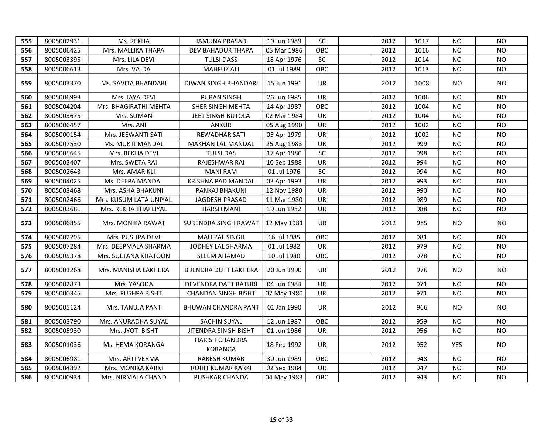| 555 | 8005002931 | Ms. REKHA              | <b>JAMUNA PRASAD</b>             | 10 Jun 1989 | SC         | 2012 | 1017 | <b>NO</b>  | <b>NO</b>      |
|-----|------------|------------------------|----------------------------------|-------------|------------|------|------|------------|----------------|
| 556 | 8005006425 | Mrs. MALLIKA THAPA     | DEV BAHADUR THAPA                | 05 Mar 1986 | OBC        | 2012 | 1016 | NO.        | <b>NO</b>      |
| 557 | 8005003395 | Mrs. LILA DEVI         | <b>TULSI DASS</b>                | 18 Apr 1976 | SC         | 2012 | 1014 | <b>NO</b>  | <b>NO</b>      |
| 558 | 8005006613 | Mrs. VAJDA             | <b>MAHFUZ ALI</b>                | 01 Jul 1989 | OBC        | 2012 | 1013 | NO.        | <b>NO</b>      |
| 559 | 8005003370 | Ms. SAVITA BHANDARI    | DIWAN SINGH BHANDARI             | 15 Jun 1991 | <b>UR</b>  | 2012 | 1008 | NO.        | <b>NO</b>      |
| 560 | 8005006993 | Mrs. JAYA DEVI         | <b>PURAN SINGH</b>               | 26 Jun 1985 | <b>UR</b>  | 2012 | 1006 | <b>NO</b>  | N <sub>O</sub> |
| 561 | 8005004204 | Mrs. BHAGIRATHI MEHTA  | SHER SINGH MEHTA                 | 14 Apr 1987 | <b>OBC</b> | 2012 | 1004 | NO.        | NO.            |
| 562 | 8005003675 | Mrs. SUMAN             | JEET SINGH BUTOLA                | 02 Mar 1984 | <b>UR</b>  | 2012 | 1004 | <b>NO</b>  | <b>NO</b>      |
| 563 | 8005006457 | Mrs. ANI               | <b>ANKUR</b>                     | 05 Aug 1990 | <b>UR</b>  | 2012 | 1002 | <b>NO</b>  | <b>NO</b>      |
| 564 | 8005000154 | Mrs. JEEWANTI SATI     | REWADHAR SATI                    | 05 Apr 1979 | <b>UR</b>  | 2012 | 1002 | NO.        | <b>NO</b>      |
| 565 | 8005007530 | Ms. MUKTI MANDAL       | MAKHAN LAL MANDAL                | 25 Aug 1983 | <b>UR</b>  | 2012 | 999  | <b>NO</b>  | <b>NO</b>      |
| 566 | 8005005645 | Mrs. REKHA DEVI        | <b>TULSI DAS</b>                 | 17 Apr 1980 | SC         | 2012 | 998  | <b>NO</b>  | <b>NO</b>      |
| 567 | 8005003407 | Mrs. SWETA RAI         | RAJESHWAR RAI                    | 10 Sep 1988 | UR         | 2012 | 994  | <b>NO</b>  | <b>NO</b>      |
| 568 | 8005002643 | Mrs. AMAR KLI          | <b>MANI RAM</b>                  | 01 Jul 1976 | SC         | 2012 | 994  | <b>NO</b>  | <b>NO</b>      |
| 569 | 8005004025 | Ms. DEEPA MANDAL       | KRISHNA PAD MANDAL               | 03 Apr 1993 | UR         | 2012 | 993  | <b>NO</b>  | <b>NO</b>      |
| 570 | 8005003468 | Mrs. ASHA BHAKUNI      | PANKAJ BHAKUNI                   | 12 Nov 1980 | UR         | 2012 | 990  | <b>NO</b>  | <b>NO</b>      |
| 571 | 8005002466 | Mrs. KUSUM LATA UNIYAL | JAGDESH PRASAD                   | 11 Mar 1980 | UR         | 2012 | 989  | <b>NO</b>  | <b>NO</b>      |
| 572 | 8005003681 | Mrs. REKHA THAPLIYAL   | <b>HARSH MANI</b>                | 19 Jun 1982 | <b>UR</b>  | 2012 | 988  | <b>NO</b>  | <b>NO</b>      |
| 573 | 8005006855 | Mrs. MONIKA RAWAT      | SURENDRA SINGH RAWAT             | 12 May 1981 | UR         | 2012 | 985  | NO.        | <b>NO</b>      |
| 574 | 8005002295 | Mrs. PUSHPA DEVI       | <b>MAHIPAL SINGH</b>             | 16 Jul 1985 | OBC        | 2012 | 981  | NO.        | <b>NO</b>      |
| 575 | 8005007284 | Mrs. DEEPMALA SHARMA   | JODHEY LAL SHARMA                | 01 Jul 1982 | <b>UR</b>  | 2012 | 979  | <b>NO</b>  | <b>NO</b>      |
| 576 | 8005005378 | Mrs. SULTANA KHATOON   | SLEEM AHAMAD                     | 10 Jul 1980 | OBC        | 2012 | 978  | <b>NO</b>  | <b>NO</b>      |
| 577 | 8005001268 | Mrs. MANISHA LAKHERA   | <b>BIJENDRA DUTT LAKHERA</b>     | 20 Jun 1990 | UR         | 2012 | 976  | NO.        | <b>NO</b>      |
| 578 | 8005002873 | Mrs. YASODA            | DEVENDRA DATT RATURI             | 04 Jun 1984 | <b>UR</b>  | 2012 | 971  | <b>NO</b>  | <b>NO</b>      |
| 579 | 8005000345 | Mrs. PUSHPA BISHT      | <b>CHANDAN SINGH BISHT</b>       | 07 May 1980 | UR         | 2012 | 971  | <b>NO</b>  | <b>NO</b>      |
| 580 | 8005005124 | Mrs. TANUJA PANT       | BHUWAN CHANDRA PANT              | 01 Jan 1990 | UR         | 2012 | 966  | NO.        | NO.            |
| 581 | 8005003790 | Mrs. ANURADHA SUYAL    | <b>SACHIN SUYAL</b>              | 12 Jun 1987 | OBC        | 2012 | 959  | <b>NO</b>  | <b>NO</b>      |
| 582 | 8005005930 | Mrs. JYOTI BISHT       | JITENDRA SINGH BISHT             | 01 Jun 1986 | UR         | 2012 | 956  | <b>NO</b>  | <b>NO</b>      |
| 583 | 8005001036 | Ms. HEMA KORANGA       | HARISH CHANDRA<br><b>KORANGA</b> | 18 Feb 1992 | <b>UR</b>  | 2012 | 952  | <b>YES</b> | <b>NO</b>      |
| 584 | 8005006981 | Mrs. ARTI VERMA        | RAKESH KUMAR                     | 30 Jun 1989 | OBC        | 2012 | 948  | <b>NO</b>  | <b>NO</b>      |
| 585 | 8005004892 | Mrs. MONIKA KARKI      | ROHIT KUMAR KARKI                | 02 Sep 1984 | UR         | 2012 | 947  | <b>NO</b>  | <b>NO</b>      |
| 586 | 8005000934 | Mrs. NIRMALA CHAND     | PUSHKAR CHANDA                   | 04 May 1983 | OBC        | 2012 | 943  | <b>NO</b>  | <b>NO</b>      |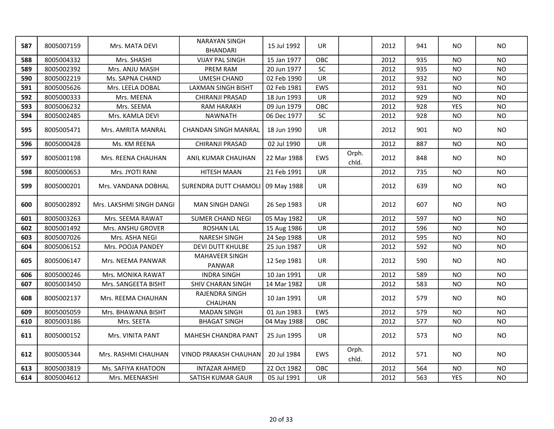| 587 | 8005007159 | Mrs. MATA DEVI           | <b>NARAYAN SINGH</b><br><b>BHANDARI</b> | 15 Jul 1992 | <b>UR</b>  |                | 2012 | 941 | <b>NO</b>  | <b>NO</b> |
|-----|------------|--------------------------|-----------------------------------------|-------------|------------|----------------|------|-----|------------|-----------|
| 588 | 8005004332 | Mrs. SHASHI              | <b>VIJAY PAL SINGH</b>                  | 15 Jan 1977 | OBC        |                | 2012 | 935 | NO.        | <b>NO</b> |
| 589 | 8005002392 | Mrs. ANJU MASIH          | PREM RAM                                | 20 Jun 1977 | <b>SC</b>  |                | 2012 | 935 | NO         | <b>NO</b> |
| 590 | 8005002219 | Ms. SAPNA CHAND          | <b>UMESH CHAND</b>                      | 02 Feb 1990 | UR         |                | 2012 | 932 | <b>NO</b>  | <b>NO</b> |
| 591 | 8005005626 | Mrs. LEELA DOBAL         | LAXMAN SINGH BISHT                      | 02 Feb 1981 | EWS        |                | 2012 | 931 | <b>NO</b>  | <b>NO</b> |
| 592 | 8005000333 | Mrs. MEENA               | CHIRANJI PRASAD                         | 18 Jun 1993 | <b>UR</b>  |                | 2012 | 929 | <b>NO</b>  | <b>NO</b> |
| 593 | 8005006232 | Mrs. SEEMA               | <b>RAM HARAKH</b>                       | 09 Jun 1979 | OBC        |                | 2012 | 928 | <b>YES</b> | <b>NO</b> |
| 594 | 8005002485 | Mrs. KAMLA DEVI          | <b>NAWNATH</b>                          | 06 Dec 1977 | SC         |                | 2012 | 928 | NO         | NO        |
| 595 | 8005005471 | Mrs. AMRITA MANRAL       | <b>CHANDAN SINGH MANRAL</b>             | 18 Jun 1990 | <b>UR</b>  |                | 2012 | 901 | NO.        | <b>NO</b> |
| 596 | 8005000428 | Ms. KM REENA             | CHIRANJI PRASAD                         | 02 Jul 1990 | <b>UR</b>  |                | 2012 | 887 | NO         | <b>NO</b> |
| 597 | 8005001198 | Mrs. REENA CHAUHAN       | ANIL KUMAR CHAUHAN                      | 22 Mar 1988 | <b>EWS</b> | Orph.<br>chld. | 2012 | 848 | NO         | <b>NO</b> |
| 598 | 8005000653 | Mrs. JYOTI RANI          | <b>HITESH MAAN</b>                      | 21 Feb 1991 | <b>UR</b>  |                | 2012 | 735 | <b>NO</b>  | <b>NO</b> |
| 599 | 8005000201 | Mrs. VANDANA DOBHAL      | SURENDRA DUTT CHAMOLI 09 May 1988       |             | <b>UR</b>  |                | 2012 | 639 | <b>NO</b>  | <b>NO</b> |
| 600 | 8005002892 | Mrs. LAKSHMI SINGH DANGI | <b>MAN SINGH DANGI</b>                  | 26 Sep 1983 | <b>UR</b>  |                | 2012 | 607 | <b>NO</b>  | <b>NO</b> |
| 601 | 8005003263 | Mrs. SEEMA RAWAT         | <b>SUMER CHAND NEGI</b>                 | 05 May 1982 | UR         |                | 2012 | 597 | <b>NO</b>  | <b>NO</b> |
| 602 | 8005001492 | Mrs. ANSHU GROVER        | <b>ROSHAN LAL</b>                       | 15 Aug 1986 | <b>UR</b>  |                | 2012 | 596 | <b>NO</b>  | <b>NO</b> |
| 603 | 8005007026 | Mrs. ASHA NEGI           | <b>NARESH SINGH</b>                     | 24 Sep 1988 | UR         |                | 2012 | 595 | <b>NO</b>  | <b>NO</b> |
| 604 | 8005006152 | Mrs. POOJA PANDEY        | DEVI DUTT KHULBE                        | 25 Jun 1987 | UR         |                | 2012 | 592 | <b>NO</b>  | <b>NO</b> |
| 605 | 8005006147 | Mrs. NEEMA PANWAR        | MAHAVEER SINGH<br>PANWAR                | 12 Sep 1981 | UR         |                | 2012 | 590 | NO.        | <b>NO</b> |
| 606 | 8005000246 | Mrs. MONIKA RAWAT        | <b>INDRA SINGH</b>                      | 10 Jan 1991 | <b>UR</b>  |                | 2012 | 589 | <b>NO</b>  | <b>NO</b> |
| 607 | 8005003450 | Mrs. SANGEETA BISHT      | SHIV CHARAN SINGH                       | 14 Mar 1982 | UR         |                | 2012 | 583 | <b>NO</b>  | <b>NO</b> |
| 608 | 8005002137 | Mrs. REEMA CHAUHAN       | RAJENDRA SINGH<br>CHAUHAN               | 10 Jan 1991 | UR         |                | 2012 | 579 | NO.        | <b>NO</b> |
| 609 | 8005005059 | Mrs. BHAWANA BISHT       | <b>MADAN SINGH</b>                      | 01 Jun 1983 | EWS        |                | 2012 | 579 | <b>NO</b>  | <b>NO</b> |
| 610 | 8005003186 | Mrs. SEETA               | <b>BHAGAT SINGH</b>                     | 04 May 1988 | OBC        |                | 2012 | 577 | <b>NO</b>  | <b>NO</b> |
| 611 | 8005000152 | Mrs. VINITA PANT         | MAHESH CHANDRA PANT                     | 25 Jun 1995 | UR         |                | 2012 | 573 | NO.        | <b>NO</b> |
| 612 | 8005005344 | Mrs. RASHMI CHAUHAN      | VINOD PRAKASH CHAUHAN                   | 20 Jul 1984 | EWS        | Orph.<br>chld. | 2012 | 571 | NO         | <b>NO</b> |
| 613 | 8005003819 | Ms. SAFIYA KHATOON       | <b>INTAZAR AHMED</b>                    | 22 Oct 1982 | OBC        |                | 2012 | 564 | <b>NO</b>  | <b>NO</b> |
| 614 | 8005004612 | Mrs. MEENAKSHI           | SATISH KUMAR GAUR                       | 05 Jul 1991 | UR         |                | 2012 | 563 | <b>YES</b> | <b>NO</b> |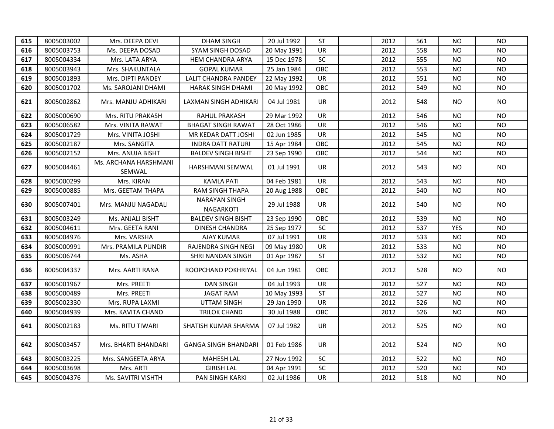| 615 | 8005003002 | Mrs. DEEPA DEVI                 | <b>DHAM SINGH</b>                 | 20 Jul 1992 | <b>ST</b>  | 2012 | 561 | NO.        | <b>NO</b> |
|-----|------------|---------------------------------|-----------------------------------|-------------|------------|------|-----|------------|-----------|
| 616 | 8005003753 | Ms. DEEPA DOSAD                 | SYAM SINGH DOSAD                  | 20 May 1991 | UR         | 2012 | 558 | NO         | <b>NO</b> |
| 617 | 8005004334 | Mrs. LATA ARYA                  | HEM CHANDRA ARYA                  | 15 Dec 1978 | SC         | 2012 | 555 | <b>NO</b>  | <b>NO</b> |
| 618 | 8005003943 | Mrs. SHAKUNTALA                 | <b>GOPAL KUMAR</b>                | 25 Jan 1984 | OBC        | 2012 | 553 | NO         | <b>NO</b> |
| 619 | 8005001893 | Mrs. DIPTI PANDEY               | <b>LALIT CHANDRA PANDEY</b>       | 22 May 1992 | UR         | 2012 | 551 | <b>NO</b>  | <b>NO</b> |
| 620 | 8005001702 | Ms. SAROJANI DHAMI              | HARAK SINGH DHAMI                 | 20 May 1992 | OBC        | 2012 | 549 | <b>NO</b>  | <b>NO</b> |
| 621 | 8005002862 | Mrs. MANJU ADHIKARI             | LAXMAN SINGH ADHIKARI             | 04 Jul 1981 | <b>UR</b>  | 2012 | 548 | NO.        | <b>NO</b> |
| 622 | 8005000690 | Mrs. RITU PRAKASH               | RAHUL PRAKASH                     | 29 Mar 1992 | UR         | 2012 | 546 | NO         | <b>NO</b> |
| 623 | 8005006582 | Mrs. VINITA RAWAT               | <b>BHAGAT SINGH RAWAT</b>         | 28 Oct 1986 | UR         | 2012 | 546 | NO         | <b>NO</b> |
| 624 | 8005001729 | Mrs. VINITA JOSHI               | MR KEDAR DATT JOSHI               | 02 Jun 1985 | UR         | 2012 | 545 | ΝO         | <b>NO</b> |
| 625 | 8005002187 | Mrs. SANGITA                    | <b>INDRA DATT RATURI</b>          | 15 Apr 1984 | OBC        | 2012 | 545 | NO         | <b>NO</b> |
| 626 | 8005002152 | Mrs. ANUJA BISHT                | <b>BALDEV SINGH BISHT</b>         | 23 Sep 1990 | OBC        | 2012 | 544 | NO         | <b>NO</b> |
| 627 | 8005004461 | Ms. ARCHANA HARSHMANI<br>SEMWAL | HARSHMANI SEMWAL                  | 01 Jul 1991 | <b>UR</b>  | 2012 | 543 | NO.        | <b>NO</b> |
| 628 | 8005000299 | Mrs. KIRAN                      | <b>KAMLA PATI</b>                 | 04 Feb 1981 | <b>UR</b>  | 2012 | 543 | <b>NO</b>  | <b>NO</b> |
| 629 | 8005000885 | Mrs. GEETAM THAPA               | RAM SINGH THAPA                   | 20 Aug 1988 | OBC        | 2012 | 540 | NO         | <b>NO</b> |
| 630 | 8005007401 | Mrs. MANJU NAGADALI             | <b>NARAYAN SINGH</b><br>NAGARKOTI | 29 Jul 1988 | <b>UR</b>  | 2012 | 540 | NO.        | <b>NO</b> |
| 631 | 8005003249 | Ms. ANJALI BISHT                | <b>BALDEV SINGH BISHT</b>         | 23 Sep 1990 | OBC        | 2012 | 539 | NO         | <b>NO</b> |
| 632 | 8005004611 | Mrs. GEETA RANI                 | <b>DINESH CHANDRA</b>             | 25 Sep 1977 | SC         | 2012 | 537 | <b>YES</b> | <b>NO</b> |
| 633 | 8005004976 | Mrs. VARSHA                     | <b>AJAY KUMAR</b>                 | 07 Jul 1991 | <b>UR</b>  | 2012 | 533 | <b>NO</b>  | <b>NO</b> |
| 634 | 8005000991 | Mrs. PRAMILA PUNDIR             | RAJENDRA SINGH NEGI               | 09 May 1980 | <b>UR</b>  | 2012 | 533 | NO         | <b>NO</b> |
| 635 | 8005006744 | Ms. ASHA                        | SHRI NANDAN SINGH                 | 01 Apr 1987 | <b>ST</b>  | 2012 | 532 | <b>NO</b>  | <b>NO</b> |
| 636 | 8005004337 | Mrs. AARTI RANA                 | ROOPCHAND POKHRIYAL               | 04 Jun 1981 | <b>OBC</b> | 2012 | 528 | NO.        | <b>NO</b> |
| 637 | 8005001967 | Mrs. PREETI                     | <b>DAN SINGH</b>                  | 04 Jul 1993 | <b>UR</b>  | 2012 | 527 | <b>NO</b>  | NO.       |
| 638 | 8005000489 | Mrs. PREETI                     | <b>JAGAT RAM</b>                  | 10 May 1993 | <b>ST</b>  | 2012 | 527 | NO         | <b>NO</b> |
| 639 | 8005002330 | Mrs. RUPA LAXMI                 | <b>UTTAM SINGH</b>                | 29 Jan 1990 | UR         | 2012 | 526 | NO         | <b>NO</b> |
| 640 | 8005004939 | Mrs. KAVITA CHAND               | TRILOK CHAND                      | 30 Jul 1988 | OBC        | 2012 | 526 | <b>NO</b>  | <b>NO</b> |
| 641 | 8005002183 | Ms. RITU TIWARI                 | SHATISH KUMAR SHARMA              | 07 Jul 1982 | UR         | 2012 | 525 | NO.        | <b>NO</b> |
| 642 | 8005003457 | Mrs. BHARTI BHANDARI            | <b>GANGA SINGH BHANDARI</b>       | 01 Feb 1986 | <b>UR</b>  | 2012 | 524 | NO.        | NO.       |
| 643 | 8005003225 | Mrs. SANGEETA ARYA              | <b>MAHESH LAL</b>                 | 27 Nov 1992 | <b>SC</b>  | 2012 | 522 | NO.        | <b>NO</b> |
| 644 | 8005003698 | Mrs. ARTI                       | <b>GIRISH LAL</b>                 | 04 Apr 1991 | SC         | 2012 | 520 | <b>NO</b>  | <b>NO</b> |
| 645 | 8005004376 | Ms. SAVITRI VISHTH              | PAN SINGH KARKI                   | 02 Jul 1986 | UR         | 2012 | 518 | <b>NO</b>  | <b>NO</b> |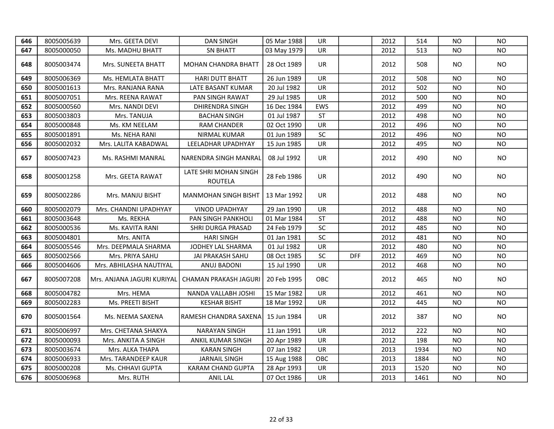| 646 | 8005005639 | Mrs. GEETA DEVI            | <b>DAN SINGH</b>                 | 05 Mar 1988 | UR         |            | 2012 | 514  | <b>NO</b> | <b>NO</b>      |
|-----|------------|----------------------------|----------------------------------|-------------|------------|------------|------|------|-----------|----------------|
| 647 | 8005000050 | Ms. MADHU BHATT            | <b>SN BHATT</b>                  | 03 May 1979 | UR         |            | 2012 | 513  | <b>NO</b> | <b>NO</b>      |
| 648 | 8005003474 | Mrs. SUNEETA BHATT         | <b>MOHAN CHANDRA BHATT</b>       | 28 Oct 1989 | <b>UR</b>  |            | 2012 | 508  | NO.       | <b>NO</b>      |
| 649 | 8005006369 | Ms. HEMLATA BHATT          | <b>HARI DUTT BHATT</b>           | 26 Jun 1989 | UR.        |            | 2012 | 508  | <b>NO</b> | <b>NO</b>      |
| 650 | 8005001613 | Mrs. RANJANA RANA          | LATE BASANT KUMAR                | 20 Jul 1982 | UR         |            | 2012 | 502  | NO        | <b>NO</b>      |
| 651 | 8005007051 | Mrs. REENA RAWAT           | PAN SINGH RAWAT                  | 29 Jul 1985 | UR         |            | 2012 | 500  | <b>NO</b> | <b>NO</b>      |
| 652 | 8005000560 | Mrs. NANDI DEVI            | DHIRENDRA SINGH                  | 16 Dec 1984 | EWS        |            | 2012 | 499  | NO.       | <b>NO</b>      |
| 653 | 8005003803 | Mrs. TANUJA                | <b>BACHAN SINGH</b>              | 01 Jul 1987 | <b>ST</b>  |            | 2012 | 498  | <b>NO</b> | <b>NO</b>      |
| 654 | 8005000848 | Ms. KM NEELAM              | <b>RAM CHANDER</b>               | 02 Oct 1990 | UR         |            | 2012 | 496  | <b>NO</b> | <b>NO</b>      |
| 655 | 8005001891 | Ms. NEHA RANI              | NIRMAL KUMAR                     | 01 Jun 1989 | SC         |            | 2012 | 496  | <b>NO</b> | <b>NO</b>      |
| 656 | 8005002032 | Mrs. LALITA KABADWAL       | LEELADHAR UPADHYAY               | 15 Jun 1985 | UR         |            | 2012 | 495  | <b>NO</b> | <b>NO</b>      |
| 657 | 8005007423 | Ms. RASHMI MANRAL          | <b>NARENDRA SINGH MANRAL</b>     | 08 Jul 1992 | <b>UR</b>  |            | 2012 | 490  | NO.       | <b>NO</b>      |
| 658 | 8005001258 | Mrs. GEETA RAWAT           | LATE SHRI MOHAN SINGH<br>ROUTELA | 28 Feb 1986 | UR         |            | 2012 | 490  | NO.       | NO.            |
| 659 | 8005002286 | Mrs. MANJU BISHT           | <b>MANMOHAN SINGH BISHT</b>      | 13 Mar 1992 | UR.        |            | 2012 | 488  | NO.       | NO.            |
| 660 | 8005002079 | Mrs. CHANDNI UPADHYAY      | <b>VINOD UPADHYAY</b>            | 29 Jan 1990 | UR         |            | 2012 | 488  | NO.       | <b>NO</b>      |
| 661 | 8005003648 | Ms. REKHA                  | PAN SINGH PANKHOLI               | 01 Mar 1984 | <b>ST</b>  |            | 2012 | 488  | NO.       | <b>NO</b>      |
| 662 | 8005000536 | Ms. KAVITA RANI            | SHRI DURGA PRASAD                | 24 Feb 1979 | SC         |            | 2012 | 485  | NO.       | <b>NO</b>      |
| 663 | 8005004801 | Mrs. ANITA                 | <b>HARI SINGH</b>                | 01 Jan 1981 | SC         |            | 2012 | 481  | <b>NO</b> | <b>NO</b>      |
| 664 | 8005005546 | Mrs. DEEPMALA SHARMA       | JODHEY LAL SHARMA                | 01 Jul 1982 | UR         |            | 2012 | 480  | NO.       | N <sub>O</sub> |
| 665 | 8005002566 | Mrs. PRIYA SAHU            | <b>JAI PRAKASH SAHU</b>          | 08 Oct 1985 | <b>SC</b>  | <b>DFF</b> | 2012 | 469  | NO.       | NO.            |
| 666 | 8005004606 | Mrs. ABHILASHA NAUTIYAL    | ANUJ BADONI                      | 15 Jul 1990 | UR         |            | 2012 | 468  | NO.       | <b>NO</b>      |
| 667 | 8005007208 | Mrs. ANJANA JAGURI KURIYAL | CHAMAN PRAKASH JAGURI            | 20 Feb 1995 | <b>OBC</b> |            | 2012 | 465  | NO.       | <b>NO</b>      |
| 668 | 8005004782 | Mrs. HEMA                  | NANDA VALLABH JOSHI              | 15 Mar 1982 | UR         |            | 2012 | 461  | NO.       | NO.            |
| 669 | 8005002283 | Ms. PREETI BISHT           | <b>KESHAR BISHT</b>              | 18 Mar 1992 | UR         |            | 2012 | 445  | <b>NO</b> | <b>NO</b>      |
| 670 | 8005001564 | Ms. NEEMA SAXENA           | RAMESH CHANDRA SAXENA            | 15 Jun 1984 | <b>UR</b>  |            | 2012 | 387  | NO.       | NO.            |
| 671 | 8005006997 | Mrs. CHETANA SHAKYA        | <b>NARAYAN SINGH</b>             | 11 Jan 1991 | UR         |            | 2012 | 222  | NO.       | <b>NO</b>      |
| 672 | 8005000093 | Mrs. ANKITA A SINGH        | ANKIL KUMAR SINGH                | 20 Apr 1989 | UR         |            | 2012 | 198  | <b>NO</b> | <b>NO</b>      |
| 673 | 8005003674 | Mrs. ALKA THAPA            | <b>KARAN SINGH</b>               | 07 Jan 1982 | UR         |            | 2013 | 1934 | <b>NO</b> | <b>NO</b>      |
| 674 | 8005006933 | Mrs. TARANDEEP KAUR        | <b>JARNAIL SINGH</b>             | 15 Aug 1988 | OBC        |            | 2013 | 1884 | <b>NO</b> | <b>NO</b>      |
| 675 | 8005000208 | Ms. CHHAVI GUPTA           | KARAM CHAND GUPTA                | 28 Apr 1993 | UR         |            | 2013 | 1520 | <b>NO</b> | <b>NO</b>      |
| 676 | 8005006968 | Mrs. RUTH                  | <b>ANIL LAL</b>                  | 07 Oct 1986 | UR         |            | 2013 | 1461 | <b>NO</b> | <b>NO</b>      |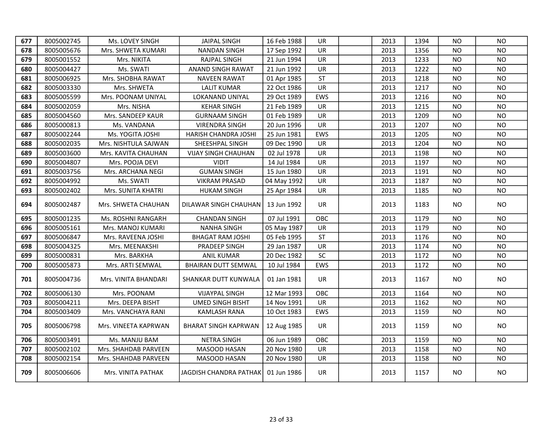| 677 | 8005002745 | Ms. LOVEY SINGH      | <b>JAIPAL SINGH</b>                  | 16 Feb 1988 | UR.        | 2013 | 1394 | NO.       | N <sub>O</sub> |
|-----|------------|----------------------|--------------------------------------|-------------|------------|------|------|-----------|----------------|
| 678 | 8005005676 | Mrs. SHWETA KUMARI   | <b>NANDAN SINGH</b>                  | 17 Sep 1992 | UR         | 2013 | 1356 | <b>NO</b> | <b>NO</b>      |
| 679 | 8005001552 | Mrs. NIKITA          | <b>RAJPAL SINGH</b>                  | 21 Jun 1994 | UR         | 2013 | 1233 | <b>NO</b> | <b>NO</b>      |
| 680 | 8005004427 | Ms. SWATI            | ANAND SINGH RAWAT                    | 21 Jun 1992 | UR         | 2013 | 1222 | NO        | <b>NO</b>      |
| 681 | 8005006925 | Mrs. SHOBHA RAWAT    | <b>NAVEEN RAWAT</b>                  | 01 Apr 1985 | <b>ST</b>  | 2013 | 1218 | <b>NO</b> | <b>NO</b>      |
| 682 | 8005003330 | Mrs. SHWETA          | <b>LALIT KUMAR</b>                   | 22 Oct 1986 | <b>UR</b>  | 2013 | 1217 | <b>NO</b> | <b>NO</b>      |
| 683 | 8005005599 | Mrs. POONAM UNIYAL   | LOKANAND UNIYAL                      | 29 Oct 1989 | <b>EWS</b> | 2013 | 1216 | <b>NO</b> | <b>NO</b>      |
| 684 | 8005002059 | Mrs. NISHA           | <b>KEHAR SINGH</b>                   | 21 Feb 1989 | <b>UR</b>  | 2013 | 1215 | NO        | <b>NO</b>      |
| 685 | 8005004560 | Mrs. SANDEEP KAUR    | <b>GURNAAM SINGH</b>                 | 01 Feb 1989 | UR         | 2013 | 1209 | <b>NO</b> | <b>NO</b>      |
| 686 | 8005000813 | Ms. VANDANA          | <b>VIRENDRA SINGH</b>                | 20 Jun 1996 | <b>UR</b>  | 2013 | 1207 | <b>NO</b> | <b>NO</b>      |
| 687 | 8005002244 | Ms. YOGITA JOSHI     | HARISH CHANDRA JOSHI                 | 25 Jun 1981 | EWS        | 2013 | 1205 | NO        | <b>NO</b>      |
| 688 | 8005002035 | Mrs. NISHTULA SAJWAN | SHEESHPAL SINGH                      | 09 Dec 1990 | UR.        | 2013 | 1204 | NO        | N <sub>O</sub> |
| 689 | 8005003600 | Mrs. KAVITA CHAUHAN  | <b>VIJAY SINGH CHAUHAN</b>           | 02 Jul 1978 | <b>UR</b>  | 2013 | 1198 | <b>NO</b> | <b>NO</b>      |
| 690 | 8005004807 | Mrs. POOJA DEVI      | <b>VIDIT</b>                         | 14 Jul 1984 | <b>UR</b>  | 2013 | 1197 | <b>NO</b> | <b>NO</b>      |
| 691 | 8005003756 | Mrs. ARCHANA NEGI    | <b>GUMAN SINGH</b>                   | 15 Jun 1980 | <b>UR</b>  | 2013 | 1191 | <b>NO</b> | N <sub>O</sub> |
| 692 | 8005004992 | Ms. SWATI            | <b>VIKRAM PRASAD</b>                 | 04 May 1992 | UR         | 2013 | 1187 | NO.       | <b>NO</b>      |
| 693 | 8005002402 | Mrs. SUNITA KHATRI   | <b>HUKAM SINGH</b>                   | 25 Apr 1984 | UR         | 2013 | 1185 | NO.       | <b>NO</b>      |
| 694 | 8005002487 | Mrs. SHWETA CHAUHAN  | DILAWAR SINGH CHAUHAN                | 13 Jun 1992 | UR         | 2013 | 1183 | NO.       | <b>NO</b>      |
| 695 | 8005001235 | Ms. ROSHNI RANGARH   | <b>CHANDAN SINGH</b>                 | 07 Jul 1991 | OBC        | 2013 | 1179 | NO.       | <b>NO</b>      |
| 696 | 8005005161 | Mrs. MANOJ KUMARI    | <b>NANHA SINGH</b>                   | 05 May 1987 | <b>UR</b>  | 2013 | 1179 | NO.       | <b>NO</b>      |
| 697 | 8005006847 | Mrs. RAVEENA JOSHI   | <b>BHAGAT RAM JOSHI</b>              | 05 Feb 1995 | <b>ST</b>  | 2013 | 1176 | NO        | <b>NO</b>      |
| 698 | 8005004325 | Mrs. MEENAKSHI       | PRADEEP SINGH                        | 29 Jan 1987 | <b>UR</b>  | 2013 | 1174 | <b>NO</b> | <b>NO</b>      |
| 699 | 8005000831 | Mrs. BARKHA          | <b>ANIL KUMAR</b>                    | 20 Dec 1982 | SC         | 2013 | 1172 | NO.       | <b>NO</b>      |
| 700 | 8005005873 | Mrs. ARTI SEMWAL     | <b>BHAIRAN DUTT SEMWAL</b>           | 10 Jul 1984 | EWS        | 2013 | 1172 | <b>NO</b> | <b>NO</b>      |
| 701 | 8005004736 | Mrs. VINITA BHANDARI | SHANKAR DUTT KUNWALA                 | 01 Jan 1981 | UR         | 2013 | 1167 | NO.       | <b>NO</b>      |
| 702 | 8005006130 | Mrs. POONAM          | <b>VIJAYPAL SINGH</b>                | 12 Mar 1993 | OBC        | 2013 | 1164 | <b>NO</b> | <b>NO</b>      |
| 703 | 8005004211 | Mrs. DEEPA BISHT     | <b>UMED SINGH BISHT</b>              | 14 Nov 1991 | UR         | 2013 | 1162 | <b>NO</b> | <b>NO</b>      |
| 704 | 8005003409 | Mrs. VANCHAYA RANI   | <b>KAMLASH RANA</b>                  | 10 Oct 1983 | EWS        | 2013 | 1159 | <b>NO</b> | <b>NO</b>      |
| 705 | 8005006798 | Mrs. VINEETA KAPRWAN | <b>BHARAT SINGH KAPRWAN</b>          | 12 Aug 1985 | <b>UR</b>  | 2013 | 1159 | NO.       | <b>NO</b>      |
| 706 | 8005003491 | Ms. MANJU BAM        | <b>NETRA SINGH</b>                   | 06 Jun 1989 | OBC        | 2013 | 1159 | NO        | <b>NO</b>      |
| 707 | 8005002102 | Mrs. SHAHDAB PARVEEN | MASOOD HASAN                         | 20 Nov 1980 | <b>UR</b>  | 2013 | 1158 | <b>NO</b> | <b>NO</b>      |
| 708 | 8005002154 | Mrs. SHAHDAB PARVEEN | MASOOD HASAN                         | 20 Nov 1980 | UR         | 2013 | 1158 | <b>NO</b> | <b>NO</b>      |
| 709 | 8005006606 | Mrs. VINITA PATHAK   | JAGDISH CHANDRA PATHAK   01 Jun 1986 |             | UR.        | 2013 | 1157 | NO.       | NO.            |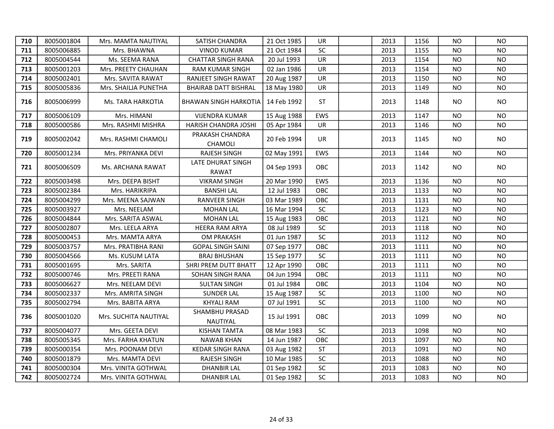| 710 | 8005001804 | Mrs. MAMTA NAUTIYAL   | <b>SATISH CHANDRA</b>             | 21 Oct 1985 | <b>UR</b>  | 2013 | 1156 | NO.            | NO.       |
|-----|------------|-----------------------|-----------------------------------|-------------|------------|------|------|----------------|-----------|
| 711 | 8005006885 | Mrs. BHAWNA           | <b>VINOD KUMAR</b>                | 21 Oct 1984 | SC         | 2013 | 1155 | NO.            | <b>NO</b> |
| 712 | 8005004544 | Ms. SEEMA RANA        | <b>CHATTAR SINGH RANA</b>         | 20 Jul 1993 | UR         | 2013 | 1154 | <b>NO</b>      | <b>NO</b> |
| 713 | 8005001203 | Mrs. PREETY CHAUHAN   | <b>RAM KUMAR SINGH</b>            | 02 Jan 1986 | <b>UR</b>  | 2013 | 1154 | NO.            | <b>NO</b> |
| 714 | 8005002401 | Mrs. SAVITA RAWAT     | RANJEET SINGH RAWAT               | 20 Aug 1987 | <b>UR</b>  | 2013 | 1150 | NO.            | <b>NO</b> |
| 715 | 8005005836 | Mrs. SHAILJA PUNETHA  | <b>BHAIRAB DATT BISHRAL</b>       | 18 May 1980 | <b>UR</b>  | 2013 | 1149 | NO.            | <b>NO</b> |
| 716 | 8005006999 | Ms. TARA HARKOTIA     | <b>BHAWAN SINGH HARKOTIA</b>      | 14 Feb 1992 | <b>ST</b>  | 2013 | 1148 | NO.            | <b>NO</b> |
| 717 | 8005006109 | Mrs. HIMANI           | <b>VIJENDRA KUMAR</b>             | 15 Aug 1988 | EWS        | 2013 | 1147 | N <sub>O</sub> | <b>NO</b> |
| 718 | 8005000586 | Mrs. RASHMI MISHRA    | HARISH CHANDRA JOSHI              | 05 Apr 1984 | UR         | 2013 | 1146 | NO.            | NO.       |
| 719 | 8005002042 | Mrs. RASHMI CHAMOLI   | PRAKASH CHANDRA<br><b>CHAMOLI</b> | 20 Feb 1994 | <b>UR</b>  | 2013 | 1145 | NO.            | NO.       |
| 720 | 8005001234 | Mrs. PRIYANKA DEVI    | <b>RAJESH SINGH</b>               | 02 May 1991 | <b>EWS</b> | 2013 | 1144 | NO.            | NO.       |
| 721 | 8005006509 | Ms. ARCHANA RAWAT     | LATE DHURAT SINGH<br><b>RAWAT</b> | 04 Sep 1993 | OBC.       | 2013 | 1142 | NO.            | NO.       |
| 722 | 8005003498 | Mrs. DEEPA BISHT      | <b>VIKRAM SINGH</b>               | 20 Mar 1990 | EWS        | 2013 | 1136 | NO.            | NO.       |
| 723 | 8005002384 | Mrs. HARIKRIPA        | <b>BANSHI LAL</b>                 | 12 Jul 1983 | OBC        | 2013 | 1133 | NO.            | <b>NO</b> |
| 724 | 8005004299 | Mrs. MEENA SAJWAN     | <b>RANVEER SINGH</b>              | 03 Mar 1989 | OBC        | 2013 | 1131 | <b>NO</b>      | <b>NO</b> |
| 725 | 8005003927 | Mrs. NEELAM           | <b>MOHAN LAL</b>                  | 16 Mar 1994 | SC         | 2013 | 1123 | <b>NO</b>      | <b>NO</b> |
| 726 | 8005004844 | Mrs. SARITA ASWAL     | <b>MOHAN LAL</b>                  | 15 Aug 1983 | OBC        | 2013 | 1121 | <b>NO</b>      | <b>NO</b> |
| 727 | 8005002807 | Mrs. LEELA ARYA       | HEERA RAM ARYA                    | 08 Jul 1989 | SC         | 2013 | 1118 | <b>NO</b>      | <b>NO</b> |
| 728 | 8005000453 | Mrs. MAMTA ARYA       | <b>OM PRAKASH</b>                 | 01 Jun 1987 | SC         | 2013 | 1112 | <b>NO</b>      | <b>NO</b> |
| 729 | 8005003757 | Mrs. PRATIBHA RANI    | <b>GOPAL SINGH SAINI</b>          | 07 Sep 1977 | OBC        | 2013 | 1111 | <b>NO</b>      | <b>NO</b> |
| 730 | 8005004566 | Ms. KUSUM LATA        | <b>BRAJ BHUSHAN</b>               | 15 Sep 1977 | SC         | 2013 | 1111 | <b>NO</b>      | <b>NO</b> |
| 731 | 8005001695 | Mrs. SARITA           | SHRI PREM DUTT BHATT              | 12 Apr 1990 | OBC        | 2013 | 1111 | <b>NO</b>      | <b>NO</b> |
| 732 | 8005000746 | Mrs. PREETI RANA      | SOHAN SINGH RANA                  | 04 Jun 1994 | OBC        | 2013 | 1111 | <b>NO</b>      | <b>NO</b> |
| 733 | 8005006627 | Mrs. NEELAM DEVI      | <b>SULTAN SINGH</b>               | 01 Jul 1984 | OBC        | 2013 | 1104 | <b>NO</b>      | <b>NO</b> |
| 734 | 8005002337 | Mrs. AMRITA SINGH     | <b>SUNDER LAL</b>                 | 15 Aug 1987 | SC         | 2013 | 1100 | <b>NO</b>      | <b>NO</b> |
| 735 | 8005002794 | Mrs. BABITA ARYA      | <b>KHYALI RAM</b>                 | 07 Jul 1991 | SC         | 2013 | 1100 | <b>NO</b>      | <b>NO</b> |
| 736 | 8005001020 | Mrs. SUCHITA NAUTIYAL | SHAMBHU PRASAD<br>NAUTIYAL        | 15 Jul 1991 | OBC        | 2013 | 1099 | NO.            | NO.       |
| 737 | 8005004077 | Mrs. GEETA DEVI       | <b>KISHAN TAMTA</b>               | 08 Mar 1983 | <b>SC</b>  | 2013 | 1098 | NO.            | <b>NO</b> |
| 738 | 8005005345 | Mrs. FARHA KHATUN     | <b>NAWAB KHAN</b>                 | 14 Jun 1987 | OBC        | 2013 | 1097 | <b>NO</b>      | <b>NO</b> |
| 739 | 8005000354 | Mrs. POONAM DEVI      | <b>KEDAR SINGH RANA</b>           | 03 Aug 1982 | <b>ST</b>  | 2013 | 1091 | <b>NO</b>      | <b>NO</b> |
| 740 | 8005001879 | Mrs. MAMTA DEVI       | <b>RAJESH SINGH</b>               | 10 Mar 1985 | $\sf SC$   | 2013 | 1088 | <b>NO</b>      | <b>NO</b> |
| 741 | 8005000304 | Mrs. VINITA GOTHWAL   | <b>DHANBIR LAL</b>                | 01 Sep 1982 | $\sf SC$   | 2013 | 1083 | <b>NO</b>      | <b>NO</b> |
| 742 | 8005002724 | Mrs. VINITA GOTHWAL   | <b>DHANBIR LAL</b>                | 01 Sep 1982 | <b>SC</b>  | 2013 | 1083 | <b>NO</b>      | <b>NO</b> |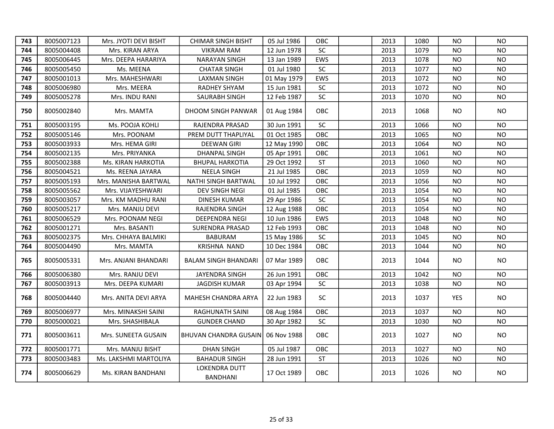| 743 | 8005007123 | Mrs. JYOTI DEVI BISHT | <b>CHIMAR SINGH BISHT</b>        | 05 Jul 1986 | <b>OBC</b> | 2013 | 1080 | NO.        | NO.       |
|-----|------------|-----------------------|----------------------------------|-------------|------------|------|------|------------|-----------|
| 744 | 8005004408 | Mrs. KIRAN ARYA       | <b>VIKRAM RAM</b>                | 12 Jun 1978 | SC         | 2013 | 1079 | NO.        | <b>NO</b> |
| 745 | 8005006445 | Mrs. DEEPA HARARIYA   | <b>NARAYAN SINGH</b>             | 13 Jan 1989 | EWS        | 2013 | 1078 | <b>NO</b>  | <b>NO</b> |
| 746 | 8005005450 | Ms. MEENA             | <b>CHATAR SINGH</b>              | 01 Jul 1980 | SC         | 2013 | 1077 | <b>NO</b>  | <b>NO</b> |
| 747 | 8005001013 | Mrs. MAHESHWARI       | <b>LAXMAN SINGH</b>              | 01 May 1979 | EWS        | 2013 | 1072 | NO.        | <b>NO</b> |
| 748 | 8005006980 | Mrs. MEERA            | RADHEY SHYAM                     | 15 Jun 1981 | SC         | 2013 | 1072 | NO.        | <b>NO</b> |
| 749 | 8005005278 | Mrs. INDU RANI        | SAURABH SINGH                    | 12 Feb 1987 | SC         | 2013 | 1070 | NO.        | <b>NO</b> |
| 750 | 8005002840 | Mrs. MAMTA            | DHOOM SINGH PANWAR               | 01 Aug 1984 | <b>OBC</b> | 2013 | 1068 | NO.        | <b>NO</b> |
| 751 | 8005003195 | Ms. POOJA KOHLI       | RAJENDRA PRASAD                  | 30 Jun 1991 | SC         | 2013 | 1066 | NO.        | <b>NO</b> |
| 752 | 8005005146 | Mrs. POONAM           | PREM DUTT THAPLIYAL              | 01 Oct 1985 | OBC        | 2013 | 1065 | NO.        | <b>NO</b> |
| 753 | 8005003933 | Mrs. HEMA GIRI        | <b>DEEWAN GIRI</b>               | 12 May 1990 | OBC        | 2013 | 1064 | NO.        | NO.       |
| 754 | 8005002135 | Mrs. PRIYANKA         | <b>DHANPAL SINGH</b>             | 05 Apr 1991 | OBC        | 2013 | 1061 | NO.        | <b>NO</b> |
| 755 | 8005002388 | Ms. KIRAN HARKOTIA    | <b>BHUPAL HARKOTIA</b>           | 29 Oct 1992 | <b>ST</b>  | 2013 | 1060 | NO.        | NO.       |
| 756 | 8005004521 | Ms. REENA JAYARA      | <b>NEELA SINGH</b>               | 21 Jul 1985 | OBC        | 2013 | 1059 | NO.        | <b>NO</b> |
| 757 | 8005005193 | Mrs. MANISHA BARTWAL  | NATHI SINGH BARTWAL              | 10 Jul 1992 | OBC        | 2013 | 1056 | <b>NO</b>  | <b>NO</b> |
| 758 | 8005005562 | Mrs. VIJAYESHWARI     | DEV SINGH NEGI                   | 01 Jul 1985 | OBC        | 2013 | 1054 | NO.        | NO.       |
| 759 | 8005003057 | Mrs. KM MADHU RANI    | <b>DINESH KUMAR</b>              | 29 Apr 1986 | SC         | 2013 | 1054 | NO.        | <b>NO</b> |
| 760 | 8005005217 | Mrs. MANJU DEVI       | RAJENDRA SINGH                   | 12 Aug 1988 | OBC        | 2013 | 1054 | <b>NO</b>  | <b>NO</b> |
| 761 | 8005006529 | Mrs. POONAM NEGI      | DEEPENDRA NEGI                   | 10 Jun 1986 | EWS        | 2013 | 1048 | <b>NO</b>  | <b>NO</b> |
| 762 | 8005001271 | Mrs. BASANTI          | SURENDRA PRASAD                  | 12 Feb 1993 | OBC        | 2013 | 1048 | NO.        | NO.       |
| 763 | 8005002375 | Mrs. CHHAYA BALMIKI   | <b>BABURAM</b>                   | 15 May 1986 | SC         | 2013 | 1045 | NO.        | <b>NO</b> |
| 764 | 8005004490 | Mrs. MAMTA            | <b>KRISHNA NAND</b>              | 10 Dec 1984 | OBC        | 2013 | 1044 | NO.        | <b>NO</b> |
| 765 | 8005005331 | Mrs. ANJANI BHANDARI  | <b>BALAM SINGH BHANDARI</b>      | 07 Mar 1989 | <b>OBC</b> | 2013 | 1044 | NO.        | <b>NO</b> |
| 766 | 8005006380 | Mrs. RANJU DEVI       | JAYENDRA SINGH                   | 26 Jun 1991 | OBC        | 2013 | 1042 | <b>NO</b>  | <b>NO</b> |
| 767 | 8005003913 | Mrs. DEEPA KUMARI     | <b>JAGDISH KUMAR</b>             | 03 Apr 1994 | SC         | 2013 | 1038 | <b>NO</b>  | <b>NO</b> |
| 768 | 8005004440 | Mrs. ANITA DEVI ARYA  | MAHESH CHANDRA ARYA              | 22 Jun 1983 | <b>SC</b>  | 2013 | 1037 | <b>YES</b> | <b>NO</b> |
| 769 | 8005006977 | Mrs. MINAKSHI SAINI   | <b>RAGHUNATH SAINI</b>           | 08 Aug 1984 | OBC        | 2013 | 1037 | <b>NO</b>  | <b>NO</b> |
| 770 | 8005000021 | Mrs. SHASHIBALA       | <b>GUNDER CHAND</b>              | 30 Apr 1982 | <b>SC</b>  | 2013 | 1030 | <b>NO</b>  | <b>NO</b> |
| 771 | 8005003611 | Mrs. SUNEETA GUSAIN   | <b>BHUVAN CHANDRA GUSAIN</b>     | 06 Nov 1988 | OBC        | 2013 | 1027 | <b>NO</b>  | NO.       |
| 772 | 8005001771 | Mrs. MANJU BISHT      | <b>DHAN SINGH</b>                | 05 Jul 1987 | OBC        | 2013 | 1027 | <b>NO</b>  | <b>NO</b> |
| 773 | 8005003483 | Ms. LAKSHMI MARTOLIYA | <b>BAHADUR SINGH</b>             | 28 Jun 1991 | ST         | 2013 | 1026 | NO.        | <b>NO</b> |
| 774 | 8005006629 | Ms. KIRAN BANDHANI    | LOKENDRA DUTT<br><b>BANDHANI</b> | 17 Oct 1989 | OBC        | 2013 | 1026 | NO.        | <b>NO</b> |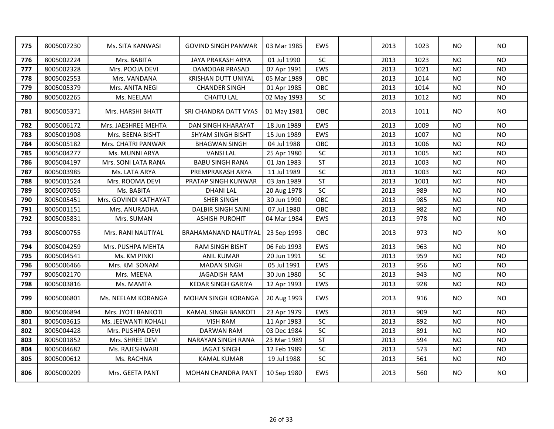| 775 | 8005007230 | Ms. SITA KANWASI      | <b>GOVIND SINGH PANWAR</b>  | 03 Mar 1985 | <b>EWS</b> | 2013 | 1023 | <b>NO</b> | <b>NO</b>      |
|-----|------------|-----------------------|-----------------------------|-------------|------------|------|------|-----------|----------------|
| 776 | 8005002224 | Mrs. BABITA           | JAYA PRAKASH ARYA           | 01 Jul 1990 | SC         | 2013 | 1023 | <b>NO</b> | N <sub>O</sub> |
| 777 | 8005002328 | Mrs. POOJA DEVI       | DAMODAR PRASAD              | 07 Apr 1991 | EWS        | 2013 | 1021 | <b>NO</b> | <b>NO</b>      |
| 778 | 8005002553 | Mrs. VANDANA          | KRISHAN DUTT UNIYAL         | 05 Mar 1989 | OBC        | 2013 | 1014 | NO.       | <b>NO</b>      |
| 779 | 8005005379 | Mrs. ANITA NEGI       | <b>CHANDER SINGH</b>        | 01 Apr 1985 | OBC        | 2013 | 1014 | NO.       | <b>NO</b>      |
| 780 | 8005002265 | Ms. NEELAM            | <b>CHAITU LAL</b>           | 02 May 1993 | SC         | 2013 | 1012 | <b>NO</b> | NO.            |
| 781 | 8005005371 | Mrs. HARSHI BHATT     | SRI CHANDRA DATT VYAS       | 01 May 1981 | OBC        | 2013 | 1011 | NO.       | NO.            |
| 782 | 8005006172 | Mrs. JAESHREE MEHTA   | DAN SINGH KHARAYAT          | 18 Jun 1989 | EWS        | 2013 | 1009 | <b>NO</b> | NO.            |
| 783 | 8005001908 | Mrs. BEENA BISHT      | SHYAM SINGH BISHT           | 15 Jun 1989 | EWS        | 2013 | 1007 | <b>NO</b> | <b>NO</b>      |
| 784 | 8005005182 | Mrs. CHATRI PANWAR    | <b>BHAGWAN SINGH</b>        | 04 Jul 1988 | OBC        | 2013 | 1006 | <b>NO</b> | <b>NO</b>      |
| 785 | 8005004277 | Ms. MUNNI ARYA        | <b>VANSILAL</b>             | 25 Apr 1980 | SC         | 2013 | 1005 | <b>NO</b> | <b>NO</b>      |
| 786 | 8005004197 | Mrs. SONI LATA RANA   | <b>BABU SINGH RANA</b>      | 01 Jan 1983 | <b>ST</b>  | 2013 | 1003 | <b>NO</b> | <b>NO</b>      |
| 787 | 8005003985 | Ms. LATA ARYA         | PREMPRAKASH ARYA            | 11 Jul 1989 | $\sf SC$   | 2013 | 1003 | <b>NO</b> | <b>NO</b>      |
| 788 | 8005001524 | Mrs. ROOMA DEVI       | PRATAP SINGH KUNWAR         | 03 Jan 1989 | <b>ST</b>  | 2013 | 1001 | <b>NO</b> | <b>NO</b>      |
| 789 | 8005007055 | Ms. BABITA            | <b>DHANI LAL</b>            | 20 Aug 1978 | SC         | 2013 | 989  | <b>NO</b> | <b>NO</b>      |
| 790 | 8005005451 | Mrs. GOVINDI KATHAYAT | SHER SINGH                  | 30 Jun 1990 | OBC        | 2013 | 985  | <b>NO</b> | <b>NO</b>      |
| 791 | 8005001151 | Mrs. ANURADHA         | <b>DALBIR SINGH SAINI</b>   | 07 Jul 1980 | OBC        | 2013 | 982  | <b>NO</b> | <b>NO</b>      |
| 792 | 8005005831 | Mrs. SUMAN            | <b>ASHISH PUROHIT</b>       | 04 Mar 1984 | EWS        | 2013 | 978  | <b>NO</b> | <b>NO</b>      |
| 793 | 8005000755 | Mrs. RANI NAUTIYAL    | <b>BRAHAMANAND NAUTIYAL</b> | 23 Sep 1993 | OBC        | 2013 | 973  | NO.       | <b>NO</b>      |
| 794 | 8005004259 | Mrs. PUSHPA MEHTA     | <b>RAM SINGH BISHT</b>      | 06 Feb 1993 | EWS        | 2013 | 963  | <b>NO</b> | <b>NO</b>      |
| 795 | 8005004541 | Ms. KM PINKI          | <b>ANIL KUMAR</b>           | 20 Jun 1991 | SC         | 2013 | 959  | <b>NO</b> | <b>NO</b>      |
| 796 | 8005006466 | Mrs. KM SONAM         | <b>MADAN SINGH</b>          | 05 Jul 1991 | EWS        | 2013 | 956  | <b>NO</b> | <b>NO</b>      |
| 797 | 8005002170 | Mrs. MEENA            | <b>JAGADISH RAM</b>         | 30 Jun 1980 | SC         | 2013 | 943  | <b>NO</b> | <b>NO</b>      |
| 798 | 8005003816 | Ms. MAMTA             | <b>KEDAR SINGH GARIYA</b>   | 12 Apr 1993 | EWS        | 2013 | 928  | <b>NO</b> | <b>NO</b>      |
| 799 | 8005006801 | Ms. NEELAM KORANGA    | MOHAN SINGH KORANGA         | 20 Aug 1993 | EWS        | 2013 | 916  | NO.       | <b>NO</b>      |
| 800 | 8005006894 | Mrs. JYOTI BANKOTI    | <b>KAMAL SINGH BANKOTI</b>  | 23 Apr 1979 | EWS        | 2013 | 909  | <b>NO</b> | <b>NO</b>      |
| 801 | 8005003615 | Ms. JEEWANTI KOHALI   | <b>VISH RAM</b>             | 11 Apr 1983 | $\sf SC$   | 2013 | 892  | <b>NO</b> | <b>NO</b>      |
| 802 | 8005004428 | Mrs. PUSHPA DEVI      | <b>DARWAN RAM</b>           | 03 Dec 1984 | $\sf SC$   | 2013 | 891  | <b>NO</b> | <b>NO</b>      |
| 803 | 8005001852 | Mrs. SHREE DEVI       | NARAYAN SINGH RANA          | 23 Mar 1989 | <b>ST</b>  | 2013 | 594  | <b>NO</b> | <b>NO</b>      |
| 804 | 8005004682 | Ms. RAJESHWARI        | <b>JAGAT SINGH</b>          | 12 Feb 1989 | SC         | 2013 | 573  | NO.       | <b>NO</b>      |
| 805 | 8005000612 | Ms. RACHNA            | <b>KAMAL KUMAR</b>          | 19 Jul 1988 | $\sf SC$   | 2013 | 561  | <b>NO</b> | <b>NO</b>      |
| 806 | 8005000209 | Mrs. GEETA PANT       | <b>MOHAN CHANDRA PANT</b>   | 10 Sep 1980 | <b>EWS</b> | 2013 | 560  | NO.       | N <sub>O</sub> |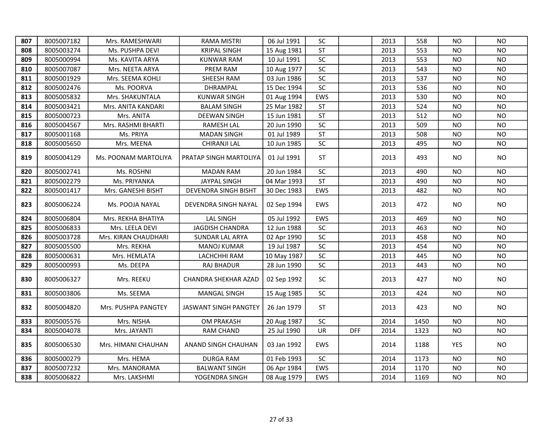| 807 | 8005007182 | Mrs. RAMESHWARI      | <b>RAMA MISTRI</b>     | 06 Jul 1991 | SC         |            | 2013 | 558  | <b>NO</b>  | <b>NO</b> |
|-----|------------|----------------------|------------------------|-------------|------------|------------|------|------|------------|-----------|
| 808 | 8005003274 | Ms. PUSHPA DEVI      | <b>KRIPAL SINGH</b>    | 15 Aug 1981 | <b>ST</b>  |            | 2013 | 553  | <b>NO</b>  | <b>NO</b> |
| 809 | 8005000994 | Ms. KAVITA ARYA      | KUNWAR RAM             | 10 Jul 1991 | SC         |            | 2013 | 553  | <b>NO</b>  | <b>NO</b> |
| 810 | 8005007087 | Mrs. NEETA ARYA      | PREM RAM               | 10 Aug 1977 | SC         |            | 2013 | 543  | NO.        | <b>NO</b> |
| 811 | 8005001929 | Mrs. SEEMA KOHLI     | SHEESH RAM             | 03 Jun 1986 | $\sf SC$   |            | 2013 | 537  | <b>NO</b>  | <b>NO</b> |
| 812 | 8005002476 | Ms. POORVA           | DHRAMPAL               | 15 Dec 1994 | SC         |            | 2013 | 536  | <b>NO</b>  | <b>NO</b> |
| 813 | 8005005832 | Mrs. SHAKUNTALA      | <b>KUNWAR SINGH</b>    | 01 Aug 1994 | EWS        |            | 2013 | 530  | <b>NO</b>  | <b>NO</b> |
| 814 | 8005003421 | Mrs. ANITA KANDARI   | <b>BALAM SINGH</b>     | 25 Mar 1982 | <b>ST</b>  |            | 2013 | 524  | <b>NO</b>  | <b>NO</b> |
| 815 | 8005000723 | Mrs. ANITA           | <b>DEEWAN SINGH</b>    | 15 Jun 1981 | <b>ST</b>  |            | 2013 | 512  | NO.        | <b>NO</b> |
| 816 | 8005004567 | Mrs. RASHMI BHARTI   | <b>RAMESH LAL</b>      | 20 Jun 1990 | $\sf SC$   |            | 2013 | 509  | <b>NO</b>  | <b>NO</b> |
| 817 | 8005001168 | Ms. PRIYA            | <b>MADAN SINGH</b>     | 01 Jul 1989 | <b>ST</b>  |            | 2013 | 508  | <b>NO</b>  | <b>NO</b> |
| 818 | 8005005650 | Mrs. MEENA           | CHIRANJI LAL           | 10 Jun 1985 | $\sf SC$   |            | 2013 | 495  | NO.        | <b>NO</b> |
| 819 | 8005004129 | Ms. POONAM MARTOLIYA | PRATAP SINGH MARTOLIYA | 01 Jul 1991 | <b>ST</b>  |            | 2013 | 493  | NO.        | <b>NO</b> |
| 820 | 8005002741 | Ms. ROSHNI           | <b>MADAN RAM</b>       | 20 Jun 1984 | SC         |            | 2013 | 490  | <b>NO</b>  | <b>NO</b> |
| 821 | 8005002279 | Ms. PRIYANKA         | <b>JAYPAL SINGH</b>    | 04 Mar 1993 | <b>ST</b>  |            | 2013 | 490  | <b>NO</b>  | <b>NO</b> |
| 822 | 8005001417 | Mrs. GANESHI BISHT   | DEVENDRA SINGH BISHT   | 30 Dec 1983 | EWS        |            | 2013 | 482  | NO.        | <b>NO</b> |
| 823 | 8005006224 | Ms. POOJA NAYAL      | DEVENDRA SINGH NAYAL   | 02 Sep 1994 | <b>EWS</b> |            | 2013 | 472  | NO         | <b>NO</b> |
| 824 | 8005006804 | Mrs. REKHA BHATIYA   | <b>LAL SINGH</b>       | 05 Jul 1992 | EWS        |            | 2013 | 469  | <b>NO</b>  | <b>NO</b> |
| 825 | 8005006833 | Mrs. LEELA DEVI      | <b>JAGDISH CHANDRA</b> | 12 Jun 1988 | SC         |            | 2013 | 463  | <b>NO</b>  | <b>NO</b> |
| 826 | 8005003728 | Mrs. KIRAN CHAUDHARI | SUNDAR LAL ARYA        | 02 Apr 1990 | SC         |            | 2013 | 458  | <b>NO</b>  | <b>NO</b> |
| 827 | 8005005500 | Mrs. REKHA           | <b>MANOJ KUMAR</b>     | 19 Jul 1987 | SC         |            | 2013 | 454  | <b>NO</b>  | <b>NO</b> |
| 828 | 8005000631 | Mrs. HEMLATA         | LACHCHHI RAM           | 10 May 1987 | SC         |            | 2013 | 445  | NO.        | <b>NO</b> |
| 829 | 8005000993 | Ms. DEEPA            | RAJ BHADUR             | 28 Jun 1990 | SC         |            | 2013 | 443  | <b>NO</b>  | <b>NO</b> |
| 830 | 8005006327 | Mrs. REEKU           | CHANDRA SHEKHAR AZAD   | 02 Sep 1992 | SC         |            | 2013 | 427  | NO.        | <b>NO</b> |
| 831 | 8005003806 | Ms. SEEMA            | MANGAL SINGH           | 15 Aug 1985 | SC         |            | 2013 | 424  | <b>NO</b>  | <b>NO</b> |
| 832 | 8005004820 | Mrs. PUSHPA PANGTEY  | JASWANT SINGH PANGTEY  | 26 Jan 1979 | <b>ST</b>  |            | 2013 | 423  | NO.        | <b>NO</b> |
| 833 | 8005005576 | Mrs. NISHA           | <b>OM PRAKASH</b>      | 20 Aug 1987 | <b>SC</b>  |            | 2014 | 1450 | NO.        | <b>NO</b> |
| 834 | 8005004078 | Mrs. JAYANTI         | <b>RAM CHAND</b>       | 25 Jul 1990 | UR         | <b>DFF</b> | 2014 | 1323 | <b>NO</b>  | <b>NO</b> |
| 835 | 8005006530 | Mrs. HIMANI CHAUHAN  | ANAND SINGH CHAUHAN    | 03 Jan 1992 | <b>EWS</b> |            | 2014 | 1188 | <b>YES</b> | NO        |
| 836 | 8005000279 | Mrs. HEMA            | <b>DURGA RAM</b>       | 01 Feb 1993 | SC         |            | 2014 | 1173 | <b>NO</b>  | <b>NO</b> |
| 837 | 8005007232 | Mrs. MANORAMA        | <b>BALWANT SINGH</b>   | 06 Apr 1984 | EWS        |            | 2014 | 1170 | <b>NO</b>  | <b>NO</b> |
| 838 | 8005006822 | Mrs. LAKSHMI         | YOGENDRA SINGH         | 08 Aug 1979 | EWS        |            | 2014 | 1169 | <b>NO</b>  | <b>NO</b> |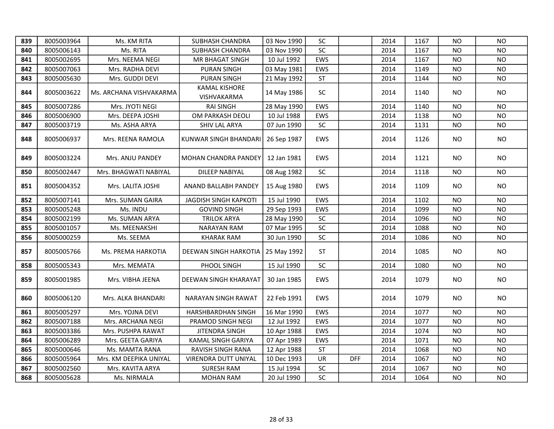| 839 | 8005003964 | Ms. KM RITA             | <b>SUBHASH CHANDRA</b>       | 03 Nov 1990 | <b>SC</b>  |            | 2014 | 1167 | <b>NO</b> | <b>NO</b> |
|-----|------------|-------------------------|------------------------------|-------------|------------|------------|------|------|-----------|-----------|
| 840 | 8005006143 | Ms. RITA                | <b>SUBHASH CHANDRA</b>       | 03 Nov 1990 | SC         |            | 2014 | 1167 | NO.       | <b>NO</b> |
| 841 | 8005002695 | Mrs. NEEMA NEGI         | MR BHAGAT SINGH              | 10 Jul 1992 | EWS        |            | 2014 | 1167 | <b>NO</b> | <b>NO</b> |
| 842 | 8005007063 | Mrs. RADHA DEVI         | <b>PURAN SINGH</b>           | 03 May 1981 | EWS        |            | 2014 | 1149 | <b>NO</b> | <b>NO</b> |
| 843 | 8005005630 | Mrs. GUDDI DEVI         | <b>PURAN SINGH</b>           | 21 May 1992 | <b>ST</b>  |            | 2014 | 1144 | <b>NO</b> | <b>NO</b> |
| 844 | 8005003622 | Ms. ARCHANA VISHVAKARMA | KAMAL KISHORE<br>VISHVAKARMA | 14 May 1986 | <b>SC</b>  |            | 2014 | 1140 | NO.       | <b>NO</b> |
| 845 | 8005007286 | Mrs. JYOTI NEGI         | <b>RAI SINGH</b>             | 28 May 1990 | EWS        |            | 2014 | 1140 | NO.       | <b>NO</b> |
| 846 | 8005006900 | Mrs. DEEPA JOSHI        | OM PARKASH DEOLI             | 10 Jul 1988 | EWS        |            | 2014 | 1138 | NO.       | <b>NO</b> |
| 847 | 8005003719 | Ms. ASHA ARYA           | SHIV LAL ARYA                | 07 Jun 1990 | SC         |            | 2014 | 1131 | NO.       | <b>NO</b> |
| 848 | 8005006937 | Mrs. REENA RAMOLA       | KUNWAR SINGH BHANDARI        | 26 Sep 1987 | <b>EWS</b> |            | 2014 | 1126 | NO.       | <b>NO</b> |
| 849 | 8005003224 | Mrs. ANJU PANDEY        | <b>MOHAN CHANDRA PANDEY</b>  | 12 Jan 1981 | <b>EWS</b> |            | 2014 | 1121 | NO.       | <b>NO</b> |
| 850 | 8005002447 | Mrs. BHAGWATI NABIYAL   | DILEEP NABIYAL               | 08 Aug 1982 | SC         |            | 2014 | 1118 | <b>NO</b> | <b>NO</b> |
| 851 | 8005004352 | Mrs. LALITA JOSHI       | ANAND BALLABH PANDEY         | 15 Aug 1980 | EWS        |            | 2014 | 1109 | NO        | <b>NO</b> |
| 852 | 8005007141 | Mrs. SUMAN GAIRA        | JAGDISH SINGH KAPKOTI        | 15 Jul 1990 | EWS        |            | 2014 | 1102 | NO.       | <b>NO</b> |
| 853 | 8005005248 | Ms. INDU                | <b>GOVIND SINGH</b>          | 29 Sep 1993 | EWS        |            | 2014 | 1099 | <b>NO</b> | <b>NO</b> |
| 854 | 8005002199 | Ms. SUMAN ARYA          | <b>TRILOK ARYA</b>           | 28 May 1990 | SC         |            | 2014 | 1096 | <b>NO</b> | <b>NO</b> |
| 855 | 8005001057 | Ms. MEENAKSHI           | <b>NARAYAN RAM</b>           | 07 Mar 1995 | SC         |            | 2014 | 1088 | <b>NO</b> | <b>NO</b> |
| 856 | 8005000259 | Ms. SEEMA               | <b>KHARAK RAM</b>            | 30 Jun 1990 | SC         |            | 2014 | 1086 | <b>NO</b> | <b>NO</b> |
| 857 | 8005005766 | Ms. PREMA HARKOTIA      | <b>DEEWAN SINGH HARKOTIA</b> | 25 May 1992 | <b>ST</b>  |            | 2014 | 1085 | NO.       | <b>NO</b> |
| 858 | 8005005343 | Mrs. MEMATA             | PHOOL SINGH                  | 15 Jul 1990 | $\sf SC$   |            | 2014 | 1080 | <b>NO</b> | <b>NO</b> |
| 859 | 8005001985 | Mrs. VIBHA JEENA        | DEEWAN SINGH KHARAYAT        | 30 Jan 1985 | <b>EWS</b> |            | 2014 | 1079 | NO.       | <b>NO</b> |
| 860 | 8005006120 | Mrs. ALKA BHANDARI      | NARAYAN SINGH RAWAT          | 22 Feb 1991 | <b>EWS</b> |            | 2014 | 1079 | NO.       | <b>NO</b> |
| 861 | 8005005297 | Mrs. YOJNA DEVI         | HARSHBARDHAN SINGH           | 16 Mar 1990 | EWS        |            | 2014 | 1077 | <b>NO</b> | <b>NO</b> |
| 862 | 8005007188 | Mrs. ARCHANA NEGI       | PRAMOD SINGH NEGI            | 12 Jul 1992 | EWS        |            | 2014 | 1077 | <b>NO</b> | <b>NO</b> |
| 863 | 8005003386 | Mrs. PUSHPA RAWAT       | <b>JITENDRA SINGH</b>        | 10 Apr 1988 | EWS        |            | 2014 | 1074 | <b>NO</b> | <b>NO</b> |
| 864 | 8005006289 | Mrs. GEETA GARIYA       | KAMAL SINGH GARIYA           | 07 Apr 1989 | EWS        |            | 2014 | 1071 | <b>NO</b> | <b>NO</b> |
| 865 | 8005000646 | Ms. MAMTA RANA          | RAVISH SINGH RANA            | 12 Apr 1988 | <b>ST</b>  |            | 2014 | 1068 | <b>NO</b> | <b>NO</b> |
| 866 | 8005005964 | Mrs. KM DEEPIKA UNIYAL  | VIRENDRA DUTT UNIYAL         | 10 Dec 1993 | UR         | <b>DFF</b> | 2014 | 1067 | <b>NO</b> | <b>NO</b> |
| 867 | 8005002560 | Mrs. KAVITA ARYA        | <b>SURESH RAM</b>            | 15 Jul 1994 | SC         |            | 2014 | 1067 | <b>NO</b> | <b>NO</b> |
| 868 | 8005005628 | Ms. NIRMALA             | <b>MOHAN RAM</b>             | 20 Jul 1990 | SC         |            | 2014 | 1064 | <b>NO</b> | <b>NO</b> |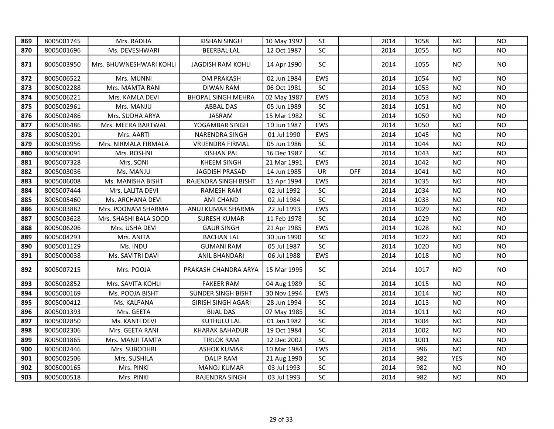| 869 | 8005001745 | Mrs. RADHA              | <b>KISHAN SINGH</b>       | 10 May 1992 | <b>ST</b>  |            | 2014 | 1058 | NO.        | <b>NO</b> |
|-----|------------|-------------------------|---------------------------|-------------|------------|------------|------|------|------------|-----------|
| 870 | 8005001696 | Ms. DEVESHWARI          | <b>BEERBAL LAL</b>        | 12 Oct 1987 | SC         |            | 2014 | 1055 | NO         | <b>NO</b> |
| 871 | 8005003950 | Mrs. BHUWNESHWARI KOHLI | JAGDISH RAM KOHLI         | 14 Apr 1990 | SC         |            | 2014 | 1055 | NO         | <b>NO</b> |
| 872 | 8005006522 | Mrs. MUNNI              | OM PRAKASH                | 02 Jun 1984 | <b>EWS</b> |            | 2014 | 1054 | NO         | <b>NO</b> |
| 873 | 8005002288 | Mrs. MAMTA RANI         | <b>DIWAN RAM</b>          | 06 Oct 1981 | SC         |            | 2014 | 1053 | NO         | <b>NO</b> |
| 874 | 8005006221 | Mrs. KAMLA DEVI         | <b>BHOPAL SINGH MEHRA</b> | 02 May 1987 | EWS        |            | 2014 | 1053 | <b>NO</b>  | NO        |
| 875 | 8005002961 | Mrs. MANJU              | ABBAL DAS                 | 05 Jun 1989 | <b>SC</b>  |            | 2014 | 1051 | NO         | <b>NO</b> |
| 876 | 8005002486 | Mrs. SUDHA ARYA         | <b>JASRAM</b>             | 15 Mar 1982 | <b>SC</b>  |            | 2014 | 1050 | ΝO         | <b>NO</b> |
| 877 | 8005006486 | Mrs. MEERA BARTWAL      | YOGAMBAR SINGH            | 10 Jun 1987 | <b>EWS</b> |            | 2014 | 1050 | <b>NO</b>  | NO.       |
| 878 | 8005005201 | Mrs. AARTI              | NARENDRA SINGH            | 01 Jul 1990 | EWS        |            | 2014 | 1045 | <b>NO</b>  | <b>NO</b> |
| 879 | 8005003956 | Mrs. NIRMALA FIRMALA    | <b>VRIJENDRA FIRMAL</b>   | 05 Jun 1986 | SC         |            | 2014 | 1044 | NO         | <b>NO</b> |
| 880 | 8005000091 | Mrs. ROSHNI             | <b>KISHAN PAL</b>         | 16 Dec 1987 | SC         |            | 2014 | 1043 | <b>NO</b>  | <b>NO</b> |
| 881 | 8005007328 | Mrs. SONI               | <b>KHEEM SINGH</b>        | 21 Mar 1991 | EWS        |            | 2014 | 1042 | <b>NO</b>  | <b>NO</b> |
| 882 | 8005003036 | Ms. MANJU               | <b>JAGDISH PRASAD</b>     | 14 Jun 1985 | <b>UR</b>  | <b>DFF</b> | 2014 | 1041 | <b>NO</b>  | <b>NO</b> |
| 883 | 8005006008 | Ms. MANISHA BISHT       | RAJENDRA SINGH BISHT      | 15 Apr 1994 | EWS        |            | 2014 | 1035 | <b>NO</b>  | <b>NO</b> |
| 884 | 8005007444 | Mrs. LALITA DEVI        | RAMESH RAM                | 02 Jul 1992 | <b>SC</b>  |            | 2014 | 1034 | <b>NO</b>  | <b>NO</b> |
| 885 | 8005005460 | Ms. ARCHANA DEVI        | AMI CHAND                 | 02 Jul 1984 | SC         |            | 2014 | 1033 | <b>NO</b>  | <b>NO</b> |
| 886 | 8005003882 | Mrs. POONAM SHARMA      | ANUJ KUMAR SHARMA         | 22 Jul 1993 | EWS        |            | 2014 | 1029 | <b>NO</b>  | <b>NO</b> |
| 887 | 8005003628 | Mrs. SHASHI BALA SOOD   | <b>SURESH KUMAR</b>       | 11 Feb 1978 | SC         |            | 2014 | 1029 | <b>NO</b>  | <b>NO</b> |
| 888 | 8005006206 | Mrs. USHA DEVI          | <b>GAUR SINGH</b>         | 21 Apr 1985 | EWS        |            | 2014 | 1028 | <b>NO</b>  | <b>NO</b> |
| 889 | 8005004293 | Mrs. ANITA              | <b>BACHAN LAL</b>         | 30 Jun 1990 | SC         |            | 2014 | 1022 | <b>NO</b>  | <b>NO</b> |
| 890 | 8005001129 | Ms. INDU                | <b>GUMANI RAM</b>         | 05 Jul 1987 | SC         |            | 2014 | 1020 | <b>NO</b>  | <b>NO</b> |
| 891 | 8005000038 | Ms. SAVITRI DAVI        | ANIL BHANDARI             | 06 Jul 1988 | EWS        |            | 2014 | 1018 | <b>NO</b>  | <b>NO</b> |
| 892 | 8005007215 | Mrs. POOJA              | PRAKASH CHANDRA ARYA      | 15 Mar 1995 | SC         |            | 2014 | 1017 | <b>NO</b>  | <b>NO</b> |
| 893 | 8005002852 | Mrs. SAVITA KOHLI       | <b>FAKEER RAM</b>         | 04 Aug 1989 | SC         |            | 2014 | 1015 | <b>NO</b>  | <b>NO</b> |
| 894 | 8005000169 | Ms. POOJA BISHT         | <b>SUNDER SINGH BISHT</b> | 30 Nov 1994 | EWS        |            | 2014 | 1014 | <b>NO</b>  | <b>NO</b> |
| 895 | 8005000412 | Ms. KALPANA             | <b>GIRISH SINGH AGARI</b> | 28 Jun 1994 | SC         |            | 2014 | 1013 | <b>NO</b>  | <b>NO</b> |
| 896 | 8005001393 | Mrs. GEETA              | <b>BIJAL DAS</b>          | 07 May 1985 | SC         |            | 2014 | 1011 | <b>NO</b>  | <b>NO</b> |
| 897 | 8005002850 | Ms. KANTI DEVI          | <b>KUTHULU LAL</b>        | 01 Jan 1982 | SC         |            | 2014 | 1004 | <b>NO</b>  | <b>NO</b> |
| 898 | 8005002306 | Mrs. GEETA RANI         | <b>KHARAK BAHADUR</b>     | 19 Oct 1984 | SC         |            | 2014 | 1002 | <b>NO</b>  | <b>NO</b> |
| 899 | 8005001865 | Mrs. MANJI TAMTA        | <b>TIRLOK RAM</b>         | 12 Dec 2002 | SC         |            | 2014 | 1001 | <b>NO</b>  | <b>NO</b> |
| 900 | 8005002446 | Mrs. SUBODHRI           | <b>ASHOK KUMAR</b>        | 10 Mar 1984 | EWS        |            | 2014 | 996  | <b>NO</b>  | <b>NO</b> |
| 901 | 8005002506 | Mrs. SUSHILA            | <b>DALIP RAM</b>          | 21 Aug 1990 | SC         |            | 2014 | 982  | <b>YES</b> | <b>NO</b> |
| 902 | 8005000165 | Mrs. PINKI              | <b>MANOJ KUMAR</b>        | 03 Jul 1993 | SC         |            | 2014 | 982  | <b>NO</b>  | <b>NO</b> |
| 903 | 8005000518 | Mrs. PINKI              | RAJENDRA SINGH            | 03 Jul 1993 | SC         |            | 2014 | 982  | <b>NO</b>  | <b>NO</b> |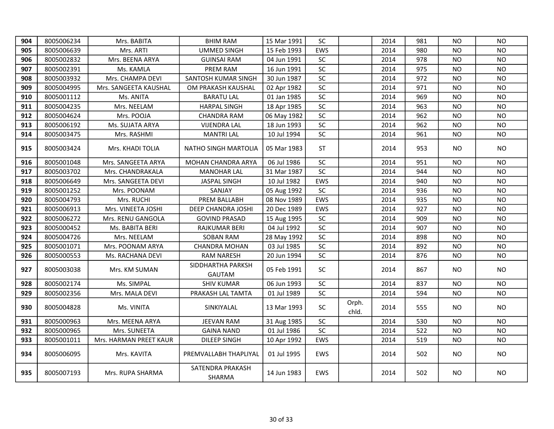| 904 | 8005006234 | Mrs. BABITA            | <b>BHIM RAM</b>                    | 15 Mar 1991 | <b>SC</b>  |                | 2014 | 981 | NO.       | <b>NO</b>      |
|-----|------------|------------------------|------------------------------------|-------------|------------|----------------|------|-----|-----------|----------------|
| 905 | 8005006639 | Mrs. ARTI              | <b>UMMED SINGH</b>                 | 15 Feb 1993 | EWS        |                | 2014 | 980 | NO        | <b>NO</b>      |
| 906 | 8005002832 | Mrs. BEENA ARYA        | <b>GUINSAI RAM</b>                 | 04 Jun 1991 | SC         |                | 2014 | 978 | NO        | <b>NO</b>      |
| 907 | 8005002391 | Ms. KAMLA              | PREM RAM                           | 16 Jun 1991 | SC         |                | 2014 | 975 | NO.       | <b>NO</b>      |
| 908 | 8005003932 | Mrs. CHAMPA DEVI       | SANTOSH KUMAR SINGH                | 30 Jun 1987 | $\sf SC$   |                | 2014 | 972 | NO        | <b>NO</b>      |
| 909 | 8005004995 | Mrs. SANGEETA KAUSHAL  | OM PRAKASH KAUSHAL                 | 02 Apr 1982 | SC         |                | 2014 | 971 | NO        | <b>NO</b>      |
| 910 | 8005001112 | Ms. ANITA              | <b>BARATU LAL</b>                  | 01 Jan 1985 | SC         |                | 2014 | 969 | NO.       | NO.            |
| 911 | 8005004235 | Mrs. NEELAM            | <b>HARPAL SINGH</b>                | 18 Apr 1985 | $\sf SC$   |                | 2014 | 963 | NO        | NO.            |
| 912 | 8005004624 | Mrs. POOJA             | <b>CHANDRA RAM</b>                 | 06 May 1982 | SC         |                | 2014 | 962 | NO        | <b>NO</b>      |
| 913 | 8005006192 | Ms. SUJATA ARYA        | <b>VIJENDRA LAL</b>                | 18 Jun 1993 | SC         |                | 2014 | 962 | NO.       | N <sub>O</sub> |
| 914 | 8005003475 | Mrs. RASHMI            | <b>MANTRI LAL</b>                  | 10 Jul 1994 | SC         |                | 2014 | 961 | <b>NO</b> | <b>NO</b>      |
| 915 | 8005003424 | Mrs. KHADI TOLIA       | NATHO SINGH MARTOLIA               | 05 Mar 1983 | <b>ST</b>  |                | 2014 | 953 | NO.       | <b>NO</b>      |
| 916 | 8005001048 | Mrs. SANGEETA ARYA     | MOHAN CHANDRA ARYA                 | 06 Jul 1986 | <b>SC</b>  |                | 2014 | 951 | NO.       | <b>NO</b>      |
| 917 | 8005003702 | Mrs. CHANDRAKALA       | <b>MANOHAR LAL</b>                 | 31 Mar 1987 | SC         |                | 2014 | 944 | NO.       | <b>NO</b>      |
| 918 | 8005006649 | Mrs. SANGEETA DEVI     | <b>JASPAL SINGH</b>                | 10 Jul 1982 | EWS        |                | 2014 | 940 | <b>NO</b> | <b>NO</b>      |
| 919 | 8005001252 | Mrs. POONAM            | SANJAY                             | 05 Aug 1992 | SC         |                | 2014 | 936 | <b>NO</b> | <b>NO</b>      |
| 920 | 8005004793 | Mrs. RUCHI             | PREM BALLABH                       | 08 Nov 1989 | EWS        |                | 2014 | 935 | NO        | <b>NO</b>      |
| 921 | 8005006913 | Mrs. VINEETA JOSHI     | DEEP CHANDRA JOSHI                 | 20 Dec 1989 | EWS        |                | 2014 | 927 | NO.       | <b>NO</b>      |
| 922 | 8005006272 | Mrs. RENU GANGOLA      | <b>GOVIND PRASAD</b>               | 15 Aug 1995 | SC         |                | 2014 | 909 | <b>NO</b> | <b>NO</b>      |
| 923 | 8005000452 | Ms. BABITA BERI        | RAJKUMAR BERI                      | 04 Jul 1992 | SC         |                | 2014 | 907 | NO        | <b>NO</b>      |
| 924 | 8005004726 | Mrs. NEELAM            | <b>SOBAN RAM</b>                   | 28 May 1992 | SC         |                | 2014 | 898 | <b>NO</b> | <b>NO</b>      |
| 925 | 8005001071 | Mrs. POONAM ARYA       | <b>CHANDRA MOHAN</b>               | 03 Jul 1985 | SC         |                | 2014 | 892 | NO.       | <b>NO</b>      |
| 926 | 8005000553 | Ms. RACHANA DEVI       | RAM NARESH                         | 20 Jun 1994 | SC         |                | 2014 | 876 | <b>NO</b> | <b>NO</b>      |
| 927 | 8005003038 | Mrs. KM SUMAN          | SIDDHARTHA PARKSH<br><b>GAUTAM</b> | 05 Feb 1991 | <b>SC</b>  |                | 2014 | 867 | NO.       | NO.            |
| 928 | 8005002174 | Ms. SIMPAL             | <b>SHIV KUMAR</b>                  | 06 Jun 1993 | <b>SC</b>  |                | 2014 | 837 | <b>NO</b> | <b>NO</b>      |
| 929 | 8005002356 | Mrs. MALA DEVI         | PRAKASH LAL TAMTA                  | 01 Jul 1989 | SC         |                | 2014 | 594 | <b>NO</b> | <b>NO</b>      |
| 930 | 8005004828 | Ms. VINITA             | SINKIYALAL                         | 13 Mar 1993 | <b>SC</b>  | Orph.<br>chld. | 2014 | 555 | NO        | <b>NO</b>      |
| 931 | 8005000963 | Mrs. MEENA ARYA        | <b>JEEVAN RAM</b>                  | 31 Aug 1985 | <b>SC</b>  |                | 2014 | 530 | NO.       | <b>NO</b>      |
| 932 | 8005000965 | Mrs. SUNEETA           | <b>GAINA NAND</b>                  | 01 Jul 1986 | SC         |                | 2014 | 522 | NO        | <b>NO</b>      |
| 933 | 8005001011 | Mrs. HARMAN PREET KAUR | <b>DILEEP SINGH</b>                | 10 Apr 1992 | EWS        |                | 2014 | 519 | <b>NO</b> | <b>NO</b>      |
| 934 | 8005006095 | Mrs. KAVITA            | PREMVALLABH THAPLIYAL              | 01 Jul 1995 | <b>EWS</b> |                | 2014 | 502 | NO.       | <b>NO</b>      |
| 935 | 8005007193 | Mrs. RUPA SHARMA       | SATENDRA PRAKASH<br>SHARMA         | 14 Jun 1983 | EWS        |                | 2014 | 502 | NO.       | <b>NO</b>      |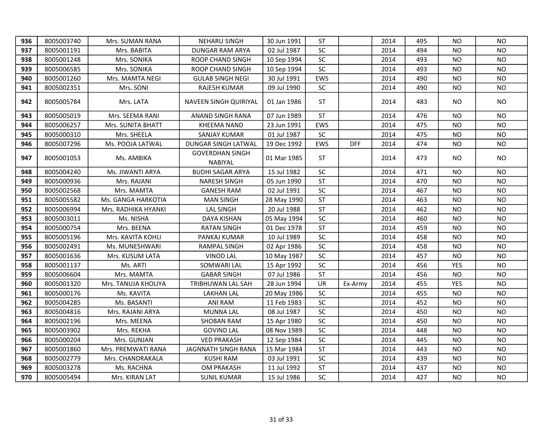| 936 | 8005003740 | Mrs. SUMAN RANA     | <b>NEHARU SINGH</b>               | 30 Jun 1991 | ST         |            | 2014 | 495 | NO.        | NO.       |
|-----|------------|---------------------|-----------------------------------|-------------|------------|------------|------|-----|------------|-----------|
| 937 | 8005001191 | Mrs. BABITA         | DUNGAR RAM ARYA                   | 02 Jul 1987 | <b>SC</b>  |            | 2014 | 494 | NO.        | <b>NO</b> |
| 938 | 8005001248 | Mrs. SONIKA         | ROOP CHAND SINGH                  | 10 Sep 1994 | $\sf SC$   |            | 2014 | 493 | <b>NO</b>  | <b>NO</b> |
| 939 | 8005006585 | Mrs. SONIKA         | ROOP CHAND SINGH                  | 10 Sep 1994 | SC         |            | 2014 | 493 | NO.        | <b>NO</b> |
| 940 | 8005001260 | Mrs. MAMTA NEGI     | <b>GULAB SINGH NEGI</b>           | 30 Jul 1991 | EWS        |            | 2014 | 490 | NO.        | <b>NO</b> |
| 941 | 8005002351 | Mrs. SONI           | RAJESH KUMAR                      | 09 Jul 1990 | SC         |            | 2014 | 490 | NO.        | <b>NO</b> |
| 942 | 8005005784 | Mrs. LATA           | <b>NAVEEN SINGH QUIRIYAL</b>      | 01 Jan 1986 | <b>ST</b>  |            | 2014 | 483 | NO.        | <b>NO</b> |
| 943 | 8005005019 | Mrs. SEEMA RANI     | ANAND SINGH RANA                  | 07 Jun 1989 | <b>ST</b>  |            | 2014 | 476 | NO.        | <b>NO</b> |
| 944 | 8005006257 | Mrs. SUNITA BHATT   | <b>KHEEMA NAND</b>                | 23 Jun 1991 | EWS        |            | 2014 | 475 | NO.        | <b>NO</b> |
| 945 | 8005000310 | Mrs. SHEELA         | SANJAY KUMAR                      | 01 Jul 1987 | <b>SC</b>  |            | 2014 | 475 | NO.        | NO.       |
| 946 | 8005007296 | Ms. POOJA LATWAL    | DUNGAR SINGH LATWAL               | 19 Dec 1992 | <b>EWS</b> | <b>DFF</b> | 2014 | 474 | NO.        | NO.       |
| 947 | 8005001053 | Ms. AMBIKA          | <b>GOVERDHAN SINGH</b><br>NABIYAL | 01 Mar 1985 | ST         |            | 2014 | 473 | NO.        | NO.       |
| 948 | 8005004240 | Ms. JIWANTI ARYA    | <b>BUDHI SAGAR ARYA</b>           | 15 Jul 1982 | SC         |            | 2014 | 471 | NO.        | <b>NO</b> |
| 949 | 8005000936 | Mrs. RAJANI         | <b>NARESH SINGH</b>               | 05 Jun 1990 | <b>ST</b>  |            | 2014 | 470 | NO.        | <b>NO</b> |
| 950 | 8005002568 | Mrs. MAMTA          | <b>GANESH RAM</b>                 | 02 Jul 1991 | SC         |            | 2014 | 467 | <b>NO</b>  | <b>NO</b> |
| 951 | 8005005582 | Ms. GANGA HARKOTIA  | <b>MAN SINGH</b>                  | 28 May 1990 | <b>ST</b>  |            | 2014 | 463 | NO.        | NO.       |
| 952 | 8005006994 | Mrs. RADHIKA HYANKI | <b>LAL SINGH</b>                  | 20 Jul 1988 | <b>ST</b>  |            | 2014 | 462 | NO.        | <b>NO</b> |
| 953 | 8005003011 | Ms. NISHA           | <b>DAYA KISHAN</b>                | 05 May 1994 | SC         |            | 2014 | 460 | NO.        | <b>NO</b> |
| 954 | 8005000754 | Mrs. BEENA          | <b>RATAN SINGH</b>                | 01 Dec 1978 | <b>ST</b>  |            | 2014 | 459 | NO.        | NO.       |
| 955 | 8005005196 | Mrs. KAVITA KOHLI   | PANKAJ KUMAR                      | 10 Jul 1989 | <b>SC</b>  |            | 2014 | 458 | NO.        | NO.       |
| 956 | 8005002491 | Ms. MUNESHWARI      | RAMPAL SINGH                      | 02 Apr 1986 | SC         |            | 2014 | 458 | NO.        | <b>NO</b> |
| 957 | 8005001636 | Mrs. KUSUM LATA     | <b>VINOD LAL</b>                  | 10 May 1987 | $\sf SC$   |            | 2014 | 457 | NO.        | <b>NO</b> |
| 958 | 8005001137 | Ms. ARTI            | SOMWARI LAL                       | 15 Apr 1992 | SC         |            | 2014 | 456 | <b>YES</b> | <b>NO</b> |
| 959 | 8005006604 | Mrs. MAMTA          | <b>GABAR SINGH</b>                | 07 Jul 1986 | <b>ST</b>  |            | 2014 | 456 | <b>NO</b>  | <b>NO</b> |
| 960 | 8005001320 | Mrs. TANUJA KHOLIYA | TRIBHUWAN LAL SAH                 | 28 Jun 1994 | UR         | Ex-Army    | 2014 | 455 | <b>YES</b> | <b>NO</b> |
| 961 | 8005000176 | Ms. KAVITA          | <b>LAKHAN LAL</b>                 | 20 May 1986 | <b>SC</b>  |            | 2014 | 455 | NO.        | <b>NO</b> |
| 962 | 8005004285 | Ms. BASANTI         | <b>ANI RAM</b>                    | 11 Feb 1983 | SC         |            | 2014 | 452 | <b>NO</b>  | <b>NO</b> |
| 963 | 8005004816 | Mrs. RAJANI ARYA    | <b>MUNNA LAL</b>                  | 08 Jul 1987 | SC         |            | 2014 | 450 | <b>NO</b>  | <b>NO</b> |
| 964 | 8005002196 | Mrs. MEENA          | <b>SHOBAN RAM</b>                 | 15 Apr 1980 | $\sf SC$   |            | 2014 | 450 | <b>NO</b>  | <b>NO</b> |
| 965 | 8005003902 | Mrs. REKHA          | <b>GOVIND LAL</b>                 | 08 Nov 1989 | <b>SC</b>  |            | 2014 | 448 | NO.        | <b>NO</b> |
| 966 | 8005000204 | Mrs. GUNJAN         | <b>VED PRAKASH</b>                | 12 Sep 1984 | SC         |            | 2014 | 445 | <b>NO</b>  | <b>NO</b> |
| 967 | 8005001860 | Mrs. PREMWATI RANA  | JAGNNATH SINGH RANA               | 15 Mar 1984 | <b>ST</b>  |            | 2014 | 443 | <b>NO</b>  | <b>NO</b> |
| 968 | 8005002779 | Mrs. CHANDRAKALA    | <b>KUSHI RAM</b>                  | 03 Jul 1991 | <b>SC</b>  |            | 2014 | 439 | NO.        | <b>NO</b> |
| 969 | 8005003278 | Ms. RACHNA          | OM PRAKASH                        | 11 Jul 1992 | <b>ST</b>  |            | 2014 | 437 | NO.        | <b>NO</b> |
| 970 | 8005005494 | Mrs. KIRAN LAT      | <b>SUNIL KUMAR</b>                | 15 Jul 1986 | SC         |            | 2014 | 427 | NO.        | <b>NO</b> |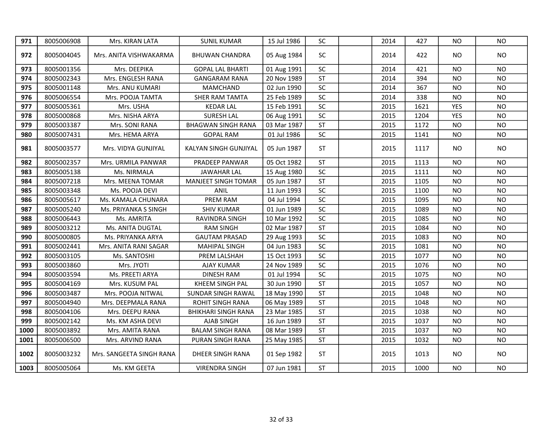| 971  | 8005006908 | Mrs. KIRAN LATA          | <b>SUNIL KUMAR</b>         | 15 Jul 1986 | SC                       | 2014 | 427  | <b>NO</b>  | <b>NO</b> |
|------|------------|--------------------------|----------------------------|-------------|--------------------------|------|------|------------|-----------|
| 972  | 8005004045 | Mrs. ANITA VISHWAKARMA   | <b>BHUWAN CHANDRA</b>      | 05 Aug 1984 | <b>SC</b>                | 2014 | 422  | NO.        | <b>NO</b> |
| 973  | 8005001356 | Mrs. DEEPIKA             | <b>GOPAL LAL BHARTI</b>    | 01 Aug 1991 | SC                       | 2014 | 421  | <b>NO</b>  | <b>NO</b> |
| 974  | 8005002343 | Mrs. ENGLESH RANA        | <b>GANGARAM RANA</b>       | 20 Nov 1989 | <b>ST</b>                | 2014 | 394  | <b>NO</b>  | <b>NO</b> |
| 975  | 8005001148 | Mrs. ANU KUMARI          | <b>MAMCHAND</b>            | 02 Jun 1990 | $\overline{SC}$          | 2014 | 367  | <b>NO</b>  | <b>NO</b> |
| 976  | 8005006554 | Mrs. POOJA TAMTA         | SHER RAM TAMTA             | 25 Feb 1989 | SC                       | 2014 | 338  | <b>NO</b>  | <b>NO</b> |
| 977  | 8005005361 | Mrs. USHA                | <b>KEDAR LAL</b>           | 15 Feb 1991 | SC                       | 2015 | 1621 | <b>YES</b> | <b>NO</b> |
| 978  | 8005000868 | Mrs. NISHA ARYA          | <b>SURESH LAL</b>          | 06 Aug 1991 | SC                       | 2015 | 1204 | <b>YES</b> | <b>NO</b> |
| 979  | 8005003387 | Mrs. SONI RANA           | <b>BHAGWAN SINGH RANA</b>  | 03 Mar 1987 | <b>ST</b>                | 2015 | 1172 | <b>NO</b>  | <b>NO</b> |
| 980  | 8005007431 | Mrs. HEMA ARYA           | <b>GOPAL RAM</b>           | 01 Jul 1986 | SC                       | 2015 | 1141 | <b>NO</b>  | <b>NO</b> |
| 981  | 8005003577 | Mrs. VIDYA GUNJIYAL      | KALYAN SINGH GUNJIYAL      | 05 Jun 1987 | <b>ST</b>                | 2015 | 1117 | NO.        | <b>NO</b> |
| 982  | 8005002357 | Mrs. URMILA PANWAR       | PRADEEP PANWAR             | 05 Oct 1982 | <b>ST</b>                | 2015 | 1113 | <b>NO</b>  | <b>NO</b> |
| 983  | 8005005138 | Ms. NIRMALA              | <b>JAWAHAR LAL</b>         | 15 Aug 1980 | SC                       | 2015 | 1111 | <b>NO</b>  | <b>NO</b> |
| 984  | 8005007218 | Mrs. MEENA TOMAR         | <b>MANJEET SINGH TOMAR</b> | 05 Jun 1987 | <b>ST</b>                | 2015 | 1105 | NO         | <b>NO</b> |
| 985  | 8005003348 | Ms. POOJA DEVI           | ANIL                       | 11 Jun 1993 | SC                       | 2015 | 1100 | <b>NO</b>  | <b>NO</b> |
| 986  | 8005005617 | Ms. KAMALA CHUNARA       | PREM RAM                   | 04 Jul 1994 | SC                       | 2015 | 1095 | <b>NO</b>  | <b>NO</b> |
| 987  | 8005005240 | Ms. PRIYANKA S SINGH     | <b>SHIV KUMAR</b>          | 01 Jun 1989 | SC                       | 2015 | 1089 | <b>NO</b>  | <b>NO</b> |
| 988  | 8005006443 | Ms. AMRITA               | RAVINDRA SINGH             | 10 Mar 1992 | SC                       | 2015 | 1085 | <b>NO</b>  | <b>NO</b> |
| 989  | 8005003212 | Ms. ANITA DUGTAL         | <b>RAM SINGH</b>           | 02 Mar 1987 | <b>ST</b>                | 2015 | 1084 | <b>NO</b>  | <b>NO</b> |
| 990  | 8005000805 | Ms. PRIYANKA ARYA        | <b>GAUTAM PRASAD</b>       | 29 Aug 1993 | SC                       | 2015 | 1083 | <b>NO</b>  | <b>NO</b> |
| 991  | 8005002441 | Mrs. ANITA RANI SAGAR    | <b>MAHIPAL SINGH</b>       | 04 Jun 1983 | SC                       | 2015 | 1081 | <b>NO</b>  | <b>NO</b> |
| 992  | 8005003105 | Ms. SANTOSHI             | PREM LALSHAH               | 15 Oct 1993 | SC                       | 2015 | 1077 | <b>NO</b>  | <b>NO</b> |
| 993  | 8005003860 | Mrs. JYOTI               | <b>AJAY KUMAR</b>          | 24 Nov 1989 | SC                       | 2015 | 1076 | <b>NO</b>  | <b>NO</b> |
| 994  | 8005003594 | Ms. PREETI ARYA          | <b>DINESH RAM</b>          | 01 Jul 1994 | SC                       | 2015 | 1075 | <b>NO</b>  | <b>NO</b> |
| 995  | 8005004169 | Mrs. KUSUM PAL           | KHEEM SINGH PAL            | 30 Jun 1990 | $\overline{\mathsf{ST}}$ | 2015 | 1057 | <b>NO</b>  | <b>NO</b> |
| 996  | 8005003487 | Mrs. POOJA NITWAL        | SUNDAR SINGH RAWAL         | 18 May 1990 | <b>ST</b>                | 2015 | 1048 | <b>NO</b>  | <b>NO</b> |
| 997  | 8005004940 | Mrs. DEEPMALA RANA       | ROHIT SINGH RANA           | 06 May 1989 | <b>ST</b>                | 2015 | 1048 | <b>NO</b>  | <b>NO</b> |
| 998  | 8005004106 | Mrs. DEEPU RANA          | <b>BHIKHARI SINGH RANA</b> | 23 Mar 1985 | <b>ST</b>                | 2015 | 1038 | <b>NO</b>  | <b>NO</b> |
| 999  | 8005002142 | Ms. KM ASHA DEVI         | AJAB SINGH                 | 16 Jun 1989 | <b>ST</b>                | 2015 | 1037 | <b>NO</b>  | <b>NO</b> |
| 1000 | 8005003892 | Mrs. AMITA RANA          | <b>BALAM SINGH RANA</b>    | 08 Mar 1989 | <b>ST</b>                | 2015 | 1037 | <b>NO</b>  | <b>NO</b> |
| 1001 | 8005006500 | Mrs. ARVIND RANA         | PURAN SINGH RANA           | 25 May 1985 | ST                       | 2015 | 1032 | <b>NO</b>  | <b>NO</b> |
| 1002 | 8005003232 | Mrs. SANGEETA SINGH RANA | DHEER SINGH RANA           | 01 Sep 1982 | <b>ST</b>                | 2015 | 1013 | NO.        | <b>NO</b> |
| 1003 | 8005005064 | Ms. KM GEETA             | <b>VIRENDRA SINGH</b>      | 07 Jun 1981 | <b>ST</b>                | 2015 | 1000 | <b>NO</b>  | <b>NO</b> |